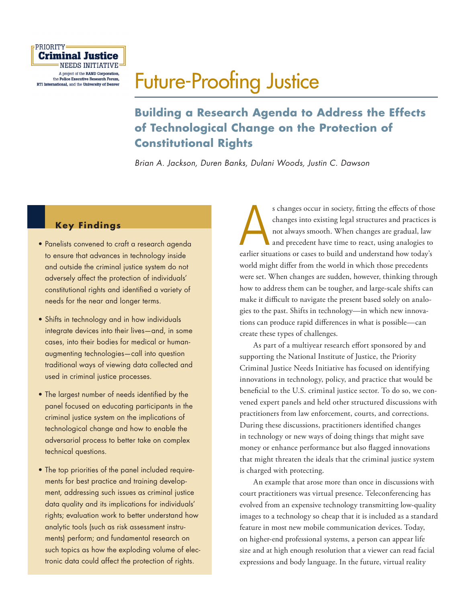

# [Future-Proofing Justice](http://www.rand.org/pubs/research_reports/RR1748.html)

## **Building a Research Agenda to Address the Effects of Technological Change on the Protection of Constitutional Rights**

*Brian A. Jackson, Duren Banks, Dulani Woods, Justin C. Dawson*

### **Key Findings**

- Panelists convened to craft a research agenda to ensure that advances in technology inside and outside the criminal justice system do not adversely affect the protection of individuals' constitutional rights and identified a variety of needs for the near and longer terms.
- Shifts in technology and in how individuals integrate devices into their lives—and, in some cases, into their bodies for medical or humanaugmenting technologies—call into question traditional ways of viewing data collected and used in criminal justice processes.
- The largest number of needs identified by the panel focused on educating participants in the criminal justice system on the implications of technological change and how to enable the adversarial process to better take on complex technical questions.
- The top priorities of the panel included requirements for best practice and training development, addressing such issues as criminal justice data quality and its implications for individuals' rights; evaluation work to better understand how analytic tools (such as risk assessment instruments) perform; and fundamental research on such topics as how the exploding volume of electronic data could affect the protection of rights.

s changes occur in society, fitting the effects of those changes into existing legal structures and practices in to talways smooth. When changes are gradual, law and precedent have time to react, using analogies to earlier s changes occur in society, fitting the effects of those changes into existing legal structures and practices is not always smooth. When changes are gradual, law and precedent have time to react, using analogies to world might differ from the world in which those precedents were set. When changes are sudden, however, thinking through how to address them can be tougher, and large-scale shifts can make it difficult to navigate the present based solely on analogies to the past. Shifts in technology—in which new innovations can produce rapid differences in what is possible—can create these types of challenges.

As part of a multiyear research effort sponsored by and supporting the National Institute of Justice, the Priority Criminal Justice Needs Initiative has focused on identifying innovations in technology, policy, and practice that would be beneficial to the U.S. criminal justice sector. To do so, we convened expert panels and held other structured discussions with practitioners from law enforcement, courts, and corrections. During these discussions, practitioners identified changes in technology or new ways of doing things that might save money or enhance performance but also flagged innovations that might threaten the ideals that the criminal justice system is charged with protecting.

An example that arose more than once in discussions with court practitioners was virtual presence. Teleconferencing has evolved from an expensive technology transmitting low-quality images to a technology so cheap that it is included as a standard feature in most new mobile communication devices. Today, on higher-end professional systems, a person can appear life size and at high enough resolution that a viewer can read facial expressions and body language. In the future, virtual reality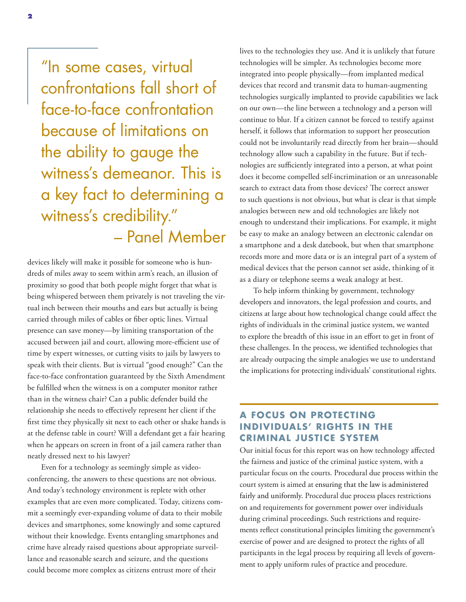"In some cases, virtual confrontations fall short of face-to-face confrontation because of limitations on the ability to gauge the witness's demeanor. This is a key fact to determining a witness's credibility." – Panel Member

devices likely will make it possible for someone who is hundreds of miles away to seem within arm's reach, an illusion of proximity so good that both people might forget that what is being whispered between them privately is not traveling the virtual inch between their mouths and ears but actually is being carried through miles of cables or fiber optic lines. Virtual presence can save money—by limiting transportation of the accused between jail and court, allowing more-efficient use of time by expert witnesses, or cutting visits to jails by lawyers to speak with their clients. But is virtual "good enough?" Can the face-to-face confrontation guaranteed by the Sixth Amendment be fulfilled when the witness is on a computer monitor rather than in the witness chair? Can a public defender build the relationship she needs to effectively represent her client if the first time they physically sit next to each other or shake hands is at the defense table in court? Will a defendant get a fair hearing when he appears on screen in front of a jail camera rather than neatly dressed next to his lawyer?

Even for a technology as seemingly simple as videoconferencing, the answers to these questions are not obvious. And today's technology environment is replete with other examples that are even more complicated. Today, citizens commit a seemingly ever-expanding volume of data to their mobile devices and smartphones, some knowingly and some captured without their knowledge. Events entangling smartphones and crime have already raised questions about appropriate surveillance and reasonable search and seizure, and the questions could become more complex as citizens entrust more of their

lives to the technologies they use. And it is unlikely that future technologies will be simpler. As technologies become more integrated into people physically—from implanted medical devices that record and transmit data to human-augmenting technologies surgically implanted to provide capabilities we lack on our own—the line between a technology and a person will continue to blur. If a citizen cannot be forced to testify against herself, it follows that information to support her prosecution could not be involuntarily read directly from her brain—should technology allow such a capability in the future. But if technologies are sufficiently integrated into a person, at what point does it become compelled self-incrimination or an unreasonable search to extract data from those devices? The correct answer to such questions is not obvious, but what is clear is that simple analogies between new and old technologies are likely not enough to understand their implications. For example, it might be easy to make an analogy between an electronic calendar on a smartphone and a desk datebook, but when that smartphone records more and more data or is an integral part of a system of medical devices that the person cannot set aside, thinking of it as a diary or telephone seems a weak analogy at best.

To help inform thinking by government, technology developers and innovators, the legal profession and courts, and citizens at large about how technological change could affect the rights of individuals in the criminal justice system, we wanted to explore the breadth of this issue in an effort to get in front of these challenges. In the process, we identified technologies that are already outpacing the simple analogies we use to understand the implications for protecting individuals' constitutional rights.

### **A FOCUS ON PROTECTING IND IV IDUALS' R IGHTS IN THE CRIMINAL JUSTICE SYSTEM**

Our initial focus for this report was on how technology affected the fairness and justice of the criminal justice system, with a particular focus on the courts. Procedural due process within the court system is aimed at ensuring that the law is administered fairly and uniformly. Procedural due process places restrictions on and requirements for government power over individuals during criminal proceedings. Such restrictions and requirements reflect constitutional principles limiting the government's exercise of power and are designed to protect the rights of all participants in the legal process by requiring all levels of government to apply uniform rules of practice and procedure.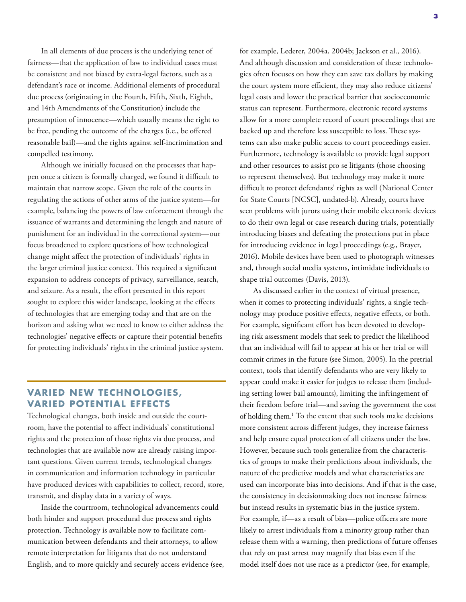In all elements of due process is the underlying tenet of fairness—that the application of law to individual cases must be consistent and not biased by extra-legal factors, such as a defendant's race or income. Additional elements of procedural due process (originating in the Fourth, Fifth, Sixth, Eighth, and 14th Amendments of the Constitution) include the presumption of innocence—which usually means the right to be free, pending the outcome of the charges (i.e., be offered reasonable bail)—and the rights against self-incrimination and compelled testimony.

Although we initially focused on the processes that happen once a citizen is formally charged, we found it difficult to maintain that narrow scope. Given the role of the courts in regulating the actions of other arms of the justice system—for example, balancing the powers of law enforcement through the issuance of warrants and determining the length and nature of punishment for an individual in the correctional system—our focus broadened to explore questions of how technological change might affect the protection of individuals' rights in the larger criminal justice context. This required a significant expansion to address concepts of privacy, surveillance, search, and seizure. As a result, the effort presented in this report sought to explore this wider landscape, looking at the effects of technologies that are emerging today and that are on the horizon and asking what we need to know to either address the technologies' negative effects or capture their potential benefits for protecting individuals' rights in the criminal justice system.

### **VARIED NEW TECHNOLOGIES, VARIED POTENTIAL EFFECTS**

Technological changes, both inside and outside the courtroom, have the potential to affect individuals' constitutional rights and the protection of those rights via due process, and technologies that are available now are already raising important questions. Given current trends, technological changes in communication and information technology in particular have produced devices with capabilities to collect, record, store, transmit, and display data in a variety of ways.

Inside the courtroom, technological advancements could both hinder and support procedural due process and rights protection. Technology is available now to facilitate communication between defendants and their attorneys, to allow remote interpretation for litigants that do not understand English, and to more quickly and securely access evidence (see, for example, Lederer, 2004a, 2004b; Jackson et al., 2016). And although discussion and consideration of these technologies often focuses on how they can save tax dollars by making the court system more efficient, they may also reduce citizens' legal costs and lower the practical barrier that socioeconomic status can represent. Furthermore, electronic record systems allow for a more complete record of court proceedings that are backed up and therefore less susceptible to loss. These systems can also make public access to court proceedings easier. Furthermore, technology is available to provide legal support and other resources to assist pro se litigants (those choosing to represent themselves). But technology may make it more difficult to protect defendants' rights as well (National Center for State Courts [NCSC], undated-b). Already, courts have seen problems with jurors using their mobile electronic devices to do their own legal or case research during trials, potentially introducing biases and defeating the protections put in place for introducing evidence in legal proceedings (e.g., Brayer, 2016). Mobile devices have been used to photograph witnesses and, through social media systems, intimidate individuals to shape trial outcomes (Davis, 2013).

As discussed earlier in the context of virtual presence, when it comes to protecting individuals' rights, a single technology may produce positive effects, negative effects, or both. For example, significant effort has been devoted to developing risk assessment models that seek to predict the likelihood that an individual will fail to appear at his or her trial or will commit crimes in the future (see Simon, 2005). In the pretrial context, tools that identify defendants who are very likely to appear could make it easier for judges to release them (including setting lower bail amounts), limiting the infringement of their freedom before trial—and saving the government the cost of holding them.1 To the extent that such tools make decisions more consistent across different judges, they increase fairness and help ensure equal protection of all citizens under the law. However, because such tools generalize from the characteristics of groups to make their predictions about individuals, the nature of the predictive models and what characteristics are used can incorporate bias into decisions. And if that is the case, the consistency in decisionmaking does not increase fairness but instead results in systematic bias in the justice system. For example, if—as a result of bias—police officers are more likely to arrest individuals from a minority group rather than release them with a warning, then predictions of future offenses that rely on past arrest may magnify that bias even if the model itself does not use race as a predictor (see, for example,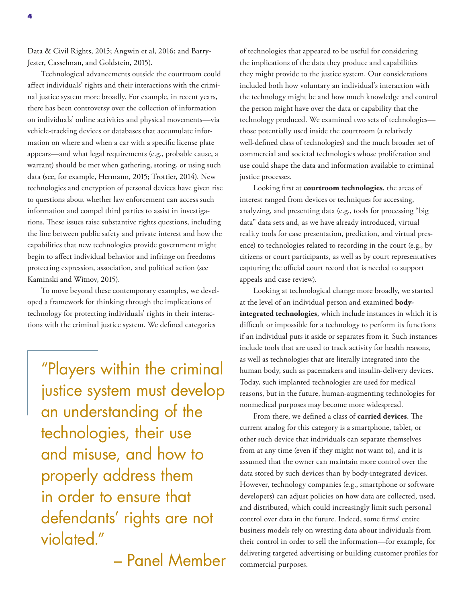Data & Civil Rights, 2015; Angwin et al, 2016; and Barry-Jester, Casselman, and Goldstein, 2015).

Technological advancements outside the courtroom could affect individuals' rights and their interactions with the criminal justice system more broadly. For example, in recent years, there has been controversy over the collection of information on individuals' online activities and physical movements—via vehicle-tracking devices or databases that accumulate information on where and when a car with a specific license plate appears—and what legal requirements (e.g., probable cause, a warrant) should be met when gathering, storing, or using such data (see, for example, Hermann, 2015; Trottier, 2014). New technologies and encryption of personal devices have given rise to questions about whether law enforcement can access such information and compel third parties to assist in investigations. These issues raise substantive rights questions, including the line between public safety and private interest and how the capabilities that new technologies provide government might begin to affect individual behavior and infringe on freedoms protecting expression, association, and political action (see Kaminski and Witnov, 2015).

To move beyond these contemporary examples, we developed a framework for thinking through the implications of technology for protecting individuals' rights in their interactions with the criminal justice system. We defined categories

"Players within the criminal justice system must develop an understanding of the technologies, their use and misuse, and how to properly address them in order to ensure that defendants' rights are not violated."

– Panel Member

of technologies that appeared to be useful for considering the implications of the data they produce and capabilities they might provide to the justice system. Our considerations included both how voluntary an individual's interaction with the technology might be and how much knowledge and control the person might have over the data or capability that the technology produced. We examined two sets of technologies those potentially used inside the courtroom (a relatively well-defined class of technologies) and the much broader set of commercial and societal technologies whose proliferation and use could shape the data and information available to criminal justice processes.

Looking first at **courtroom technologies**, the areas of interest ranged from devices or techniques for accessing, analyzing, and presenting data (e.g., tools for processing "big data" data sets and, as we have already introduced, virtual reality tools for case presentation, prediction, and virtual presence) to technologies related to recording in the court (e.g., by citizens or court participants, as well as by court representatives capturing the official court record that is needed to support appeals and case review).

Looking at technological change more broadly, we started at the level of an individual person and examined **bodyintegrated technologies**, which include instances in which it is difficult or impossible for a technology to perform its functions if an individual puts it aside or separates from it. Such instances include tools that are used to track activity for health reasons, as well as technologies that are literally integrated into the human body, such as pacemakers and insulin-delivery devices. Today, such implanted technologies are used for medical reasons, but in the future, human-augmenting technologies for nonmedical purposes may become more widespread.

From there, we defined a class of **carried devices**. The current analog for this category is a smartphone, tablet, or other such device that individuals can separate themselves from at any time (even if they might not want to), and it is assumed that the owner can maintain more control over the data stored by such devices than by body-integrated devices. However, technology companies (e.g., smartphone or software developers) can adjust policies on how data are collected, used, and distributed, which could increasingly limit such personal control over data in the future. Indeed, some firms' entire business models rely on wresting data about individuals from their control in order to sell the information—for example, for delivering targeted advertising or building customer profiles for commercial purposes.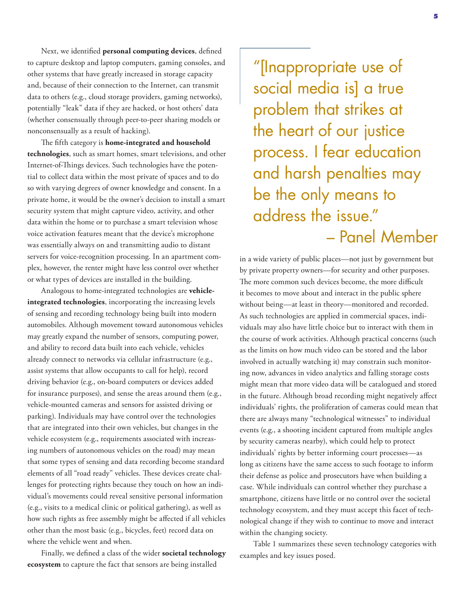Next, we identified **personal computing devices**, defined to capture desktop and laptop computers, gaming consoles, and other systems that have greatly increased in storage capacity and, because of their connection to the Internet, can transmit data to others (e.g., cloud storage providers, gaming networks), potentially "leak" data if they are hacked, or host others' data (whether consensually through peer-to-peer sharing models or nonconsensually as a result of hacking).

The fifth category is **home-integrated and household technologies**, such as smart homes, smart televisions, and other Internet-of-Things devices. Such technologies have the potential to collect data within the most private of spaces and to do so with varying degrees of owner knowledge and consent. In a private home, it would be the owner's decision to install a smart security system that might capture video, activity, and other data within the home or to purchase a smart television whose voice activation features meant that the device's microphone was essentially always on and transmitting audio to distant servers for voice-recognition processing. In an apartment complex, however, the renter might have less control over whether or what types of devices are installed in the building.

Analogous to home-integrated technologies are **vehicleintegrated technologies**, incorporating the increasing levels of sensing and recording technology being built into modern automobiles. Although movement toward autonomous vehicles may greatly expand the number of sensors, computing power, and ability to record data built into each vehicle, vehicles already connect to networks via cellular infrastructure (e.g., assist systems that allow occupants to call for help), record driving behavior (e.g., on-board computers or devices added for insurance purposes), and sense the areas around them (e.g., vehicle-mounted cameras and sensors for assisted driving or parking). Individuals may have control over the technologies that are integrated into their own vehicles, but changes in the vehicle ecosystem (e.g., requirements associated with increasing numbers of autonomous vehicles on the road) may mean that some types of sensing and data recording become standard elements of all "road ready" vehicles. These devices create challenges for protecting rights because they touch on how an individual's movements could reveal sensitive personal information (e.g., visits to a medical clinic or political gathering), as well as how such rights as free assembly might be affected if all vehicles other than the most basic (e.g., bicycles, feet) record data on where the vehicle went and when.

Finally, we defined a class of the wider **societal technology ecosystem** to capture the fact that sensors are being installed

"[Inappropriate use of social media is] a true problem that strikes at the heart of our justice process. I fear education and harsh penalties may be the only means to address the issue." – Panel Member

in a wide variety of public places—not just by government but by private property owners—for security and other purposes. The more common such devices become, the more difficult it becomes to move about and interact in the public sphere without being—at least in theory—monitored and recorded. As such technologies are applied in commercial spaces, individuals may also have little choice but to interact with them in the course of work activities. Although practical concerns (such as the limits on how much video can be stored and the labor involved in actually watching it) may constrain such monitoring now, advances in video analytics and falling storage costs might mean that more video data will be catalogued and stored in the future. Although broad recording might negatively affect individuals' rights, the proliferation of cameras could mean that there are always many "technological witnesses" to individual events (e.g., a shooting incident captured from multiple angles by security cameras nearby), which could help to protect individuals' rights by better informing court processes—as long as citizens have the same access to such footage to inform their defense as police and prosecutors have when building a case. While individuals can control whether they purchase a smartphone, citizens have little or no control over the societal technology ecosystem, and they must accept this facet of technological change if they wish to continue to move and interact within the changing society.

Table 1 summarizes these seven technology categories with examples and key issues posed.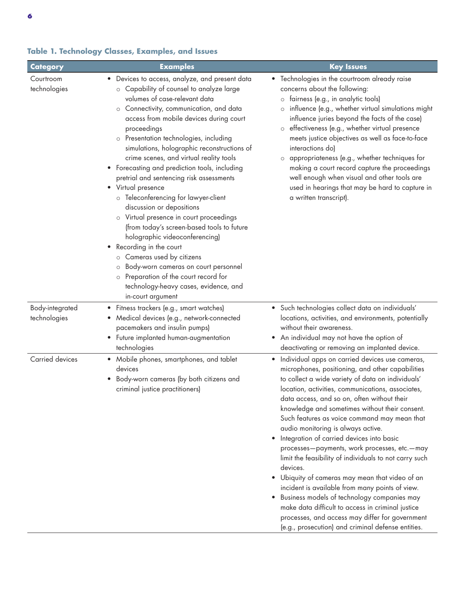| Category                        | <b>Examples</b>                                                                                                                                                                                                                                                                                                                                                                                                                                                                                                                                                                                                                                                                                                                                                                                                                                                                                                                 | <b>Key Issues</b>                                                                                                                                                                                                                                                                                                                                                                                                                                                                                                                                                                                                                                                                                                                                                                                                                                                                                |
|---------------------------------|---------------------------------------------------------------------------------------------------------------------------------------------------------------------------------------------------------------------------------------------------------------------------------------------------------------------------------------------------------------------------------------------------------------------------------------------------------------------------------------------------------------------------------------------------------------------------------------------------------------------------------------------------------------------------------------------------------------------------------------------------------------------------------------------------------------------------------------------------------------------------------------------------------------------------------|--------------------------------------------------------------------------------------------------------------------------------------------------------------------------------------------------------------------------------------------------------------------------------------------------------------------------------------------------------------------------------------------------------------------------------------------------------------------------------------------------------------------------------------------------------------------------------------------------------------------------------------------------------------------------------------------------------------------------------------------------------------------------------------------------------------------------------------------------------------------------------------------------|
| Courtroom<br>technologies       | • Devices to access, analyze, and present data<br>o Capability of counsel to analyze large<br>volumes of case-relevant data<br>o Connectivity, communication, and data<br>access from mobile devices during court<br>proceedings<br>o Presentation technologies, including<br>simulations, holographic reconstructions of<br>crime scenes, and virtual reality tools<br>• Forecasting and prediction tools, including<br>pretrial and sentencing risk assessments<br>Virtual presence<br>$\bullet$<br>o Teleconferencing for lawyer-client<br>discussion or depositions<br>o Virtual presence in court proceedings<br>(from today's screen-based tools to future<br>holographic videoconferencing)<br>• Recording in the court<br>o Cameras used by citizens<br>Body-worn cameras on court personnel<br>$\circ$<br>Preparation of the court record for<br>$\circ$<br>technology-heavy cases, evidence, and<br>in-court argument | • Technologies in the courtroom already raise<br>concerns about the following:<br>fairness (e.g., in analytic tools)<br>$\circ$<br>influence (e.g., whether virtual simulations might<br>$\circ$<br>influence juries beyond the facts of the case)<br>effectiveness (e.g., whether virtual presence<br>$\circ$<br>meets justice objectives as well as face-to-face<br>interactions do)<br>appropriateness (e.g., whether techniques for<br>$\circ$<br>making a court record capture the proceedings<br>well enough when visual and other tools are<br>used in hearings that may be hard to capture in<br>a written transcript).                                                                                                                                                                                                                                                                  |
| Body-integrated<br>technologies | • Fitness trackers (e.g., smart watches)<br>Medical devices (e.g., network-connected<br>$\bullet$<br>pacemakers and insulin pumps)<br>• Future implanted human-augmentation<br>technologies                                                                                                                                                                                                                                                                                                                                                                                                                                                                                                                                                                                                                                                                                                                                     | · Such technologies collect data on individuals'<br>locations, activities, and environments, potentially<br>without their awareness.<br>• An individual may not have the option of<br>deactivating or removing an implanted device.                                                                                                                                                                                                                                                                                                                                                                                                                                                                                                                                                                                                                                                              |
| Carried devices                 | • Mobile phones, smartphones, and tablet<br>devices<br>Body-worn cameras (by both citizens and<br>criminal justice practitioners)                                                                                                                                                                                                                                                                                                                                                                                                                                                                                                                                                                                                                                                                                                                                                                                               | · Individual apps on carried devices use cameras,<br>microphones, positioning, and other capabilities<br>to collect a wide variety of data on individuals'<br>location, activities, communications, associates,<br>data access, and so on, often without their<br>knowledge and sometimes without their consent.<br>Such features as voice command may mean that<br>audio monitoring is always active.<br>• Integration of carried devices into basic<br>processes-payments, work processes, etc.-may<br>limit the feasibility of individuals to not carry such<br>devices.<br>• Ubiquity of cameras may mean that video of an<br>incident is available from many points of view.<br>· Business models of technology companies may<br>make data difficult to access in criminal justice<br>processes, and access may differ for government<br>(e.g., prosecution) and criminal defense entities. |

### **Table 1. Technology Classes, Examples, and Issues**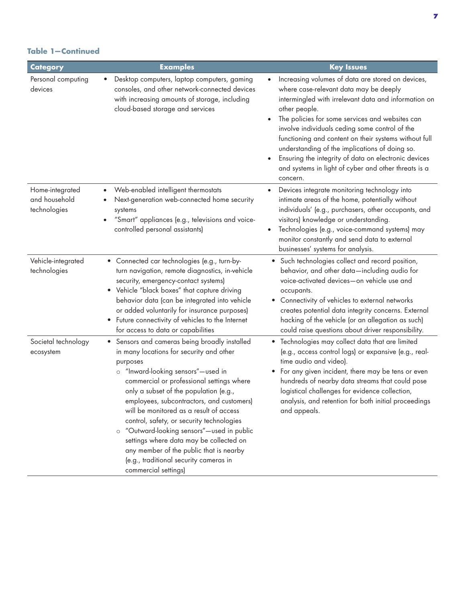### **Table 1—Continued**

| Category                                         | <b>Examples</b>                                                                                                                                                                                                                                                                                                                                                                                                                                                                                                                                                               | <b>Key Issues</b>                                                                                                                                                                                                                                                                                                                                                                                                                                                                                                |
|--------------------------------------------------|-------------------------------------------------------------------------------------------------------------------------------------------------------------------------------------------------------------------------------------------------------------------------------------------------------------------------------------------------------------------------------------------------------------------------------------------------------------------------------------------------------------------------------------------------------------------------------|------------------------------------------------------------------------------------------------------------------------------------------------------------------------------------------------------------------------------------------------------------------------------------------------------------------------------------------------------------------------------------------------------------------------------------------------------------------------------------------------------------------|
| Personal computing<br>devices                    | Desktop computers, laptop computers, gaming<br>consoles, and other network-connected devices<br>with increasing amounts of storage, including<br>cloud-based storage and services                                                                                                                                                                                                                                                                                                                                                                                             | Increasing volumes of data are stored on devices,<br>where case-relevant data may be deeply<br>intermingled with irrelevant data and information on<br>other people.<br>The policies for some services and websites can<br>involve individuals ceding some control of the<br>functioning and content on their systems without full<br>understanding of the implications of doing so.<br>Ensuring the integrity of data on electronic devices<br>and systems in light of cyber and other threats is a<br>concern. |
| Home-integrated<br>and household<br>technologies | Web-enabled intelligent thermostats<br>Next-generation web-connected home security<br>systems<br>"Smart" appliances (e.g., televisions and voice-<br>controlled personal assistants)                                                                                                                                                                                                                                                                                                                                                                                          | Devices integrate monitoring technology into<br>intimate areas of the home, potentially without<br>individuals' (e.g., purchasers, other occupants, and<br>visitors) knowledge or understanding.<br>Technologies (e.g., voice-command systems) may<br>monitor constantly and send data to external<br>businesses' systems for analysis.                                                                                                                                                                          |
| Vehicle-integrated<br>technologies               | • Connected car technologies (e.g., turn-by-<br>turn navigation, remote diagnostics, in-vehicle<br>security, emergency-contact systems)<br>• Vehicle "black boxes" that capture driving<br>behavior data (can be integrated into vehicle<br>or added voluntarily for insurance purposes)<br>• Future connectivity of vehicles to the Internet<br>for access to data or capabilities                                                                                                                                                                                           | • Such technologies collect and record position,<br>behavior, and other data-including audio for<br>voice-activated devices-on vehicle use and<br>occupants.<br>• Connectivity of vehicles to external networks<br>creates potential data integrity concerns. External<br>hacking of the vehicle (or an allegation as such)<br>could raise questions about driver responsibility.                                                                                                                                |
| Societal technology<br>ecosystem                 | • Sensors and cameras being broadly installed<br>in many locations for security and other<br>purposes<br>o "Inward-looking sensors"-used in<br>commercial or professional settings where<br>only a subset of the population (e.g.,<br>employees, subcontractors, and customers)<br>will be monitored as a result of access<br>control, safety, or security technologies<br>o "Outward-looking sensors"-used in public<br>settings where data may be collected on<br>any member of the public that is nearby<br>(e.g., traditional security cameras in<br>commercial settings) | • Technologies may collect data that are limited<br>(e.g., access control logs) or expansive (e.g., real-<br>time audio and video).<br>• For any given incident, there may be tens or even<br>hundreds of nearby data streams that could pose<br>logistical challenges for evidence collection,<br>analysis, and retention for both initial proceedings<br>and appeals.                                                                                                                                          |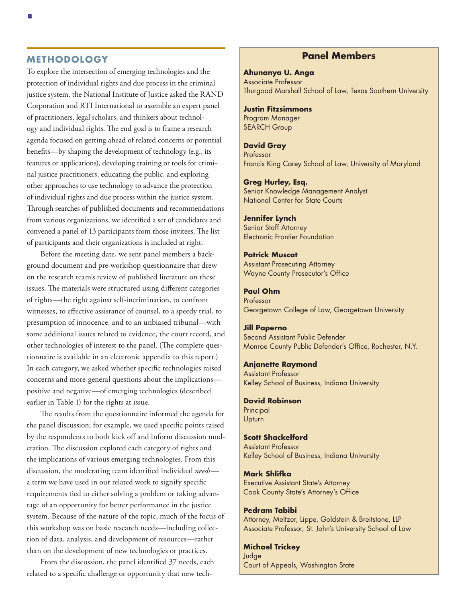### **METHODOLOGY**

To explore the intersection of emerging technologies and the protection of individual rights and due process in the criminal justice system, the National Institute of Justice asked the RAND Corporation and RTI International to assemble an expert panel of practitioners, legal scholars, and thinkers about technology and individual rights. The end goal is to frame a research agenda focused on getting ahead of related concerns or potential benefits—by shaping the development of technology (e.g., its features or applications), developing training or tools for criminal justice practitioners, educating the public, and exploring other approaches to use technology to advance the protection of individual rights and due process within the justice system. Through searches of published documents and recommendations from various organizations, we identified a set of candidates and convened a panel of 13 participants from those invitees. The list of participants and their organizations is included at right.

Before the meeting date, we sent panel members a background document and pre-workshop questionnaire that drew on the research team's review of published literature on these issues. The materials were structured using different categories of rights—the right against self-incrimination, to confront witnesses, to effective assistance of counsel, to a speedy trial, to presumption of innocence, and to an unbiased tribunal—with some additional issues related to evidence, the court record, and other technologies of interest to the panel. (The complete questionnaire is available in an electronic appendix to this report.) In each category, we asked whether specific technologies raised concerns and more-general questions about the implications positive and negative—of emerging technologies (described earlier in Table 1) for the rights at issue.

The results from the questionnaire informed the agenda for the panel discussion; for example, we used specific points raised by the respondents to both kick off and inform discussion moderation. The discussion explored each category of rights and the implications of various emerging technologies. From this discussion, the moderating team identified individual *needs* a term we have used in our related work to signify specific requirements tied to either solving a problem or taking advantage of an opportunity for better performance in the justice system. Because of the nature of the topic, much of the focus of this workshop was on basic research needs—including collection of data, analysis, and development of resources—rather than on the development of new technologies or practices.

From the discussion, the panel identified 37 needs, each related to a specific challenge or opportunity that new tech-

### **Panel Members**

**Ahunanya U. Anga** Associate Professor Thurgood Marshall School of Law, Texas Southern University

### **Justin Fitzsimmons**

Program Manager SEARCH Group

### **David Gray**

Professor Francis King Carey School of Law, University of Maryland

### **Greg Hurley, Esq.**

Senior Knowledge Management Analyst National Center for State Courts

### **Jennifer Lynch**

Senior Staff Attorney Electronic Frontier Foundation

### **Patrick Muscat** Assistant Prosecuting Attorney

Wayne County Prosecutor's Office

### **Paul Ohm**

Professor Georgetown College of Law, Georgetown University

### **Jill Paperno**

Second Assistant Public Defender Monroe County Public Defender's Office, Rochester, N.Y.

### **Anjanette Raymond**

Assistant Professor Kelley School of Business, Indiana University

### **David Robinson** Principal Upturn

### **Scott Shackelford** Assistant Professor

Kelley School of Business, Indiana University

### **Mark Shlifka**

Executive Assistant State's Attorney Cook County State's Attorney's Office

### **Pedram Tabibi**

Attorney, Meltzer, Lippe, Goldstein & Breitstone, LLP Associate Professor, St. John's University School of Law

### **Michael Trickey**

Judge Court of Appeals, Washington State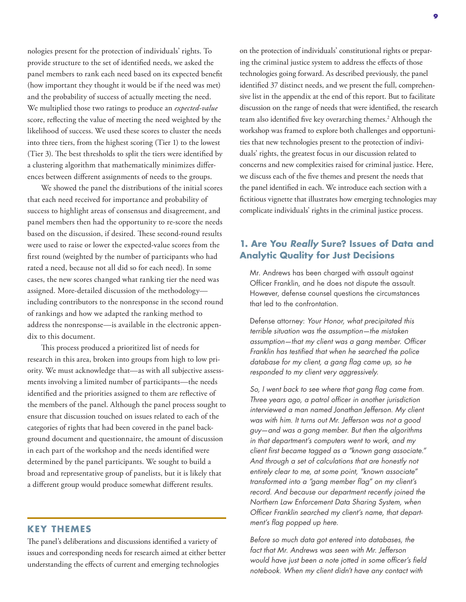nologies present for the protection of individuals' rights. To provide structure to the set of identified needs, we asked the panel members to rank each need based on its expected benefit (how important they thought it would be if the need was met) and the probability of success of actually meeting the need. We multiplied those two ratings to produce an *expected-value* score, reflecting the value of meeting the need weighted by the likelihood of success. We used these scores to cluster the needs into three tiers, from the highest scoring (Tier 1) to the lowest (Tier 3). The best thresholds to split the tiers were identified by a clustering algorithm that mathematically minimizes differences between different assignments of needs to the groups.

We showed the panel the distributions of the initial scores that each need received for importance and probability of success to highlight areas of consensus and disagreement, and panel members then had the opportunity to re-score the needs based on the discussion, if desired. These second-round results were used to raise or lower the expected-value scores from the first round (weighted by the number of participants who had rated a need, because not all did so for each need). In some cases, the new scores changed what ranking tier the need was assigned. More-detailed discussion of the methodology including contributors to the nonresponse in the second round of rankings and how we adapted the ranking method to address the nonresponse—is available in the electronic appendix to this document.

This process produced a prioritized list of needs for research in this area, broken into groups from high to low priority. We must acknowledge that—as with all subjective assessments involving a limited number of participants—the needs identified and the priorities assigned to them are reflective of the members of the panel. Although the panel process sought to ensure that discussion touched on issues related to each of the categories of rights that had been covered in the panel background document and questionnaire, the amount of discussion in each part of the workshop and the needs identified were determined by the panel participants. We sought to build a broad and representative group of panelists, but it is likely that a different group would produce somewhat different results.

### **KEY THEMES**

The panel's deliberations and discussions identified a variety of issues and corresponding needs for research aimed at either better understanding the effects of current and emerging technologies

on the protection of individuals' constitutional rights or preparing the criminal justice system to address the effects of those technologies going forward. As described previously, the panel identified 37 distinct needs, and we present the full, comprehensive list in the appendix at the end of this report. But to facilitate discussion on the range of needs that were identified, the research team also identified five key overarching themes.<sup>2</sup> Although the workshop was framed to explore both challenges and opportunities that new technologies present to the protection of individuals' rights, the greatest focus in our discussion related to concerns and new complexities raised for criminal justice. Here, we discuss each of the five themes and present the needs that the panel identified in each. We introduce each section with a fictitious vignette that illustrates how emerging technologies may complicate individuals' rights in the criminal justice process.

### **1. Are You** *Really* **Sure? Issues of Data and Analytic Quality for Just Decisions**

Mr. Andrews has been charged with assault against Officer Franklin, and he does not dispute the assault. However, defense counsel questions the circumstances that led to the confrontation.

Defense attorney: *Your Honor, what precipitated this terrible situation was the assumption—the mistaken assumption—that my client was a gang member. Officer Franklin has testified that when he searched the police database for my client, a gang flag came up, so he responded to my client very aggressively.*

*So, I went back to see where that gang flag came from. Three years ago, a patrol officer in another jurisdiction interviewed a man named Jonathan Jefferson. My client was with him. It turns out Mr. Jefferson was not a good guy—and was a gang member. But then the algorithms in that department's computers went to work, and my client first became tagged as a "known gang associate." And through a set of calculations that are honestly not entirely clear to me, at some point, "known associate" transformed into a "gang member flag" on my client's record. And because our department recently joined the Northern Law Enforcement Data Sharing System, when Officer Franklin searched my client's name, that department's flag popped up here.*

*Before so much data got entered into databases, the fact that Mr. Andrews was seen with Mr. Jefferson would have just been a note jotted in some officer's field notebook. When my client didn't have any contact with*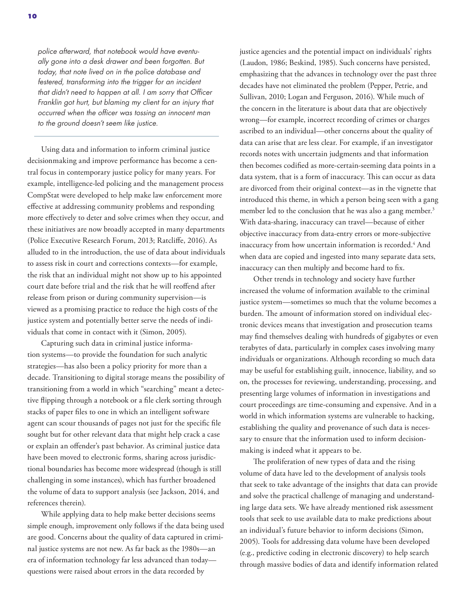*police afterward, that notebook would have eventually gone into a desk drawer and been forgotten. But today, that note lived on in the police database and festered, transforming into the trigger for an incident that didn't need to happen at all. I am sorry that Officer Franklin got hurt, but blaming my client for an injury that occurred when the officer was tossing an innocent man to the ground doesn't seem like justice.*

Using data and information to inform criminal justice decisionmaking and improve performance has become a central focus in contemporary justice policy for many years. For example, intelligence-led policing and the management process CompStat were developed to help make law enforcement more effective at addressing community problems and responding more effectively to deter and solve crimes when they occur, and these initiatives are now broadly accepted in many departments (Police Executive Research Forum, 2013; Ratcliffe, 2016). As alluded to in the introduction, the use of data about individuals to assess risk in court and corrections contexts—for example, the risk that an individual might not show up to his appointed court date before trial and the risk that he will reoffend after release from prison or during community supervision—is viewed as a promising practice to reduce the high costs of the justice system and potentially better serve the needs of individuals that come in contact with it (Simon, 2005).

Capturing such data in criminal justice information systems—to provide the foundation for such analytic strategies—has also been a policy priority for more than a decade. Transitioning to digital storage means the possibility of transitioning from a world in which "searching" meant a detective flipping through a notebook or a file clerk sorting through stacks of paper files to one in which an intelligent software agent can scour thousands of pages not just for the specific file sought but for other relevant data that might help crack a case or explain an offender's past behavior. As criminal justice data have been moved to electronic forms, sharing across jurisdictional boundaries has become more widespread (though is still challenging in some instances), which has further broadened the volume of data to support analysis (see Jackson, 2014, and references therein).

While applying data to help make better decisions seems simple enough, improvement only follows if the data being used are good. Concerns about the quality of data captured in criminal justice systems are not new. As far back as the 1980s—an era of information technology far less advanced than today questions were raised about errors in the data recorded by

justice agencies and the potential impact on individuals' rights (Laudon, 1986; Beskind, 1985). Such concerns have persisted, emphasizing that the advances in technology over the past three decades have not eliminated the problem (Pepper, Petrie, and Sullivan, 2010; Logan and Ferguson, 2016). While much of the concern in the literature is about data that are objectively wrong—for example, incorrect recording of crimes or charges ascribed to an individual—other concerns about the quality of data can arise that are less clear. For example, if an investigator records notes with uncertain judgments and that information then becomes codified as more-certain-seeming data points in a data system, that is a form of inaccuracy. This can occur as data are divorced from their original context—as in the vignette that introduced this theme, in which a person being seen with a gang member led to the conclusion that he was also a gang member.<sup>3</sup> With data-sharing, inaccuracy can travel—because of either objective inaccuracy from data-entry errors or more-subjective inaccuracy from how uncertain information is recorded.<sup>4</sup> And when data are copied and ingested into many separate data sets, inaccuracy can then multiply and become hard to fix.

Other trends in technology and society have further increased the volume of information available to the criminal justice system—sometimes so much that the volume becomes a burden. The amount of information stored on individual electronic devices means that investigation and prosecution teams may find themselves dealing with hundreds of gigabytes or even terabytes of data, particularly in complex cases involving many individuals or organizations. Although recording so much data may be useful for establishing guilt, innocence, liability, and so on, the processes for reviewing, understanding, processing, and presenting large volumes of information in investigations and court proceedings are time-consuming and expensive. And in a world in which information systems are vulnerable to hacking, establishing the quality and provenance of such data is necessary to ensure that the information used to inform decisionmaking is indeed what it appears to be.

The proliferation of new types of data and the rising volume of data have led to the development of analysis tools that seek to take advantage of the insights that data can provide and solve the practical challenge of managing and understanding large data sets. We have already mentioned risk assessment tools that seek to use available data to make predictions about an individual's future behavior to inform decisions (Simon, 2005). Tools for addressing data volume have been developed (e.g., predictive coding in electronic discovery) to help search through massive bodies of data and identify information related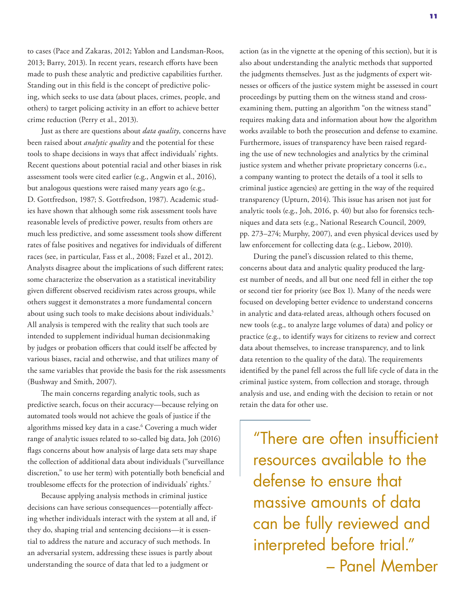to cases (Pace and Zakaras, 2012; Yablon and Landsman-Roos, 2013; Barry, 2013). In recent years, research efforts have been made to push these analytic and predictive capabilities further. Standing out in this field is the concept of predictive policing, which seeks to use data (about places, crimes, people, and others) to target policing activity in an effort to achieve better crime reduction (Perry et al., 2013).

Just as there are questions about *data quality*, concerns have been raised about *analytic quality* and the potential for these tools to shape decisions in ways that affect individuals' rights. Recent questions about potential racial and other biases in risk assessment tools were cited earlier (e.g., Angwin et al., 2016), but analogous questions were raised many years ago (e.g., D. Gottfredson, 1987; S. Gottfredson, 1987). Academic studies have shown that although some risk assessment tools have reasonable levels of predictive power, results from others are much less predictive, and some assessment tools show different rates of false positives and negatives for individuals of different races (see, in particular, Fass et al., 2008; Fazel et al., 2012). Analysts disagree about the implications of such different rates; some characterize the observation as a statistical inevitability given different observed recidivism rates across groups, while others suggest it demonstrates a more fundamental concern about using such tools to make decisions about individuals.<sup>5</sup> All analysis is tempered with the reality that such tools are intended to supplement individual human decisionmaking by judges or probation officers that could itself be affected by various biases, racial and otherwise, and that utilizes many of the same variables that provide the basis for the risk assessments (Bushway and Smith, 2007).

The main concerns regarding analytic tools, such as predictive search, focus on their accuracy—because relying on automated tools would not achieve the goals of justice if the algorithms missed key data in a case.6 Covering a much wider range of analytic issues related to so-called big data, Joh (2016) flags concerns about how analysis of large data sets may shape the collection of additional data about individuals ("surveillance discretion," to use her term) with potentially both beneficial and troublesome effects for the protection of individuals' rights.7

Because applying analysis methods in criminal justice decisions can have serious consequences—potentially affecting whether individuals interact with the system at all and, if they do, shaping trial and sentencing decisions—it is essential to address the nature and accuracy of such methods. In an adversarial system, addressing these issues is partly about understanding the source of data that led to a judgment or

action (as in the vignette at the opening of this section), but it is also about understanding the analytic methods that supported the judgments themselves. Just as the judgments of expert witnesses or officers of the justice system might be assessed in court proceedings by putting them on the witness stand and crossexamining them, putting an algorithm "on the witness stand" requires making data and information about how the algorithm works available to both the prosecution and defense to examine. Furthermore, issues of transparency have been raised regarding the use of new technologies and analytics by the criminal justice system and whether private proprietary concerns (i.e., a company wanting to protect the details of a tool it sells to criminal justice agencies) are getting in the way of the required transparency (Upturn, 2014). This issue has arisen not just for analytic tools (e.g., Joh, 2016, p. 40) but also for forensics techniques and data sets (e.g., National Research Council, 2009, pp. 273–274; Murphy, 2007), and even physical devices used by law enforcement for collecting data (e.g., Liebow, 2010).

During the panel's discussion related to this theme, concerns about data and analytic quality produced the largest number of needs, and all but one need fell in either the top or second tier for priority (see Box 1). Many of the needs were focused on developing better evidence to understand concerns in analytic and data-related areas, although others focused on new tools (e.g., to analyze large volumes of data) and policy or practice (e.g., to identify ways for citizens to review and correct data about themselves, to increase transparency, and to link data retention to the quality of the data). The requirements identified by the panel fell across the full life cycle of data in the criminal justice system, from collection and storage, through analysis and use, and ending with the decision to retain or not retain the data for other use.

"There are often insufficient resources available to the defense to ensure that massive amounts of data can be fully reviewed and interpreted before trial." – Panel Member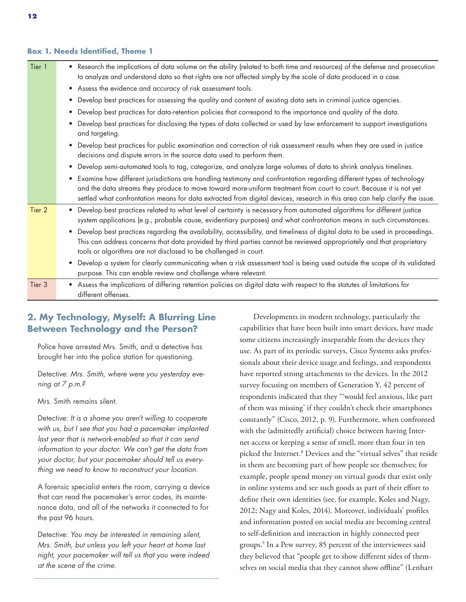### **Box 1. Needs Identified, Theme 1**

| Tier 1 | • Research the implications of data volume on the ability (related to both time and resources) of the defense and prosecution<br>to analyze and understand data so that rights are not affected simply by the scale of data produced in a case.                                                                                                                           |
|--------|---------------------------------------------------------------------------------------------------------------------------------------------------------------------------------------------------------------------------------------------------------------------------------------------------------------------------------------------------------------------------|
|        | • Assess the evidence and accuracy of risk assessment tools.                                                                                                                                                                                                                                                                                                              |
|        | Develop best practices for assessing the quality and content of existing data sets in criminal justice agencies.                                                                                                                                                                                                                                                          |
|        | Develop best practices for data-retention policies that correspond to the importance and quality of the data.                                                                                                                                                                                                                                                             |
|        | Develop best practices for disclosing the types of data collected or used by law enforcement to support investigations<br>and targeting.                                                                                                                                                                                                                                  |
|        | Develop best practices for public examination and correction of risk assessment results when they are used in justice<br>decisions and dispute errors in the source data used to perform them.                                                                                                                                                                            |
|        | Develop semi-automated tools to tag, categorize, and analyze large volumes of data to shrink analysis timelines.                                                                                                                                                                                                                                                          |
|        | Examine how different jurisdictions are handling testimony and confrontation regarding different types of technology<br>and the data streams they produce to move toward more-uniform treatment from court to court. Because it is not yet<br>settled what confrontation means for data extracted from digital devices, research in this area can help clarify the issue. |
| Tier 2 | Develop best practices related to what level of certainty is necessary from automated algorithms for different justice<br>system applications (e.g., probable cause, evidentiary purposes) and what confrontation means in such circumstances.                                                                                                                            |
|        | Develop best practices regarding the availability, accessibility, and timeliness of digital data to be used in proceedings.<br>This can address concerns that data provided by third parties cannot be reviewed appropriately and that proprietary<br>tools or algorithms are not disclosed to be challenged in court.                                                    |
|        | Develop a system for clearly communicating when a risk assessment tool is being used outside the scope of its validated<br>$\bullet$<br>purpose. This can enable review and challenge where relevant.                                                                                                                                                                     |
| Tier 3 | • Assess the implications of differing retention policies on digital data with respect to the statutes of limitations for<br>different offenses.                                                                                                                                                                                                                          |

### **2. My Technology, Myself: A Blurring Line Between Technology and the Person?**

Police have arrested Mrs. Smith, and a detective has brought her into the police station for questioning.

Detective: *Mrs. Smith, where were you yesterday evening at 7 p.m.?*

Mrs. Smith remains silent.

Detective: *It is a shame you aren't willing to cooperate with us, but I see that you had a pacemaker implanted last year that is network-enabled so that it can send information to your doctor. We can't get the data from your doctor, but your pacemaker should tell us everything we need to know to reconstruct your location.*

A forensic specialist enters the room, carrying a device that can read the pacemaker's error codes, its maintenance data, and all of the networks it connected to for the past 96 hours.

Detective: *You may be interested in remaining silent, Mrs. Smith, but unless you left your heart at home last night, your pacemaker will tell us that you were indeed at the scene of the crime.*

Developments in modern technology, particularly the capabilities that have been built into smart devices, have made some citizens increasingly inseparable from the devices they use. As part of its periodic surveys, Cisco Systems asks professionals about their device usage and feelings, and respondents have reported strong attachments to the devices. In the 2012 survey focusing on members of Generation Y, 42 percent of respondents indicated that they "'would feel anxious, like part of them was missing' if they couldn't check their smartphones constantly" (Cisco, 2012, p. 9). Furthermore, when confronted with the (admittedly artificial) choice between having Internet access or keeping a sense of smell, more than four in ten picked the Internet.8 Devices and the "virtual selves" that reside in them are becoming part of how people see themselves; for example, people spend money on virtual goods that exist only in online systems and see such goods as part of their effort to define their own identities (see, for example, Koles and Nagy, 2012; Nagy and Koles, 2014). Moreover, individuals' profiles and information posted on social media are becoming central to self-definition and interaction in highly connected peer groups.9 In a Pew survey, 85 percent of the interviewees said they believed that "people get to show different sides of themselves on social media that they cannot show offline" (Lenhart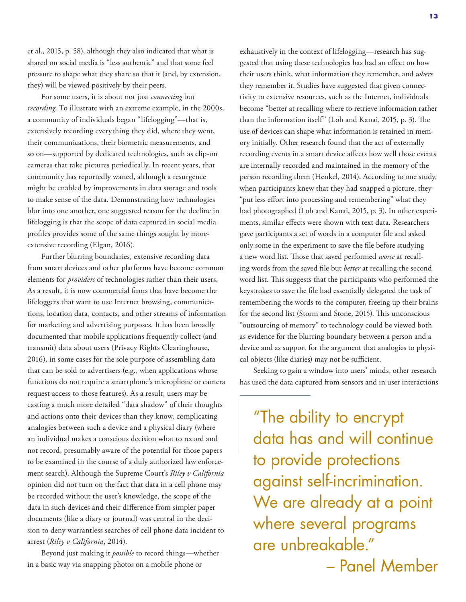et al., 2015, p. 58), although they also indicated that what is shared on social media is "less authentic" and that some feel pressure to shape what they share so that it (and, by extension, they) will be viewed positively by their peers.

For some users, it is about not just *connecting* but *recording*. To illustrate with an extreme example, in the 2000s, a community of individuals began "lifelogging"—that is, extensively recording everything they did, where they went, their communications, their biometric measurements, and so on—supported by dedicated technologies, such as clip-on cameras that take pictures periodically. In recent years, that community has reportedly waned, although a resurgence might be enabled by improvements in data storage and tools to make sense of the data. Demonstrating how technologies blur into one another, one suggested reason for the decline in lifelogging is that the scope of data captured in social media profiles provides some of the same things sought by moreextensive recording (Elgan, 2016).

Further blurring boundaries, extensive recording data from smart devices and other platforms have become common elements for *providers* of technologies rather than their users. As a result, it is now commercial firms that have become the lifeloggers that want to use Internet browsing, communications, location data, contacts, and other streams of information for marketing and advertising purposes. It has been broadly documented that mobile applications frequently collect (and transmit) data about users (Privacy Rights Clearinghouse, 2016), in some cases for the sole purpose of assembling data that can be sold to advertisers (e.g., when applications whose functions do not require a smartphone's microphone or camera request access to those features). As a result, users may be casting a much more detailed "data shadow" of their thoughts and actions onto their devices than they know, complicating analogies between such a device and a physical diary (where an individual makes a conscious decision what to record and not record, presumably aware of the potential for those papers to be examined in the course of a duly authorized law enforcement search). Although the Supreme Court's *Riley v California* opinion did not turn on the fact that data in a cell phone may be recorded without the user's knowledge, the scope of the data in such devices and their difference from simpler paper documents (like a diary or journal) was central in the decision to deny warrantless searches of cell phone data incident to arrest (*Riley v California*, 2014).

Beyond just making it *possible* to record things—whether in a basic way via snapping photos on a mobile phone or

exhaustively in the context of lifelogging—research has suggested that using these technologies has had an effect on how their users think, what information they remember, and *where* they remember it. Studies have suggested that given connectivity to extensive resources, such as the Internet, individuals become "better at recalling where to retrieve information rather than the information itself" (Loh and Kanai, 2015, p. 3). The use of devices can shape what information is retained in memory initially. Other research found that the act of externally recording events in a smart device affects how well those events are internally recorded and maintained in the memory of the person recording them (Henkel, 2014). According to one study, when participants knew that they had snapped a picture, they "put less effort into processing and remembering" what they had photographed (Loh and Kanai, 2015, p. 3). In other experiments, similar effects were shown with text data. Researchers gave participants a set of words in a computer file and asked only some in the experiment to save the file before studying a new word list. Those that saved performed *worse* at recalling words from the saved file but *better* at recalling the second word list. This suggests that the participants who performed the keystrokes to save the file had essentially delegated the task of remembering the words to the computer, freeing up their brains for the second list (Storm and Stone, 2015). This unconscious "outsourcing of memory" to technology could be viewed both as evidence for the blurring boundary between a person and a device and as support for the argument that analogies to physical objects (like diaries) may not be sufficient.

Seeking to gain a window into users' minds, other research has used the data captured from sensors and in user interactions

"The ability to encrypt data has and will continue to provide protections against self-incrimination. We are already at a point where several programs are unbreakable." – Panel Member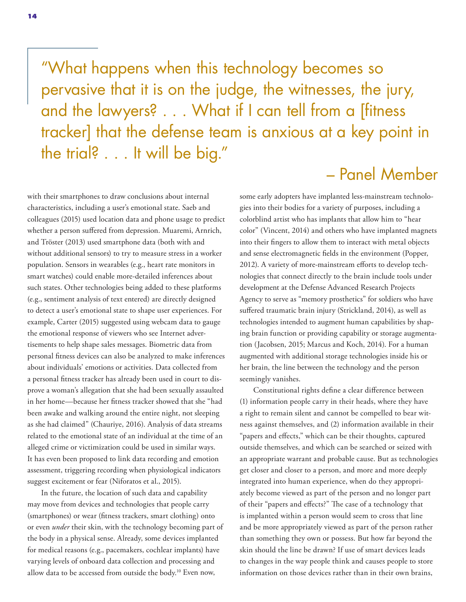"What happens when this technology becomes so pervasive that it is on the judge, the witnesses, the jury, and the lawyers? . . . What if I can tell from a [fitness tracker] that the defense team is anxious at a key point in the trial? . . . It will be big."

## – Panel Member

with their smartphones to draw conclusions about internal characteristics, including a user's emotional state. Saeb and colleagues (2015) used location data and phone usage to predict whether a person suffered from depression. Muaremi, Arnrich, and Tröster (2013) used smartphone data (both with and without additional sensors) to try to measure stress in a worker population. Sensors in wearables (e.g., heart rate monitors in smart watches) could enable more-detailed inferences about such states. Other technologies being added to these platforms (e.g., sentiment analysis of text entered) are directly designed to detect a user's emotional state to shape user experiences. For example, Carter (2015) suggested using webcam data to gauge the emotional response of viewers who see Internet advertisements to help shape sales messages. Biometric data from personal fitness devices can also be analyzed to make inferences about individuals' emotions or activities. Data collected from a personal fitness tracker has already been used in court to disprove a woman's allegation that she had been sexually assaulted in her home—because her fitness tracker showed that she "had been awake and walking around the entire night, not sleeping as she had claimed" (Chauriye, 2016). Analysis of data streams related to the emotional state of an individual at the time of an alleged crime or victimization could be used in similar ways. It has even been proposed to link data recording and emotion assessment, triggering recording when physiological indicators suggest excitement or fear (Niforatos et al., 2015).

In the future, the location of such data and capability may move from devices and technologies that people carry (smartphones) or wear (fitness trackers, smart clothing) onto or even *under* their skin, with the technology becoming part of the body in a physical sense. Already, some devices implanted for medical reasons (e.g., pacemakers, cochlear implants) have varying levels of onboard data collection and processing and allow data to be accessed from outside the body.10 Even now,

some early adopters have implanted less-mainstream technologies into their bodies for a variety of purposes, including a colorblind artist who has implants that allow him to "hear color" (Vincent, 2014) and others who have implanted magnets into their fingers to allow them to interact with metal objects and sense electromagnetic fields in the environment (Popper, 2012). A variety of more-mainstream efforts to develop technologies that connect directly to the brain include tools under development at the Defense Advanced Research Projects Agency to serve as "memory prosthetics" for soldiers who have suffered traumatic brain injury (Strickland, 2014), as well as technologies intended to augment human capabilities by shaping brain function or providing capability or storage augmentation (Jacobsen, 2015; Marcus and Koch, 2014). For a human augmented with additional storage technologies inside his or her brain, the line between the technology and the person seemingly vanishes.

Constitutional rights define a clear difference between (1) information people carry in their heads, where they have a right to remain silent and cannot be compelled to bear witness against themselves, and (2) information available in their "papers and effects," which can be their thoughts, captured outside themselves, and which can be searched or seized with an appropriate warrant and probable cause. But as technologies get closer and closer to a person, and more and more deeply integrated into human experience, when do they appropriately become viewed as part of the person and no longer part of their "papers and effects?" The case of a technology that is implanted within a person would seem to cross that line and be more appropriately viewed as part of the person rather than something they own or possess. But how far beyond the skin should the line be drawn? If use of smart devices leads to changes in the way people think and causes people to store information on those devices rather than in their own brains,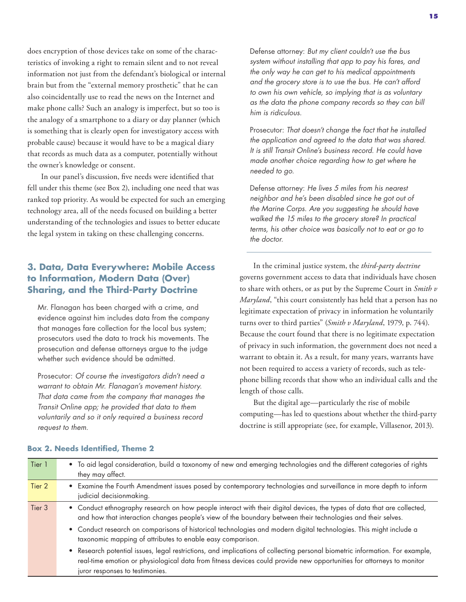does encryption of those devices take on some of the characteristics of invoking a right to remain silent and to not reveal information not just from the defendant's biological or internal brain but from the "external memory prosthetic" that he can also coincidentally use to read the news on the Internet and make phone calls? Such an analogy is imperfect, but so too is the analogy of a smartphone to a diary or day planner (which is something that is clearly open for investigatory access with probable cause) because it would have to be a magical diary that records as much data as a computer, potentially without the owner's knowledge or consent.

In our panel's discussion, five needs were identified that fell under this theme (see Box 2), including one need that was ranked top priority. As would be expected for such an emerging technology area, all of the needs focused on building a better understanding of the technologies and issues to better educate the legal system in taking on these challenging concerns.

### **3. Data, Data Everywhere: Mobile Access to Information, Modern Data (Over) Sharing, and the Third-Party Doctrine**

Mr. Flanagan has been charged with a crime, and evidence against him includes data from the company that manages fare collection for the local bus system; prosecutors used the data to track his movements. The prosecution and defense attorneys argue to the judge whether such evidence should be admitted.

Prosecutor: *Of course the investigators didn't need a warrant to obtain Mr. Flanagan's movement history. That data came from the company that manages the Transit Online app; he provided that data to them voluntarily and so it only required a business record request to them.*

Defense attorney: *But my client couldn't use the bus system without installing that app to pay his fares, and the only way he can get to his medical appointments and the grocery store is to use the bus. He can't afford to own his own vehicle, so implying that is as voluntary as the data the phone company records so they can bill him is ridiculous.*

Prosecutor: *That doesn't change the fact that he installed the application and agreed to the data that was shared. It is still Transit Online's business record. He could have made another choice regarding how to get where he needed to go.*

Defense attorney: *He lives 5 miles from his nearest neighbor and he's been disabled since he got out of the Marine Corps. Are you suggesting he should have walked the 15 miles to the grocery store? In practical terms, his other choice was basically not to eat or go to the doctor*.

In the criminal justice system, the *third-party doctrine* governs government access to data that individuals have chosen to share with others, or as put by the Supreme Court in *Smith v Maryland*, "this court consistently has held that a person has no legitimate expectation of privacy in information he voluntarily turns over to third parties" (*Smith v Maryland*, 1979, p. 744). Because the court found that there is no legitimate expectation of privacy in such information, the government does not need a warrant to obtain it. As a result, for many years, warrants have not been required to access a variety of records, such as telephone billing records that show who an individual calls and the length of those calls.

But the digital age—particularly the rise of mobile computing—has led to questions about whether the third-party doctrine is still appropriate (see, for example, Villasenor, 2013).

| Tier 1 | • To aid legal consideration, build a taxonomy of new and emerging technologies and the different categories of rights<br>they may affect.                                                                                                                                               |
|--------|------------------------------------------------------------------------------------------------------------------------------------------------------------------------------------------------------------------------------------------------------------------------------------------|
| Tier 2 | • Examine the Fourth Amendment issues posed by contemporary technologies and surveillance in more depth to inform<br>judicial decisionmaking.                                                                                                                                            |
| Tier 3 | • Conduct ethnography research on how people interact with their digital devices, the types of data that are collected,<br>and how that interaction changes people's view of the boundary between their technologies and their selves.                                                   |
|        | • Conduct research on comparisons of historical technologies and modern digital technologies. This might include a<br>taxonomic mapping of attributes to enable easy comparison.                                                                                                         |
|        | • Research potential issues, legal restrictions, and implications of collecting personal biometric information. For example,<br>real-time emotion or physiological data from fitness devices could provide new opportunities for attorneys to monitor<br>juror responses to testimonies. |

### **Box 2. Needs Identified, Theme 2**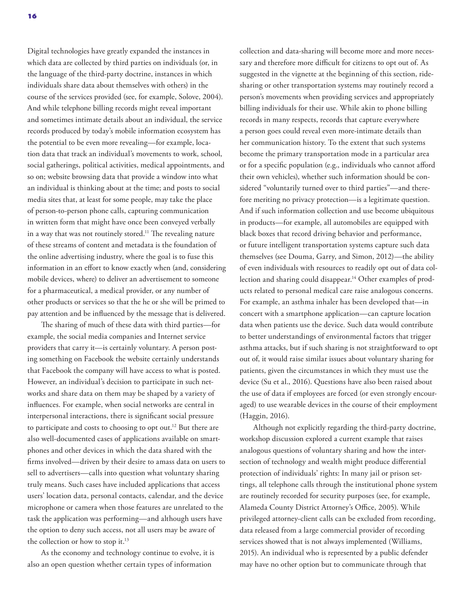Digital technologies have greatly expanded the instances in which data are collected by third parties on individuals (or, in the language of the third-party doctrine, instances in which individuals share data about themselves with others) in the course of the services provided (see, for example, Solove, 2004). And while telephone billing records might reveal important and sometimes intimate details about an individual, the service records produced by today's mobile information ecosystem has the potential to be even more revealing—for example, location data that track an individual's movements to work, school, social gatherings, political activities, medical appointments, and so on; website browsing data that provide a window into what an individual is thinking about at the time; and posts to social media sites that, at least for some people, may take the place of person-to-person phone calls, capturing communication in written form that might have once been conveyed verbally in a way that was not routinely stored.<sup>11</sup> The revealing nature of these streams of content and metadata is the foundation of the online advertising industry, where the goal is to fuse this information in an effort to know exactly when (and, considering mobile devices, where) to deliver an advertisement to someone for a pharmaceutical, a medical provider, or any number of other products or services so that the he or she will be primed to pay attention and be influenced by the message that is delivered.

The sharing of much of these data with third parties—for example, the social media companies and Internet service providers that carry it—is certainly voluntary. A person posting something on Facebook the website certainly understands that Facebook the company will have access to what is posted. However, an individual's decision to participate in such networks and share data on them may be shaped by a variety of influences. For example, when social networks are central in interpersonal interactions, there is significant social pressure to participate and costs to choosing to opt out.<sup>12</sup> But there are also well-documented cases of applications available on smartphones and other devices in which the data shared with the firms involved—driven by their desire to amass data on users to sell to advertisers—calls into question what voluntary sharing truly means. Such cases have included applications that access users' location data, personal contacts, calendar, and the device microphone or camera when those features are unrelated to the task the application was performing—and although users have the option to deny such access, not all users may be aware of the collection or how to stop it.<sup>13</sup>

As the economy and technology continue to evolve, it is also an open question whether certain types of information

collection and data-sharing will become more and more necessary and therefore more difficult for citizens to opt out of. As suggested in the vignette at the beginning of this section, ridesharing or other transportation systems may routinely record a person's movements when providing services and appropriately billing individuals for their use. While akin to phone billing records in many respects, records that capture everywhere a person goes could reveal even more-intimate details than her communication history. To the extent that such systems become the primary transportation mode in a particular area or for a specific population (e.g., individuals who cannot afford their own vehicles), whether such information should be considered "voluntarily turned over to third parties"—and therefore meriting no privacy protection—is a legitimate question. And if such information collection and use become ubiquitous in products—for example, all automobiles are equipped with black boxes that record driving behavior and performance, or future intelligent transportation systems capture such data themselves (see Douma, Garry, and Simon, 2012)—the ability of even individuals with resources to readily opt out of data collection and sharing could disappear.<sup>14</sup> Other examples of products related to personal medical care raise analogous concerns. For example, an asthma inhaler has been developed that—in concert with a smartphone application—can capture location data when patients use the device. Such data would contribute to better understandings of environmental factors that trigger asthma attacks, but if such sharing is not straightforward to opt out of, it would raise similar issues about voluntary sharing for patients, given the circumstances in which they must use the device (Su et al., 2016). Questions have also been raised about the use of data if employees are forced (or even strongly encouraged) to use wearable devices in the course of their employment (Haggin, 2016).

Although not explicitly regarding the third-party doctrine, workshop discussion explored a current example that raises analogous questions of voluntary sharing and how the intersection of technology and wealth might produce differential protection of individuals' rights: In many jail or prison settings, all telephone calls through the institutional phone system are routinely recorded for security purposes (see, for example, Alameda County District Attorney's Office, 2005). While privileged attorney-client calls can be excluded from recording, data released from a large commercial provider of recording services showed that is not always implemented (Williams, 2015). An individual who is represented by a public defender may have no other option but to communicate through that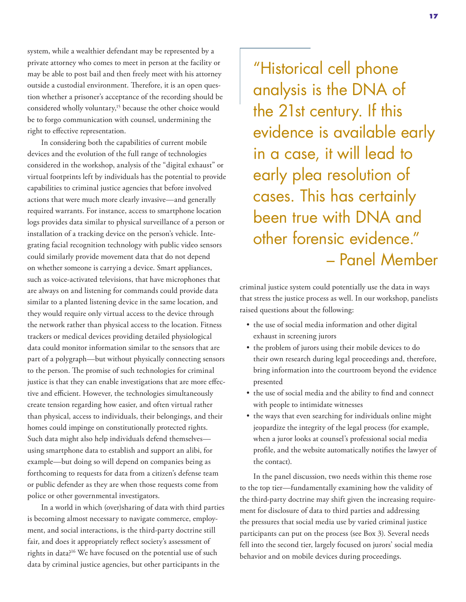system, while a wealthier defendant may be represented by a private attorney who comes to meet in person at the facility or may be able to post bail and then freely meet with his attorney outside a custodial environment. Therefore, it is an open question whether a prisoner's acceptance of the recording should be considered wholly voluntary,<sup>15</sup> because the other choice would be to forgo communication with counsel, undermining the right to effective representation.

In considering both the capabilities of current mobile devices and the evolution of the full range of technologies considered in the workshop, analysis of the "digital exhaust" or virtual footprints left by individuals has the potential to provide capabilities to criminal justice agencies that before involved actions that were much more clearly invasive—and generally required warrants. For instance, access to smartphone location logs provides data similar to physical surveillance of a person or installation of a tracking device on the person's vehicle. Integrating facial recognition technology with public video sensors could similarly provide movement data that do not depend on whether someone is carrying a device. Smart appliances, such as voice-activated televisions, that have microphones that are always on and listening for commands could provide data similar to a planted listening device in the same location, and they would require only virtual access to the device through the network rather than physical access to the location. Fitness trackers or medical devices providing detailed physiological data could monitor information similar to the sensors that are part of a polygraph—but without physically connecting sensors to the person. The promise of such technologies for criminal justice is that they can enable investigations that are more effective and efficient. However, the technologies simultaneously create tension regarding how easier, and often virtual rather than physical, access to individuals, their belongings, and their homes could impinge on constitutionally protected rights. Such data might also help individuals defend themselves using smartphone data to establish and support an alibi, for example—but doing so will depend on companies being as forthcoming to requests for data from a citizen's defense team or public defender as they are when those requests come from police or other governmental investigators.

In a world in which (over)sharing of data with third parties is becoming almost necessary to navigate commerce, employment, and social interactions, is the third-party doctrine still fair, and does it appropriately reflect society's assessment of rights in data?16 We have focused on the potential use of such data by criminal justice agencies, but other participants in the

"Historical cell phone analysis is the DNA of the 21st century. If this evidence is available early in a case, it will lead to early plea resolution of cases. This has certainly been true with DNA and other forensic evidence." – Panel Member

criminal justice system could potentially use the data in ways that stress the justice process as well. In our workshop, panelists raised questions about the following:

- the use of social media information and other digital exhaust in screening jurors
- the problem of jurors using their mobile devices to do their own research during legal proceedings and, therefore, bring information into the courtroom beyond the evidence presented
- the use of social media and the ability to find and connect with people to intimidate witnesses
- the ways that even searching for individuals online might jeopardize the integrity of the legal process (for example, when a juror looks at counsel's professional social media profile, and the website automatically notifies the lawyer of the contact).

In the panel discussion, two needs within this theme rose to the top tier—fundamentally examining how the validity of the third-party doctrine may shift given the increasing requirement for disclosure of data to third parties and addressing the pressures that social media use by varied criminal justice participants can put on the process (see Box 3). Several needs fell into the second tier, largely focused on jurors' social media behavior and on mobile devices during proceedings.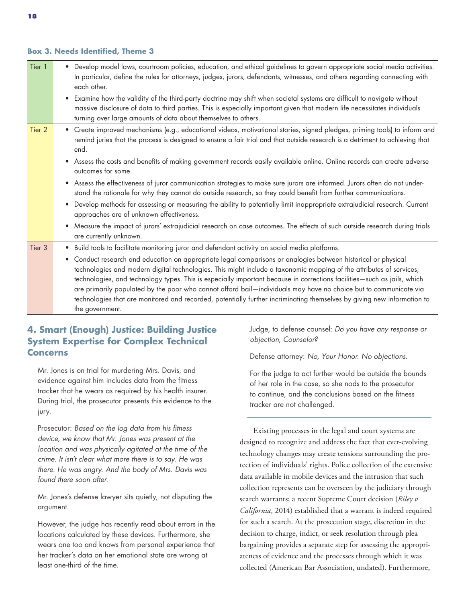### **Box 3. Needs Identified, Theme 3**

| Tier 1 | Develop model laws, courtroom policies, education, and ethical guidelines to govern appropriate social media activities.<br>In particular, define the rules for attorneys, judges, jurors, defendants, witnesses, and others regarding connecting with<br>each other.                                                                                                                                                                                                                                                                                                                                                                        |
|--------|----------------------------------------------------------------------------------------------------------------------------------------------------------------------------------------------------------------------------------------------------------------------------------------------------------------------------------------------------------------------------------------------------------------------------------------------------------------------------------------------------------------------------------------------------------------------------------------------------------------------------------------------|
|        | Examine how the validity of the third-party doctrine may shift when societal systems are difficult to navigate without<br>$\bullet$<br>massive disclosure of data to third parties. This is especially important given that modern life necessitates individuals<br>turning over large amounts of data about themselves to others.                                                                                                                                                                                                                                                                                                           |
| Tier 2 | • Create improved mechanisms (e.g., educational videos, motivational stories, signed pledges, priming tools) to inform and<br>remind juries that the process is designed to ensure a fair trial and that outside research is a detriment to achieving that<br>end.                                                                                                                                                                                                                                                                                                                                                                           |
|        | Assess the costs and benefits of making government records easily available online. Online records can create adverse<br>$\bullet$<br>outcomes for some.                                                                                                                                                                                                                                                                                                                                                                                                                                                                                     |
|        | Assess the effectiveness of juror communication strategies to make sure jurors are informed. Jurors often do not under-<br>$\bullet$<br>stand the rationale for why they cannot do outside research, so they could benefit from further communications.                                                                                                                                                                                                                                                                                                                                                                                      |
|        | Develop methods for assessing or measuring the ability to potentially limit inappropriate extrajudicial research. Current<br>$\bullet$<br>approaches are of unknown effectiveness.                                                                                                                                                                                                                                                                                                                                                                                                                                                           |
|        | Measure the impact of jurors' extrajudicial research on case outcomes. The effects of such outside research during trials<br>$\bullet$<br>are currently unknown.                                                                                                                                                                                                                                                                                                                                                                                                                                                                             |
| Tier 3 | • Build tools to facilitate monitoring juror and defendant activity on social media platforms.                                                                                                                                                                                                                                                                                                                                                                                                                                                                                                                                               |
|        | Conduct research and education on appropriate legal comparisons or analogies between historical or physical<br>$\bullet$<br>technologies and modern digital technologies. This might include a taxonomic mapping of the attributes of services,<br>technologies, and technology types. This is especially important because in corrections facilities-such as jails, which<br>are primarily populated by the poor who cannot afford bail—individuals may have no choice but to communicate via<br>technologies that are monitored and recorded, potentially further incriminating themselves by giving new information to<br>the government. |

### **4. Smart (Enough) Justice: Building Justice System Expertise for Complex Technical Concerns**

Mr. Jones is on trial for murdering Mrs. Davis, and evidence against him includes data from the fitness tracker that he wears as required by his health insurer. During trial, the prosecutor presents this evidence to the jury.

Prosecutor: *Based on the log data from his fitness device, we know that Mr. Jones was present at the location and was physically agitated at the time of the crime. It isn't clear what more there is to say. He was there. He was angry. And the body of Mrs. Davis was found there soon after.*

Mr. Jones's defense lawyer sits quietly, not disputing the argument.

However, the judge has recently read about errors in the locations calculated by these devices. Furthermore, she wears one too and knows from personal experience that her tracker's data on her emotional state are wrong at least one-third of the time.

Judge, to defense counsel: *Do you have any response or objection, Counselor?*

Defense attorney: *No, Your Honor. No objections.*

For the judge to act further would be outside the bounds of her role in the case, so she nods to the prosecutor to continue, and the conclusions based on the fitness tracker are not challenged.

Existing processes in the legal and court systems are designed to recognize and address the fact that ever-evolving technology changes may create tensions surrounding the protection of individuals' rights. Police collection of the extensive data available in mobile devices and the intrusion that such collection represents can be overseen by the judiciary through search warrants; a recent Supreme Court decision (*Riley v California*, 2014) established that a warrant is indeed required for such a search. At the prosecution stage, discretion in the decision to charge, indict, or seek resolution through plea bargaining provides a separate step for assessing the appropriateness of evidence and the processes through which it was collected (American Bar Association, undated). Furthermore,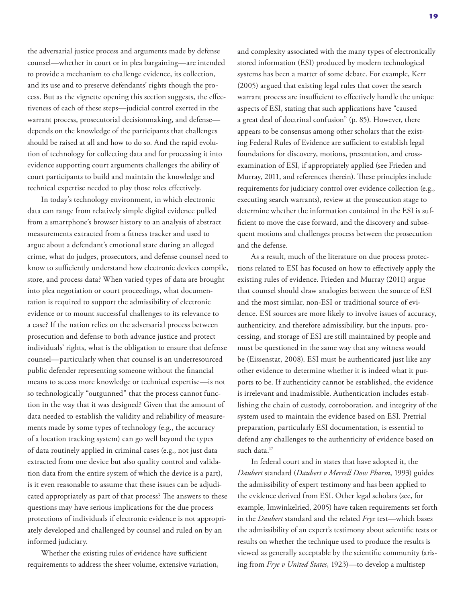the adversarial justice process and arguments made by defense counsel—whether in court or in plea bargaining—are intended to provide a mechanism to challenge evidence, its collection, and its use and to preserve defendants' rights though the process. But as the vignette opening this section suggests, the effectiveness of each of these steps—judicial control exerted in the warrant process, prosecutorial decisionmaking, and defense depends on the knowledge of the participants that challenges should be raised at all and how to do so. And the rapid evolution of technology for collecting data and for processing it into evidence supporting court arguments challenges the ability of court participants to build and maintain the knowledge and technical expertise needed to play those roles effectively.

In today's technology environment, in which electronic data can range from relatively simple digital evidence pulled from a smartphone's browser history to an analysis of abstract measurements extracted from a fitness tracker and used to argue about a defendant's emotional state during an alleged crime, what do judges, prosecutors, and defense counsel need to know to sufficiently understand how electronic devices compile, store, and process data? When varied types of data are brought into plea negotiation or court proceedings, what documentation is required to support the admissibility of electronic evidence or to mount successful challenges to its relevance to a case? If the nation relies on the adversarial process between prosecution and defense to both advance justice and protect individuals' rights, what is the obligation to ensure that defense counsel—particularly when that counsel is an underresourced public defender representing someone without the financial means to access more knowledge or technical expertise—is not so technologically "outgunned" that the process cannot function in the way that it was designed? Given that the amount of data needed to establish the validity and reliability of measurements made by some types of technology (e.g., the accuracy of a location tracking system) can go well beyond the types of data routinely applied in criminal cases (e.g., not just data extracted from one device but also quality control and validation data from the entire system of which the device is a part), is it even reasonable to assume that these issues can be adjudicated appropriately as part of that process? The answers to these questions may have serious implications for the due process protections of individuals if electronic evidence is not appropriately developed and challenged by counsel and ruled on by an informed judiciary.

Whether the existing rules of evidence have sufficient requirements to address the sheer volume, extensive variation, and complexity associated with the many types of electronically stored information (ESI) produced by modern technological systems has been a matter of some debate. For example, Kerr (2005) argued that existing legal rules that cover the search warrant process are insufficient to effectively handle the unique aspects of ESI, stating that such applications have "caused a great deal of doctrinal confusion" (p. 85). However, there appears to be consensus among other scholars that the existing Federal Rules of Evidence are sufficient to establish legal foundations for discovery, motions, presentation, and crossexamination of ESI, if appropriately applied (see Frieden and Murray, 2011, and references therein). These principles include requirements for judiciary control over evidence collection (e.g., executing search warrants), review at the prosecution stage to determine whether the information contained in the ESI is sufficient to move the case forward, and the discovery and subsequent motions and challenges process between the prosecution and the defense.

As a result, much of the literature on due process protections related to ESI has focused on how to effectively apply the existing rules of evidence. Frieden and Murray (2011) argue that counsel should draw analogies between the source of ESI and the most similar, non-ESI or traditional source of evidence. ESI sources are more likely to involve issues of accuracy, authenticity, and therefore admissibility, but the inputs, processing, and storage of ESI are still maintained by people and must be questioned in the same way that any witness would be (Eissenstat, 2008). ESI must be authenticated just like any other evidence to determine whether it is indeed what it purports to be. If authenticity cannot be established, the evidence is irrelevant and inadmissible. Authentication includes establishing the chain of custody, corroboration, and integrity of the system used to maintain the evidence based on ESI. Pretrial preparation, particularly ESI documentation, is essential to defend any challenges to the authenticity of evidence based on such data.<sup>17</sup>

In federal court and in states that have adopted it, the *Daubert* standard (*Daubert v Merrell Dow Pharm*, 1993) guides the admissibility of expert testimony and has been applied to the evidence derived from ESI. Other legal scholars (see, for example, Imwinkelried, 2005) have taken requirements set forth in the *Daubert* standard and the related *Frye* test—which bases the admissibility of an expert's testimony about scientific tests or results on whether the technique used to produce the results is viewed as generally acceptable by the scientific community (arising from *Frye v United States*, 1923)—to develop a multistep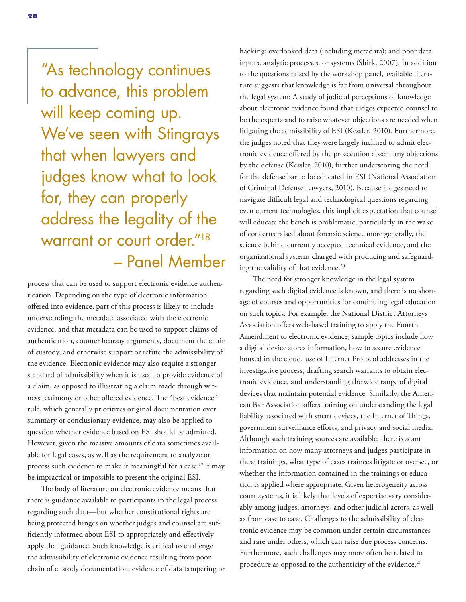"As technology continues to advance, this problem will keep coming up. We've seen with Stingrays that when lawyers and judges know what to look for, they can properly address the legality of the warrant or court order."18 – Panel Member

process that can be used to support electronic evidence authentication. Depending on the type of electronic information offered into evidence, part of this process is likely to include understanding the metadata associated with the electronic evidence, and that metadata can be used to support claims of authentication, counter hearsay arguments, document the chain of custody, and otherwise support or refute the admissibility of the evidence. Electronic evidence may also require a stronger standard of admissibility when it is used to provide evidence of a claim, as opposed to illustrating a claim made through witness testimony or other offered evidence. The "best evidence" rule, which generally prioritizes original documentation over summary or conclusionary evidence, may also be applied to question whether evidence based on ESI should be admitted. However, given the massive amounts of data sometimes available for legal cases, as well as the requirement to analyze or process such evidence to make it meaningful for a case,<sup>19</sup> it may be impractical or impossible to present the original ESI.

The body of literature on electronic evidence means that there is guidance available to participants in the legal process regarding such data—but whether constitutional rights are being protected hinges on whether judges and counsel are sufficiently informed about ESI to appropriately and effectively apply that guidance. Such knowledge is critical to challenge the admissibility of electronic evidence resulting from poor chain of custody documentation; evidence of data tampering or hacking; overlooked data (including metadata); and poor data inputs, analytic processes, or systems (Shirk, 2007). In addition to the questions raised by the workshop panel, available literature suggests that knowledge is far from universal throughout the legal system: A study of judicial perceptions of knowledge about electronic evidence found that judges expected counsel to be the experts and to raise whatever objections are needed when litigating the admissibility of ESI (Kessler, 2010). Furthermore, the judges noted that they were largely inclined to admit electronic evidence offered by the prosecution absent any objections by the defense (Kessler, 2010), further underscoring the need for the defense bar to be educated in ESI (National Association of Criminal Defense Lawyers, 2010). Because judges need to navigate difficult legal and technological questions regarding even current technologies, this implicit expectation that counsel will educate the bench is problematic, particularly in the wake of concerns raised about forensic science more generally, the science behind currently accepted technical evidence, and the organizational systems charged with producing and safeguarding the validity of that evidence.<sup>20</sup>

The need for stronger knowledge in the legal system regarding such digital evidence is known, and there is no shortage of courses and opportunities for continuing legal education on such topics. For example, the National District Attorneys Association offers web-based training to apply the Fourth Amendment to electronic evidence; sample topics include how a digital device stores information, how to secure evidence housed in the cloud, use of Internet Protocol addresses in the investigative process, drafting search warrants to obtain electronic evidence, and understanding the wide range of digital devices that maintain potential evidence. Similarly, the American Bar Association offers training on understanding the legal liability associated with smart devices, the Internet of Things, government surveillance efforts, and privacy and social media. Although such training sources are available, there is scant information on how many attorneys and judges participate in these trainings, what type of cases trainees litigate or oversee, or whether the information contained in the trainings or education is applied where appropriate. Given heterogeneity across court systems, it is likely that levels of expertise vary considerably among judges, attorneys, and other judicial actors, as well as from case to case. Challenges to the admissibility of electronic evidence may be common under certain circumstances and rare under others, which can raise due process concerns. Furthermore, such challenges may more often be related to procedure as opposed to the authenticity of the evidence.<sup>21</sup>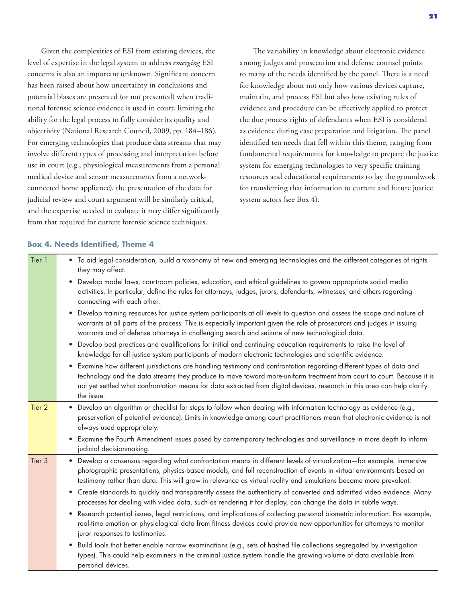Given the complexities of ESI from existing devices, the level of expertise in the legal system to address *emerging* ESI concerns is also an important unknown. Significant concern has been raised about how uncertainty in conclusions and potential biases are presented (or not presented) when traditional forensic science evidence is used in court, limiting the ability for the legal process to fully consider its quality and objectivity (National Research Council, 2009, pp. 184–186). For emerging technologies that produce data streams that may involve different types of processing and interpretation before use in court (e.g., physiological measurements from a personal medical device and sensor measurements from a networkconnected home appliance), the presentation of the data for judicial review and court argument will be similarly critical, and the expertise needed to evaluate it may differ significantly from that required for current forensic science techniques.

The variability in knowledge about electronic evidence among judges and prosecution and defense counsel points to many of the needs identified by the panel. There is a need for knowledge about not only how various devices capture, maintain, and process ESI but also how existing rules of evidence and procedure can be effectively applied to protect the due process rights of defendants when ESI is considered as evidence during case preparation and litigation. The panel identified ten needs that fell within this theme, ranging from fundamental requirements for knowledge to prepare the justice system for emerging technologies to very specific training resources and educational requirements to lay the groundwork for transferring that information to current and future justice system actors (see Box 4).

### **Box 4. Needs Identified, Theme 4**

| Tier 1 | • To aid legal consideration, build a taxonomy of new and emerging technologies and the different categories of rights<br>they may affect.                                                                                                                                                                                                                                                         |
|--------|----------------------------------------------------------------------------------------------------------------------------------------------------------------------------------------------------------------------------------------------------------------------------------------------------------------------------------------------------------------------------------------------------|
|        | Develop model laws, courtroom policies, education, and ethical guidelines to govern appropriate social media<br>activities. In particular, define the rules for attorneys, judges, jurors, defendants, witnesses, and others regarding<br>connecting with each other.                                                                                                                              |
|        | Develop training resources for justice system participants at all levels to question and assess the scope and nature of<br>٠<br>warrants at all parts of the process. This is especially important given the role of prosecutors and judges in issuing<br>warrants and of defense attorneys in challenging search and seizure of new technological data.                                           |
|        | Develop best practices and qualifications for initial and continuing education requirements to raise the level of<br>$\bullet$<br>knowledge for all justice system participants of modern electronic technologies and scientific evidence.                                                                                                                                                         |
|        | Examine how different jurisdictions are handling testimony and confrontation regarding different types of data and<br>$\bullet$<br>technology and the data streams they produce to move toward more-uniform treatment from court to court. Because it is<br>not yet settled what confrontation means for data extracted from digital devices, research in this area can help clarify<br>the issue. |
| Tier 2 | • Develop an algorithm or checklist for steps to follow when dealing with information technology as evidence (e.g.,<br>preservation of potential evidence). Limits in knowledge among court practitioners mean that electronic evidence is not<br>always used appropriately.                                                                                                                       |
|        | • Examine the Fourth Amendment issues posed by contemporary technologies and surveillance in more depth to inform<br>judicial decisionmaking.                                                                                                                                                                                                                                                      |
| Tier 3 | • Develop a consensus regarding what confrontation means in different levels of virtualization—for example, immersive<br>photographic presentations, physics-based models, and full reconstruction of events in virtual environments based on<br>testimony rather than data. This will grow in relevance as virtual reality and simulations become more prevalent.                                 |
|        | • Create standards to quickly and transparently assess the authenticity of converted and admitted video evidence. Many<br>processes for dealing with video data, such as rendering it for display, can change the data in subtle ways.                                                                                                                                                             |
|        | Research potential issues, legal restrictions, and implications of collecting personal biometric information. For example,<br>$\bullet$<br>real-time emotion or physiological data from fitness devices could provide new opportunities for attorneys to monitor<br>juror responses to testimonies.                                                                                                |
|        | Build tools that better enable narrow examinations (e.g., sets of hashed file collections segregated by investigation<br>$\bullet$<br>types). This could help examiners in the criminal justice system handle the growing volume of data available from<br>personal devices.                                                                                                                       |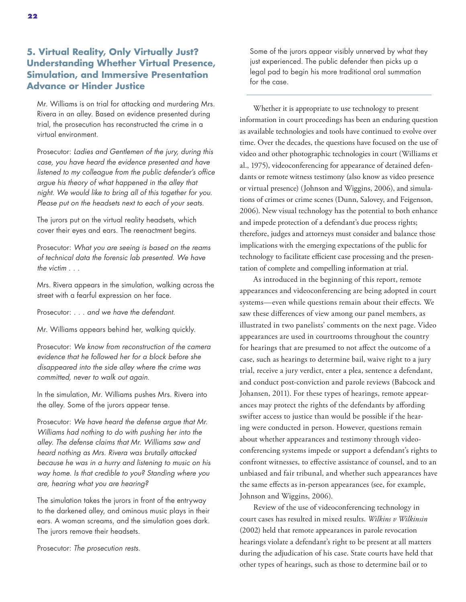### **5. Virtual Reality, Only Virtually Just? Understanding Whether Virtual Presence, Simulation, and Immersive Presentation Advance or Hinder Justice**

Mr. Williams is on trial for attacking and murdering Mrs. Rivera in an alley. Based on evidence presented during trial, the prosecution has reconstructed the crime in a virtual environment.

Prosecutor: *Ladies and Gentlemen of the jury, during this case, you have heard the evidence presented and have listened to my colleague from the public defender's office argue his theory of what happened in the alley that night. We would like to bring all of this together for you. Please put on the headsets next to each of your seats.*

The jurors put on the virtual reality headsets, which cover their eyes and ears. The reenactment begins.

Prosecutor: *What you are seeing is based on the reams of technical data the forensic lab presented. We have the victim . . .*

Mrs. Rivera appears in the simulation, walking across the street with a fearful expression on her face.

Prosecutor: *. . . and we have the defendant.*

Mr. Williams appears behind her, walking quickly.

Prosecutor: *We know from reconstruction of the camera evidence that he followed her for a block before she disappeared into the side alley where the crime was committed, never to walk out again.*

In the simulation, Mr. Williams pushes Mrs. Rivera into the alley. Some of the jurors appear tense.

Prosecutor: *We have heard the defense argue that Mr. Williams had nothing to do with pushing her into the alley. The defense claims that Mr. Williams saw and heard nothing as Mrs. Rivera was brutally attacked because he was in a hurry and listening to music on his way home. Is that credible to you? Standing where you are, hearing what you are hearing?*

The simulation takes the jurors in front of the entryway to the darkened alley, and ominous music plays in their ears. A woman screams, and the simulation goes dark. The jurors remove their headsets.

Prosecutor: *The prosecution rests.*

Some of the jurors appear visibly unnerved by what they just experienced. The public defender then picks up a legal pad to begin his more traditional oral summation for the case.

Whether it is appropriate to use technology to present information in court proceedings has been an enduring question as available technologies and tools have continued to evolve over time. Over the decades, the questions have focused on the use of video and other photographic technologies in court (Williams et al., 1975), videoconferencing for appearance of detained defendants or remote witness testimony (also know as video presence or virtual presence) (Johnson and Wiggins, 2006), and simulations of crimes or crime scenes (Dunn, Salovey, and Feigenson, 2006). New visual technology has the potential to both enhance and impede protection of a defendant's due process rights; therefore, judges and attorneys must consider and balance those implications with the emerging expectations of the public for technology to facilitate efficient case processing and the presentation of complete and compelling information at trial.

As introduced in the beginning of this report, remote appearances and videoconferencing are being adopted in court systems—even while questions remain about their effects. We saw these differences of view among our panel members, as illustrated in two panelists' comments on the next page. Video appearances are used in courtrooms throughout the country for hearings that are presumed to not affect the outcome of a case, such as hearings to determine bail, waive right to a jury trial, receive a jury verdict, enter a plea, sentence a defendant, and conduct post-conviction and parole reviews (Babcock and Johansen, 2011). For these types of hearings, remote appearances may protect the rights of the defendants by affording swifter access to justice than would be possible if the hearing were conducted in person. However, questions remain about whether appearances and testimony through videoconferencing systems impede or support a defendant's rights to confront witnesses, to effective assistance of counsel, and to an unbiased and fair tribunal, and whether such appearances have the same effects as in-person appearances (see, for example, Johnson and Wiggins, 2006).

Review of the use of videoconferencing technology in court cases has resulted in mixed results. *Wilkins v Wilkinsin* (2002) held that remote appearances in parole revocation hearings violate a defendant's right to be present at all matters during the adjudication of his case. State courts have held that other types of hearings, such as those to determine bail or to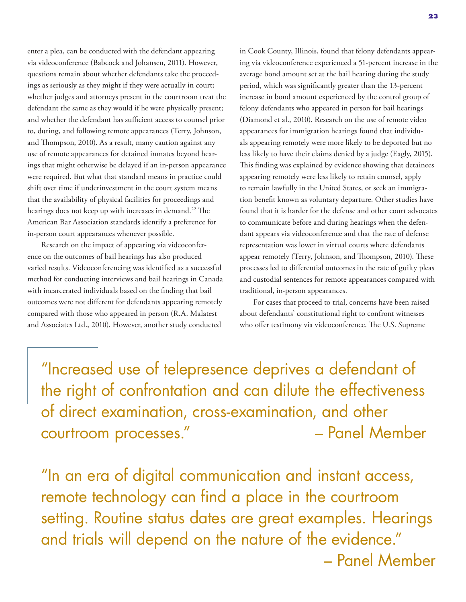enter a plea, can be conducted with the defendant appearing via videoconference (Babcock and Johansen, 2011). However, questions remain about whether defendants take the proceedings as seriously as they might if they were actually in court; whether judges and attorneys present in the courtroom treat the defendant the same as they would if he were physically present; and whether the defendant has sufficient access to counsel prior to, during, and following remote appearances (Terry, Johnson, and Thompson, 2010). As a result, many caution against any use of remote appearances for detained inmates beyond hearings that might otherwise be delayed if an in-person appearance were required. But what that standard means in practice could shift over time if underinvestment in the court system means that the availability of physical facilities for proceedings and hearings does not keep up with increases in demand.<sup>22</sup> The American Bar Association standards identify a preference for in-person court appearances whenever possible.

Research on the impact of appearing via videoconference on the outcomes of bail hearings has also produced varied results. Videoconferencing was identified as a successful method for conducting interviews and bail hearings in Canada with incarcerated individuals based on the finding that bail outcomes were not different for defendants appearing remotely compared with those who appeared in person (R.A. Malatest and Associates Ltd., 2010). However, another study conducted

in Cook County, Illinois, found that felony defendants appearing via videoconference experienced a 51-percent increase in the average bond amount set at the bail hearing during the study period, which was significantly greater than the 13-percent increase in bond amount experienced by the control group of felony defendants who appeared in person for bail hearings (Diamond et al., 2010). Research on the use of remote video appearances for immigration hearings found that individuals appearing remotely were more likely to be deported but no less likely to have their claims denied by a judge (Eagly, 2015). This finding was explained by evidence showing that detainees appearing remotely were less likely to retain counsel, apply to remain lawfully in the United States, or seek an immigration benefit known as voluntary departure. Other studies have found that it is harder for the defense and other court advocates to communicate before and during hearings when the defendant appears via videoconference and that the rate of defense representation was lower in virtual courts where defendants appear remotely (Terry, Johnson, and Thompson, 2010). These processes led to differential outcomes in the rate of guilty pleas and custodial sentences for remote appearances compared with traditional, in-person appearances.

For cases that proceed to trial, concerns have been raised about defendants' constitutional right to confront witnesses who offer testimony via videoconference. The U.S. Supreme

"Increased use of telepresence deprives a defendant of the right of confrontation and can dilute the effectiveness of direct examination, cross-examination, and other courtroom processes." – Panel Member

"In an era of digital communication and instant access, remote technology can find a place in the courtroom setting. Routine status dates are great examples. Hearings and trials will depend on the nature of the evidence." – Panel Member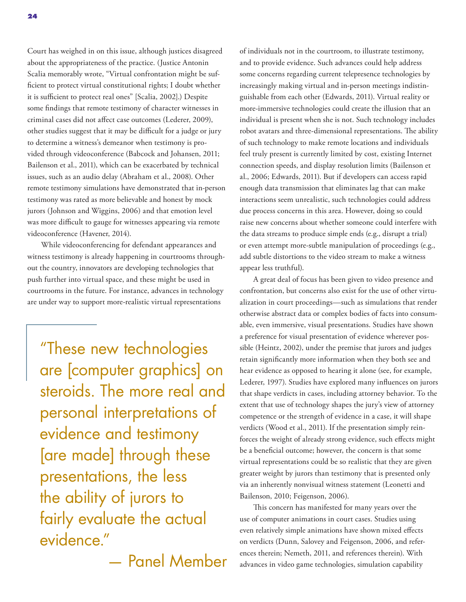Court has weighed in on this issue, although justices disagreed about the appropriateness of the practice. (Justice Antonin Scalia memorably wrote, "Virtual confrontation might be sufficient to protect virtual constitutional rights; I doubt whether it is sufficient to protect real ones" [Scalia, 2002].) Despite some findings that remote testimony of character witnesses in criminal cases did not affect case outcomes (Lederer, 2009), other studies suggest that it may be difficult for a judge or jury to determine a witness's demeanor when testimony is provided through videoconference (Babcock and Johansen, 2011; Bailenson et al., 2011), which can be exacerbated by technical issues, such as an audio delay (Abraham et al., 2008). Other remote testimony simulations have demonstrated that in-person testimony was rated as more believable and honest by mock jurors (Johnson and Wiggins, 2006) and that emotion level was more difficult to gauge for witnesses appearing via remote videoconference (Havener, 2014).

While videoconferencing for defendant appearances and witness testimony is already happening in courtrooms throughout the country, innovators are developing technologies that push further into virtual space, and these might be used in courtrooms in the future. For instance, advances in technology are under way to support more-realistic virtual representations

"These new technologies are [computer graphics] on steroids. The more real and personal interpretations of evidence and testimony [are made] through these presentations, the less the ability of jurors to fairly evaluate the actual evidence."

— Panel Member

of individuals not in the courtroom, to illustrate testimony, and to provide evidence. Such advances could help address some concerns regarding current telepresence technologies by increasingly making virtual and in-person meetings indistinguishable from each other (Edwards, 2011). Virtual reality or more-immersive technologies could create the illusion that an individual is present when she is not. Such technology includes robot avatars and three-dimensional representations. The ability of such technology to make remote locations and individuals feel truly present is currently limited by cost, existing Internet connection speeds, and display resolution limits (Bailenson et al., 2006; Edwards, 2011). But if developers can access rapid enough data transmission that eliminates lag that can make interactions seem unrealistic, such technologies could address due process concerns in this area. However, doing so could raise new concerns about whether someone could interfere with the data streams to produce simple ends (e.g., disrupt a trial) or even attempt more-subtle manipulation of proceedings (e.g., add subtle distortions to the video stream to make a witness appear less truthful).

A great deal of focus has been given to video presence and confrontation, but concerns also exist for the use of other virtualization in court proceedings—such as simulations that render otherwise abstract data or complex bodies of facts into consumable, even immersive, visual presentations. Studies have shown a preference for visual presentation of evidence wherever possible (Heintz, 2002), under the premise that jurors and judges retain significantly more information when they both see and hear evidence as opposed to hearing it alone (see, for example, Lederer, 1997). Studies have explored many influences on jurors that shape verdicts in cases, including attorney behavior. To the extent that use of technology shapes the jury's view of attorney competence or the strength of evidence in a case, it will shape verdicts (Wood et al., 2011). If the presentation simply reinforces the weight of already strong evidence, such effects might be a beneficial outcome; however, the concern is that some virtual representations could be so realistic that they are given greater weight by jurors than testimony that is presented only via an inherently nonvisual witness statement (Leonetti and Bailenson, 2010; Feigenson, 2006).

This concern has manifested for many years over the use of computer animations in court cases. Studies using even relatively simple animations have shown mixed effects on verdicts (Dunn, Salovey and Feigenson, 2006, and references therein; Nemeth, 2011, and references therein). With advances in video game technologies, simulation capability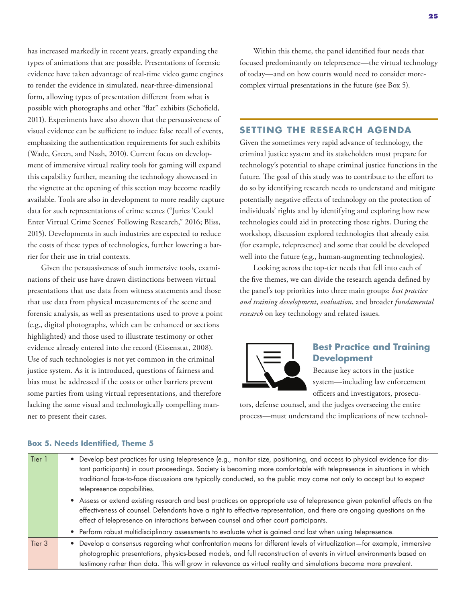has increased markedly in recent years, greatly expanding the types of animations that are possible. Presentations of forensic evidence have taken advantage of real-time video game engines to render the evidence in simulated, near-three-dimensional form, allowing types of presentation different from what is possible with photographs and other "flat" exhibits (Schofield, 2011). Experiments have also shown that the persuasiveness of visual evidence can be sufficient to induce false recall of events, emphasizing the authentication requirements for such exhibits (Wade, Green, and Nash, 2010). Current focus on development of immersive virtual reality tools for gaming will expand this capability further, meaning the technology showcased in the vignette at the opening of this section may become readily available. Tools are also in development to more readily capture data for such representations of crime scenes ("Juries 'Could Enter Virtual Crime Scenes' Following Research," 2016; Bliss, 2015). Developments in such industries are expected to reduce the costs of these types of technologies, further lowering a barrier for their use in trial contexts.

Given the persuasiveness of such immersive tools, examinations of their use have drawn distinctions between virtual presentations that use data from witness statements and those that use data from physical measurements of the scene and forensic analysis, as well as presentations used to prove a point (e.g., digital photographs, which can be enhanced or sections highlighted) and those used to illustrate testimony or other evidence already entered into the record (Eissenstat, 2008). Use of such technologies is not yet common in the criminal justice system. As it is introduced, questions of fairness and bias must be addressed if the costs or other barriers prevent some parties from using virtual representations, and therefore lacking the same visual and technologically compelling manner to present their cases.

Within this theme, the panel identified four needs that focused predominantly on telepresence—the virtual technology of today—and on how courts would need to consider morecomplex virtual presentations in the future (see Box 5).

### **SETTING THE RESEARCH AGENDA**

Given the sometimes very rapid advance of technology, the criminal justice system and its stakeholders must prepare for technology's potential to shape criminal justice functions in the future. The goal of this study was to contribute to the effort to do so by identifying research needs to understand and mitigate potentially negative effects of technology on the protection of individuals' rights and by identifying and exploring how new technologies could aid in protecting those rights. During the workshop, discussion explored technologies that already exist (for example, telepresence) and some that could be developed well into the future (e.g., human-augmenting technologies).

Looking across the top-tier needs that fell into each of the five themes, we can divide the research agenda defined by the panel's top priorities into three main groups: *best practice and training development*, *evaluation*, and broader *fundamental research* on key technology and related issues.



### **Best Practice and Training Development**

Because key actors in the justice system—including law enforcement officers and investigators, prosecu-

tors, defense counsel, and the judges overseeing the entire process—must understand the implications of new technol-

### Tier 1 • Develop best practices for using telepresence (e.g., monitor size, positioning, and access to physical evidence for distant participants) in court proceedings. Society is becoming more comfortable with telepresence in situations in which traditional face-to-face discussions are typically conducted, so the public may come not only to accept but to expect telepresence capabilities. • Assess or extend existing research and best practices on appropriate use of telepresence given potential effects on the effectiveness of counsel. Defendants have a right to effective representation, and there are ongoing questions on the effect of telepresence on interactions between counsel and other court participants. • Perform robust multidisciplinary assessments to evaluate what is gained and lost when using telepresence. Tier 3 • Develop a consensus regarding what confrontation means for different levels of virtualization—for example, immersive photographic presentations, physics-based models, and full reconstruction of events in virtual environments based on testimony rather than data. This will grow in relevance as virtual reality and simulations become more prevalent.

### **Box 5. Needs Identified, Theme 5**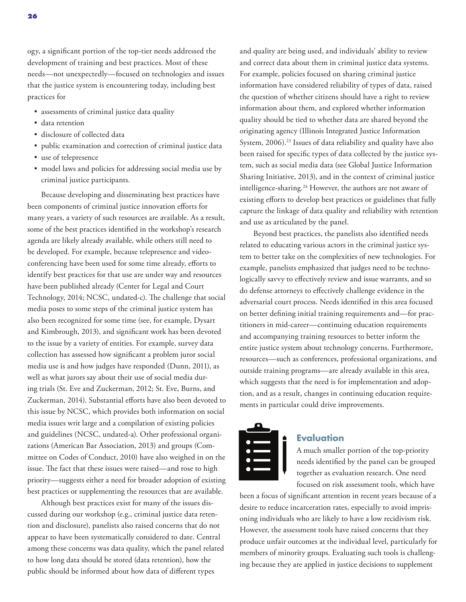ogy, a significant portion of the top-tier needs addressed the development of training and best practices. Most of these needs—not unexpectedly—focused on technologies and issues that the justice system is encountering today, including best practices for

- assessments of criminal justice data quality
- data retention
- disclosure of collected data
- public examination and correction of criminal justice data
- use of telepresence
- model laws and policies for addressing social media use by criminal justice participants.

Because developing and disseminating best practices have been components of criminal justice innovation efforts for many years, a variety of such resources are available. As a result, some of the best practices identified in the workshop's research agenda are likely already available, while others still need to be developed. For example, because telepresence and videoconferencing have been used for some time already, efforts to identify best practices for that use are under way and resources have been published already (Center for Legal and Court Technology, 2014; NCSC, undated-c). The challenge that social media poses to some steps of the criminal justice system has also been recognized for some time (see, for example, Dysart and Kimbrough, 2013), and significant work has been devoted to the issue by a variety of entities. For example, survey data collection has assessed how significant a problem juror social media use is and how judges have responded (Dunn, 2011), as well as what jurors say about their use of social media during trials (St. Eve and Zuckerman, 2012; St. Eve, Burns, and Zuckerman, 2014). Substantial efforts have also been devoted to this issue by NCSC, which provides both information on social media issues writ large and a compilation of existing policies and guidelines (NCSC, undated-a). Other professional organizations (American Bar Association, 2013) and groups (Committee on Codes of Conduct, 2010) have also weighed in on the issue. The fact that these issues were raised—and rose to high priority—suggests either a need for broader adoption of existing best practices or supplementing the resources that are available.

Although best practices exist for many of the issues discussed during our workshop (e.g., criminal justice data retention and disclosure), panelists also raised concerns that do not appear to have been systematically considered to date. Central among these concerns was data quality, which the panel related to how long data should be stored (data retention), how the public should be informed about how data of different types

and quality are being used, and individuals' ability to review and correct data about them in criminal justice data systems. For example, policies focused on sharing criminal justice information have considered reliability of types of data, raised the question of whether citizens should have a right to review information about them, and explored whether information quality should be tied to whether data are shared beyond the originating agency (Illinois Integrated Justice Information System, 2006).<sup>23</sup> Issues of data reliability and quality have also been raised for specific types of data collected by the justice system, such as social media data (see Global Justice Information Sharing Initiative, 2013), and in the context of criminal justice intelligence-sharing.24 However, the authors are not aware of existing efforts to develop best practices or guidelines that fully capture the linkage of data quality and reliability with retention and use as articulated by the panel.

Beyond best practices, the panelists also identified needs related to educating various actors in the criminal justice system to better take on the complexities of new technologies. For example, panelists emphasized that judges need to be technologically savvy to effectively review and issue warrants, and so do defense attorneys to effectively challenge evidence in the adversarial court process. Needs identified in this area focused on better defining initial training requirements and—for practitioners in mid-career—continuing education requirements and accompanying training resources to better inform the entire justice system about technology concerns. Furthermore, resources—such as conferences, professional organizations, and outside training programs—are already available in this area, which suggests that the need is for implementation and adoption, and as a result, changes in continuing education requirements in particular could drive improvements.



### **Evaluation**

A much smaller portion of the top-priority needs identified by the panel can be grouped together as evaluation research. One need focused on risk assessment tools, which have

been a focus of significant attention in recent years because of a desire to reduce incarceration rates, especially to avoid imprisoning individuals who are likely to have a low recidivism risk. However, the assessment tools have raised concerns that they produce unfair outcomes at the individual level, particularly for members of minority groups. Evaluating such tools is challenging because they are applied in justice decisions to supplement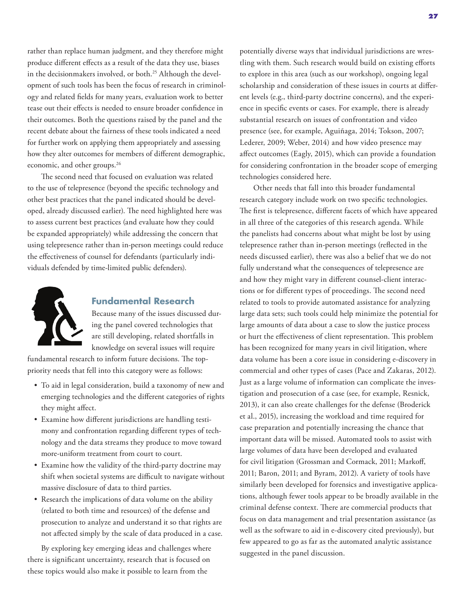rather than replace human judgment, and they therefore might produce different effects as a result of the data they use, biases in the decisionmakers involved, or both.<sup>25</sup> Although the development of such tools has been the focus of research in criminology and related fields for many years, evaluation work to better tease out their effects is needed to ensure broader confidence in their outcomes. Both the questions raised by the panel and the recent debate about the fairness of these tools indicated a need for further work on applying them appropriately and assessing how they alter outcomes for members of different demographic, economic, and other groups.<sup>26</sup>

The second need that focused on evaluation was related to the use of telepresence (beyond the specific technology and other best practices that the panel indicated should be developed, already discussed earlier). The need highlighted here was to assess current best practices (and evaluate how they could be expanded appropriately) while addressing the concern that using telepresence rather than in-person meetings could reduce the effectiveness of counsel for defendants (particularly individuals defended by time-limited public defenders).



### **Fundamental Research**

Because many of the issues discussed during the panel covered technologies that are still developing, related shortfalls in knowledge on several issues will require

fundamental research to inform future decisions. The toppriority needs that fell into this category were as follows:

- To aid in legal consideration, build a taxonomy of new and emerging technologies and the different categories of rights they might affect.
- Examine how different jurisdictions are handling testimony and confrontation regarding different types of technology and the data streams they produce to move toward more-uniform treatment from court to court.
- Examine how the validity of the third-party doctrine may shift when societal systems are difficult to navigate without massive disclosure of data to third parties.
- Research the implications of data volume on the ability (related to both time and resources) of the defense and prosecution to analyze and understand it so that rights are not affected simply by the scale of data produced in a case.

By exploring key emerging ideas and challenges where there is significant uncertainty, research that is focused on these topics would also make it possible to learn from the

potentially diverse ways that individual jurisdictions are wrestling with them. Such research would build on existing efforts to explore in this area (such as our workshop), ongoing legal scholarship and consideration of these issues in courts at different levels (e.g., third-party doctrine concerns), and the experience in specific events or cases. For example, there is already substantial research on issues of confrontation and video presence (see, for example, Aguiñaga, 2014; Tokson, 2007; Lederer, 2009; Weber, 2014) and how video presence may affect outcomes (Eagly, 2015), which can provide a foundation for considering confrontation in the broader scope of emerging technologies considered here.

Other needs that fall into this broader fundamental research category include work on two specific technologies. The first is telepresence, different facets of which have appeared in all three of the categories of this research agenda. While the panelists had concerns about what might be lost by using telepresence rather than in-person meetings (reflected in the needs discussed earlier), there was also a belief that we do not fully understand what the consequences of telepresence are and how they might vary in different counsel-client interactions or for different types of proceedings. The second need related to tools to provide automated assistance for analyzing large data sets; such tools could help minimize the potential for large amounts of data about a case to slow the justice process or hurt the effectiveness of client representation. This problem has been recognized for many years in civil litigation, where data volume has been a core issue in considering e-discovery in commercial and other types of cases (Pace and Zakaras, 2012). Just as a large volume of information can complicate the investigation and prosecution of a case (see, for example, Resnick, 2013), it can also create challenges for the defense (Broderick et al., 2015), increasing the workload and time required for case preparation and potentially increasing the chance that important data will be missed. Automated tools to assist with large volumes of data have been developed and evaluated for civil litigation (Grossman and Cormack, 2011; Markoff, 2011; Baron, 2011; and Byram, 2012). A variety of tools have similarly been developed for forensics and investigative applications, although fewer tools appear to be broadly available in the criminal defense context. There are commercial products that focus on data management and trial presentation assistance (as well as the software to aid in e-discovery cited previously), but few appeared to go as far as the automated analytic assistance suggested in the panel discussion.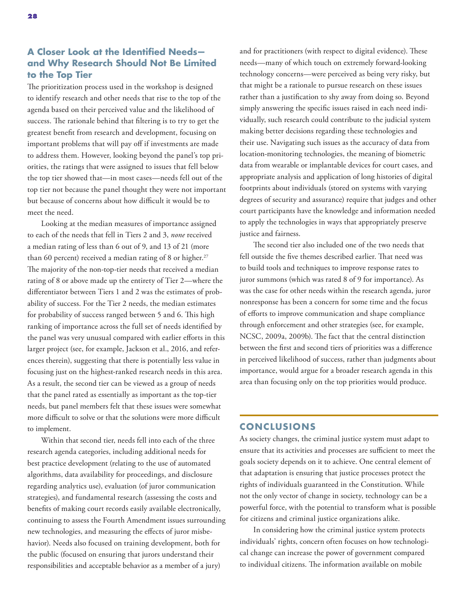The prioritization process used in the workshop is designed to identify research and other needs that rise to the top of the agenda based on their perceived value and the likelihood of success. The rationale behind that filtering is to try to get the greatest benefit from research and development, focusing on important problems that will pay off if investments are made to address them. However, looking beyond the panel's top priorities, the ratings that were assigned to issues that fell below the top tier showed that—in most cases—needs fell out of the top tier not because the panel thought they were not important but because of concerns about how difficult it would be to meet the need.

Looking at the median measures of importance assigned to each of the needs that fell in Tiers 2 and 3, *none* received a median rating of less than 6 out of 9, and 13 of 21 (more than 60 percent) received a median rating of 8 or higher. $27$ The majority of the non-top-tier needs that received a median rating of 8 or above made up the entirety of Tier 2—where the differentiator between Tiers 1 and 2 was the estimates of probability of success. For the Tier 2 needs, the median estimates for probability of success ranged between 5 and 6. This high ranking of importance across the full set of needs identified by the panel was very unusual compared with earlier efforts in this larger project (see, for example, Jackson et al., 2016, and references therein), suggesting that there is potentially less value in focusing just on the highest-ranked research needs in this area. As a result, the second tier can be viewed as a group of needs that the panel rated as essentially as important as the top-tier needs, but panel members felt that these issues were somewhat more difficult to solve or that the solutions were more difficult to implement.

Within that second tier, needs fell into each of the three research agenda categories, including additional needs for best practice development (relating to the use of automated algorithms, data availability for proceedings, and disclosure regarding analytics use), evaluation (of juror communication strategies), and fundamental research (assessing the costs and benefits of making court records easily available electronically, continuing to assess the Fourth Amendment issues surrounding new technologies, and measuring the effects of juror misbehavior). Needs also focused on training development, both for the public (focused on ensuring that jurors understand their responsibilities and acceptable behavior as a member of a jury)

and for practitioners (with respect to digital evidence). These needs—many of which touch on extremely forward-looking technology concerns—were perceived as being very risky, but that might be a rationale to pursue research on these issues rather than a justification to shy away from doing so. Beyond simply answering the specific issues raised in each need individually, such research could contribute to the judicial system making better decisions regarding these technologies and their use. Navigating such issues as the accuracy of data from location-monitoring technologies, the meaning of biometric data from wearable or implantable devices for court cases, and appropriate analysis and application of long histories of digital footprints about individuals (stored on systems with varying degrees of security and assurance) require that judges and other court participants have the knowledge and information needed to apply the technologies in ways that appropriately preserve justice and fairness.

The second tier also included one of the two needs that fell outside the five themes described earlier. That need was to build tools and techniques to improve response rates to juror summons (which was rated 8 of 9 for importance). As was the case for other needs within the research agenda, juror nonresponse has been a concern for some time and the focus of efforts to improve communication and shape compliance through enforcement and other strategies (see, for example, NCSC, 2009a, 2009b). The fact that the central distinction between the first and second tiers of priorities was a difference in perceived likelihood of success, rather than judgments about importance, would argue for a broader research agenda in this area than focusing only on the top priorities would produce.

### **CONCLUSIONS**

As society changes, the criminal justice system must adapt to ensure that its activities and processes are sufficient to meet the goals society depends on it to achieve. One central element of that adaptation is ensuring that justice processes protect the rights of individuals guaranteed in the Constitution. While not the only vector of change in society, technology can be a powerful force, with the potential to transform what is possible for citizens and criminal justice organizations alike.

In considering how the criminal justice system protects individuals' rights, concern often focuses on how technological change can increase the power of government compared to individual citizens. The information available on mobile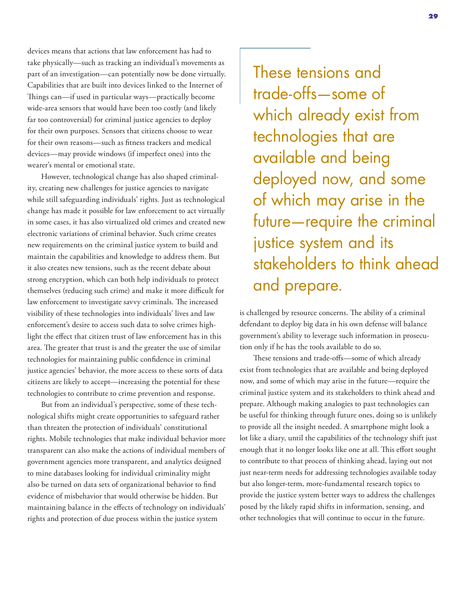devices means that actions that law enforcement has had to take physically—such as tracking an individual's movements as part of an investigation—can potentially now be done virtually. Capabilities that are built into devices linked to the Internet of Things can—if used in particular ways—practically become wide-area sensors that would have been too costly (and likely far too controversial) for criminal justice agencies to deploy for their own purposes. Sensors that citizens choose to wear for their own reasons—such as fitness trackers and medical devices—may provide windows (if imperfect ones) into the wearer's mental or emotional state.

However, technological change has also shaped criminality, creating new challenges for justice agencies to navigate while still safeguarding individuals' rights. Just as technological change has made it possible for law enforcement to act virtually in some cases, it has also virtualized old crimes and created new electronic variations of criminal behavior. Such crime creates new requirements on the criminal justice system to build and maintain the capabilities and knowledge to address them. But it also creates new tensions, such as the recent debate about strong encryption, which can both help individuals to protect themselves (reducing such crime) and make it more difficult for law enforcement to investigate savvy criminals. The increased visibility of these technologies into individuals' lives and law enforcement's desire to access such data to solve crimes highlight the effect that citizen trust of law enforcement has in this area. The greater that trust is and the greater the use of similar technologies for maintaining public confidence in criminal justice agencies' behavior, the more access to these sorts of data citizens are likely to accept—increasing the potential for these technologies to contribute to crime prevention and response.

But from an individual's perspective, some of these technological shifts might create opportunities to safeguard rather than threaten the protection of individuals' constitutional rights. Mobile technologies that make individual behavior more transparent can also make the actions of individual members of government agencies more transparent, and analytics designed to mine databases looking for individual criminality might also be turned on data sets of organizational behavior to find evidence of misbehavior that would otherwise be hidden. But maintaining balance in the effects of technology on individuals' rights and protection of due process within the justice system

These tensions and trade-offs—some of which already exist from technologies that are available and being deployed now, and some of which may arise in the future—require the criminal justice system and its stakeholders to think ahead and prepare.

is challenged by resource concerns. The ability of a criminal defendant to deploy big data in his own defense will balance government's ability to leverage such information in prosecution only if he has the tools available to do so.

These tensions and trade-offs—some of which already exist from technologies that are available and being deployed now, and some of which may arise in the future—require the criminal justice system and its stakeholders to think ahead and prepare. Although making analogies to past technologies can be useful for thinking through future ones, doing so is unlikely to provide all the insight needed. A smartphone might look a lot like a diary, until the capabilities of the technology shift just enough that it no longer looks like one at all. This effort sought to contribute to that process of thinking ahead, laying out not just near-term needs for addressing technologies available today but also longer-term, more-fundamental research topics to provide the justice system better ways to address the challenges posed by the likely rapid shifts in information, sensing, and other technologies that will continue to occur in the future.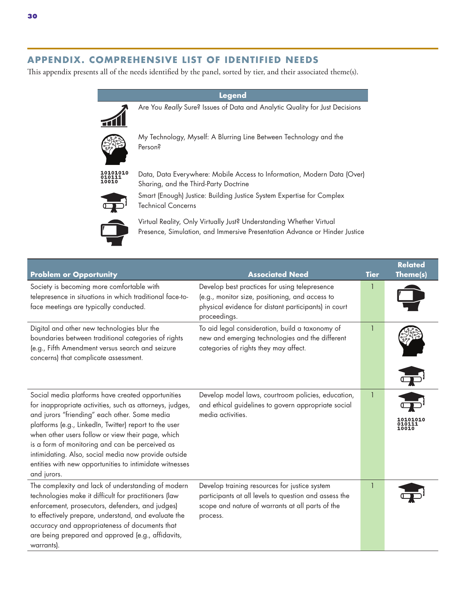### **APPENDIX. COMPREHENSIVE LIST OF IDENTIFIED NEEDS**

This appendix presents all of the needs identified by the panel, sorted by tier, and their associated theme(s).

| Legend         |                                                                                                                                                   |  |  |
|----------------|---------------------------------------------------------------------------------------------------------------------------------------------------|--|--|
|                | Are You Really Sure? Issues of Data and Analytic Quality for Just Decisions                                                                       |  |  |
|                | My Technology, Myself: A Blurring Line Between Technology and the<br>Person?                                                                      |  |  |
| LO1010<br>01 N | Data, Data Everywhere: Mobile Access to Information, Modern Data (Over)<br>Sharing, and the Third-Party Doctrine                                  |  |  |
|                | Smart (Enough) Justice: Building Justice System Expertise for Complex<br><b>Technical Concerns</b>                                                |  |  |
|                | Virtual Reality, Only Virtually Just? Understanding Whether Virtual<br>Presence, Simulation, and Immersive Presentation Advance or Hinder Justice |  |  |

| <b>Problem or Opportunity</b>                                                                                                                                                                                                                                                                                                                                                                                                                                      | <b>Associated Need</b>                                                                                                                                                   | <b>Tier</b> | <b>Related</b><br>Theme(s) |
|--------------------------------------------------------------------------------------------------------------------------------------------------------------------------------------------------------------------------------------------------------------------------------------------------------------------------------------------------------------------------------------------------------------------------------------------------------------------|--------------------------------------------------------------------------------------------------------------------------------------------------------------------------|-------------|----------------------------|
| Society is becoming more comfortable with<br>telepresence in situations in which traditional face-to-<br>face meetings are typically conducted.                                                                                                                                                                                                                                                                                                                    | Develop best practices for using telepresence<br>(e.g., monitor size, positioning, and access to<br>physical evidence for distant participants) in court<br>proceedings. |             |                            |
| Digital and other new technologies blur the<br>boundaries between traditional categories of rights<br>(e.g., Fifth Amendment versus search and seizure<br>concerns) that complicate assessment.                                                                                                                                                                                                                                                                    | To aid legal consideration, build a taxonomy of<br>new and emerging technologies and the different<br>categories of rights they may affect.                              |             |                            |
| Social media platforms have created opportunities<br>for inappropriate activities, such as attorneys, judges,<br>and jurors "friending" each other. Some media<br>platforms (e.g., LinkedIn, Twitter) report to the user<br>when other users follow or view their page, which<br>is a form of monitoring and can be perceived as<br>intimidating. Also, social media now provide outside<br>entities with new opportunities to intimidate witnesses<br>and jurors. | Develop model laws, courtroom policies, education,<br>and ethical guidelines to govern appropriate social<br>media activities.                                           |             | <b>0101010</b><br>0010     |
| The complexity and lack of understanding of modern<br>technologies make it difficult for practitioners (law<br>enforcement, prosecutors, defenders, and judges)<br>to effectively prepare, understand, and evaluate the<br>accuracy and appropriateness of documents that<br>are being prepared and approved (e.g., affidavits,<br>warrants).                                                                                                                      | Develop training resources for justice system<br>participants at all levels to question and assess the<br>scope and nature of warrants at all parts of the<br>process.   |             |                            |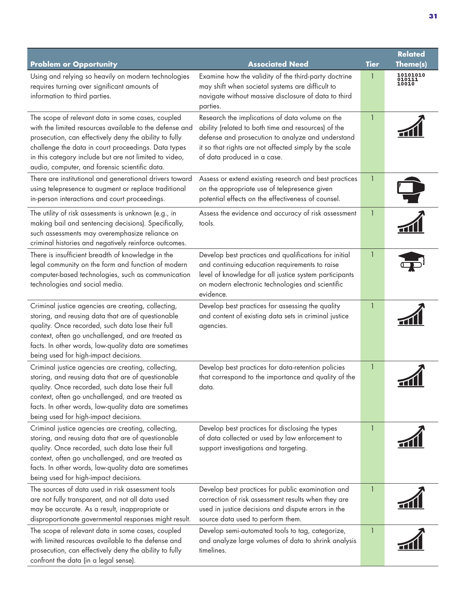|                                                                                                                                                                                                                                                                                                                                           |                                                                                                                                                                                                                                                      |              | <b>Related</b>              |
|-------------------------------------------------------------------------------------------------------------------------------------------------------------------------------------------------------------------------------------------------------------------------------------------------------------------------------------------|------------------------------------------------------------------------------------------------------------------------------------------------------------------------------------------------------------------------------------------------------|--------------|-----------------------------|
| <b>Problem or Opportunity</b>                                                                                                                                                                                                                                                                                                             | <b>Associated Need</b>                                                                                                                                                                                                                               | <b>Tier</b>  | Theme(s)                    |
| Using and relying so heavily on modern technologies<br>requires turning over significant amounts of<br>information to third parties.                                                                                                                                                                                                      | Examine how the validity of the third-party doctrine<br>may shift when societal systems are difficult to<br>navigate without massive disclosure of data to third<br>parties.                                                                         |              | 10101010<br>010111<br>10010 |
| The scope of relevant data in some cases, coupled<br>with the limited resources available to the defense and<br>prosecution, can effectively deny the ability to fully<br>challenge the data in court proceedings. Data types<br>in this category include but are not limited to video,<br>audio, computer, and forensic scientific data. | Research the implications of data volume on the<br>ability (related to both time and resources) of the<br>defense and prosecution to analyze and understand<br>it so that rights are not affected simply by the scale<br>of data produced in a case. | 1            |                             |
| There are institutional and generational drivers toward<br>using telepresence to augment or replace traditional<br>in-person interactions and court proceedings.                                                                                                                                                                          | Assess or extend existing research and best practices<br>on the appropriate use of telepresence given<br>potential effects on the effectiveness of counsel.                                                                                          | $\mathbf{1}$ |                             |
| The utility of risk assessments is unknown (e.g., in<br>making bail and sentencing decisions). Specifically,<br>such assessments may overemphasize reliance on<br>criminal histories and negatively reinforce outcomes.                                                                                                                   | Assess the evidence and accuracy of risk assessment<br>tools.                                                                                                                                                                                        | $\mathbf{1}$ |                             |
| There is insufficient breadth of knowledge in the<br>legal community on the form and function of modern<br>computer-based technologies, such as communication<br>technologies and social media.                                                                                                                                           | Develop best practices and qualifications for initial<br>and continuing education requirements to raise<br>level of knowledge for all justice system participants<br>on modern electronic technologies and scientific<br>evidence.                   |              |                             |
| Criminal justice agencies are creating, collecting,<br>storing, and reusing data that are of questionable<br>quality. Once recorded, such data lose their full<br>context, often go unchallenged, and are treated as<br>facts. In other words, low-quality data are sometimes<br>being used for high-impact decisions.                    | Develop best practices for assessing the quality<br>and content of existing data sets in criminal justice<br>agencies.                                                                                                                               | $\mathbf{1}$ |                             |
| Criminal justice agencies are creating, collecting,<br>storing, and reusing data that are of questionable<br>quality. Once recorded, such data lose their full<br>context, often go unchallenged, and are treated as<br>facts. In other words, low-quality data are sometimes<br>being used for high-impact decisions.                    | Develop best practices for data-retention policies<br>that correspond to the importance and quality of the<br>data.                                                                                                                                  |              |                             |
| Criminal justice agencies are creating, collecting,<br>storing, and reusing data that are of questionable<br>quality. Once recorded, such data lose their full<br>context, often go unchallenged, and are treated as<br>facts. In other words, low-quality data are sometimes<br>being used for high-impact decisions.                    | Develop best practices for disclosing the types<br>of data collected or used by law enforcement to<br>support investigations and targeting.                                                                                                          | 1            |                             |
| The sources of data used in risk assessment tools<br>are not fully transparent, and not all data used<br>may be accurate. As a result, inappropriate or<br>disproportionate governmental responses might result.                                                                                                                          | Develop best practices for public examination and<br>correction of risk assessment results when they are<br>used in justice decisions and dispute errors in the<br>source data used to perform them.                                                 | $\mathbf{1}$ |                             |
| The scope of relevant data in some cases, coupled<br>with limited resources available to the defense and<br>prosecution, can effectively deny the ability to fully<br>confront the data (in a legal sense).                                                                                                                               | Develop semi-automated tools to tag, categorize,<br>and analyze large volumes of data to shrink analysis<br>timelines.                                                                                                                               | $\mathbf{1}$ |                             |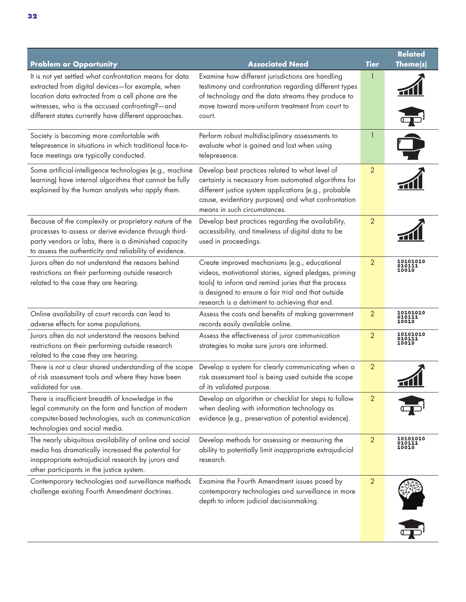| <b>Problem or Opportunity</b>                                                                                                                                                                                                                                               | <b>Associated Need</b>                                                                                                                                                                                                                                                 | <b>Tier</b>    | <b>Related</b><br>Theme(s)         |
|-----------------------------------------------------------------------------------------------------------------------------------------------------------------------------------------------------------------------------------------------------------------------------|------------------------------------------------------------------------------------------------------------------------------------------------------------------------------------------------------------------------------------------------------------------------|----------------|------------------------------------|
| It is not yet settled what confrontation means for data<br>extracted from digital devices-for example, when<br>location data extracted from a cell phone are the<br>witnesses, who is the accused confronting?-and<br>different states currently have different approaches. | Examine how different jurisdictions are handling<br>testimony and confrontation regarding different types<br>of technology and the data streams they produce to<br>move toward more-uniform treatment from court to<br>court.                                          | 1              |                                    |
| Society is becoming more comfortable with<br>telepresence in situations in which traditional face-to-<br>face meetings are typically conducted.                                                                                                                             | Perform robust multidisciplinary assessments to<br>evaluate what is gained and lost when using<br>telepresence.                                                                                                                                                        |                |                                    |
| Some artificial-intelligence technologies (e.g., machine<br>learning) have internal algorithms that cannot be fully<br>explained by the human analysts who apply them.                                                                                                      | Develop best practices related to what level of<br>certainty is necessary from automated algorithms for<br>different justice system applications (e.g., probable<br>cause, evidentiary purposes) and what confrontation<br>means in such circumstances.                | $\overline{2}$ |                                    |
| Because of the complexity or proprietary nature of the<br>processes to assess or derive evidence through third-<br>party vendors or labs, there is a diminished capacity<br>to assess the authenticity and reliability of evidence.                                         | Develop best practices regarding the availability,<br>accessibility, and timeliness of digital data to be<br>used in proceedings.                                                                                                                                      | $\overline{2}$ |                                    |
| Jurors often do not understand the reasons behind<br>restrictions on their performing outside research<br>related to the case they are hearing.                                                                                                                             | Create improved mechanisms (e.g., educational<br>videos, motivational stories, signed pledges, priming<br>tools) to inform and remind juries that the process<br>is designed to ensure a fair trial and that outside<br>research is a detriment to achieving that end. | $\overline{2}$ | 10101010<br>010111<br>10010        |
| Online availability of court records can lead to<br>adverse effects for some populations.                                                                                                                                                                                   | Assess the costs and benefits of making government<br>records easily available online.                                                                                                                                                                                 | $\overline{2}$ | 10101010<br>010111<br>10010        |
| Jurors often do not understand the reasons behind<br>restrictions on their performing outside research<br>related to the case they are hearing.                                                                                                                             | Assess the effectiveness of juror communication<br>strategies to make sure jurors are informed.                                                                                                                                                                        | $\overline{2}$ | 10101010<br>D10111<br><b>LOO10</b> |
| There is not a clear shared understanding of the scope<br>of risk assessment tools and where they have been<br>validated for use.                                                                                                                                           | Develop a system for clearly communicating when a<br>risk assessment tool is being used outside the scope<br>of its validated purpose.                                                                                                                                 | $\overline{2}$ |                                    |
| There is insufficient breadth of knowledge in the<br>legal community on the form and function of modern<br>computer-based technologies, such as communication<br>technologies and social media.                                                                             | Develop an algorithm or checklist for steps to follow<br>when dealing with information technology as<br>evidence (e.g., preservation of potential evidence).                                                                                                           | $\overline{2}$ |                                    |
| The nearly ubiquitous availability of online and social<br>media has dramatically increased the potential for<br>inappropriate extrajudicial research by jurors and<br>other participants in the justice system.                                                            | Develop methods for assessing or measuring the<br>ability to potentially limit inappropriate extrajudicial<br>research.                                                                                                                                                | $\overline{2}$ | 10101010<br>010111<br>10010        |
| Contemporary technologies and surveillance methods<br>challenge existing Fourth Amendment doctrines.                                                                                                                                                                        | Examine the Fourth Amendment issues posed by<br>contemporary technologies and surveillance in more<br>depth to inform judicial decisionmaking.                                                                                                                         | $\overline{2}$ |                                    |
|                                                                                                                                                                                                                                                                             |                                                                                                                                                                                                                                                                        |                |                                    |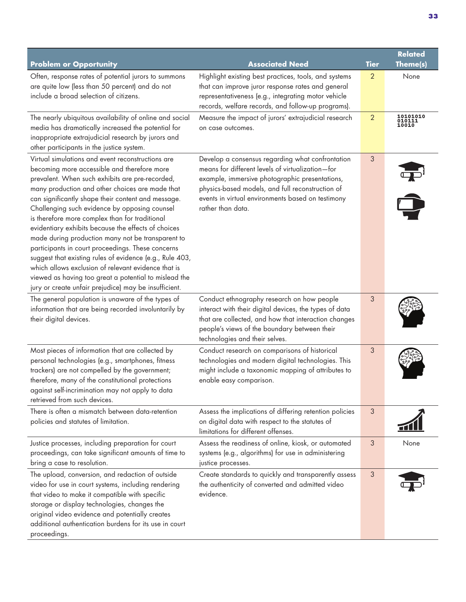| <b>Problem or Opportunity</b>                                                                                                                                                                                                                                                                                                                                                                                                                                                                                                                                                                                                                                                                                                                                         | <b>Associated Need</b>                                                                                                                                                                                                                                                               | <b>Tier</b>    | <b>Related</b><br>Theme(s)  |
|-----------------------------------------------------------------------------------------------------------------------------------------------------------------------------------------------------------------------------------------------------------------------------------------------------------------------------------------------------------------------------------------------------------------------------------------------------------------------------------------------------------------------------------------------------------------------------------------------------------------------------------------------------------------------------------------------------------------------------------------------------------------------|--------------------------------------------------------------------------------------------------------------------------------------------------------------------------------------------------------------------------------------------------------------------------------------|----------------|-----------------------------|
| Often, response rates of potential jurors to summons<br>are quite low (less than 50 percent) and do not<br>include a broad selection of citizens.                                                                                                                                                                                                                                                                                                                                                                                                                                                                                                                                                                                                                     | Highlight existing best practices, tools, and systems<br>that can improve juror response rates and general<br>representativeness (e.g., integrating motor vehicle<br>records, welfare records, and follow-up programs).                                                              | 2              | None                        |
| The nearly ubiquitous availability of online and social<br>media has dramatically increased the potential for<br>inappropriate extrajudicial research by jurors and<br>other participants in the justice system.                                                                                                                                                                                                                                                                                                                                                                                                                                                                                                                                                      | Measure the impact of jurors' extrajudicial research<br>on case outcomes.                                                                                                                                                                                                            | $\overline{2}$ | 10101010<br>010111<br>10010 |
| Virtual simulations and event reconstructions are<br>becoming more accessible and therefore more<br>prevalent. When such exhibits are pre-recorded,<br>many production and other choices are made that<br>can significantly shape their content and message.<br>Challenging such evidence by opposing counsel<br>is therefore more complex than for traditional<br>evidentiary exhibits because the effects of choices<br>made during production many not be transparent to<br>participants in court proceedings. These concerns<br>suggest that existing rules of evidence (e.g., Rule 403,<br>which allows exclusion of relevant evidence that is<br>viewed as having too great a potential to mislead the<br>jury or create unfair prejudice) may be insufficient. | Develop a consensus regarding what confrontation<br>means for different levels of virtualization-for<br>example, immersive photographic presentations,<br>physics-based models, and full reconstruction of<br>events in virtual environments based on testimony<br>rather than data. | 3              | $\overline{\mathbf{P}}$     |
| The general population is unaware of the types of<br>information that are being recorded involuntarily by<br>their digital devices.                                                                                                                                                                                                                                                                                                                                                                                                                                                                                                                                                                                                                                   | Conduct ethnography research on how people<br>interact with their digital devices, the types of data<br>that are collected, and how that interaction changes<br>people's views of the boundary between their<br>technologies and their selves.                                       | 3              |                             |
| Most pieces of information that are collected by<br>personal technologies (e.g., smartphones, fitness<br>trackers) are not compelled by the government;<br>therefore, many of the constitutional protections<br>against self-incrimination may not apply to data<br>retrieved from such devices.                                                                                                                                                                                                                                                                                                                                                                                                                                                                      | Conduct research on comparisons of historical<br>technologies and modern digital technologies. This<br>might include a taxonomic mapping of attributes to<br>enable easy comparison.                                                                                                 | 3              |                             |
| There is often a mismatch between data-retention<br>policies and statutes of limitation.                                                                                                                                                                                                                                                                                                                                                                                                                                                                                                                                                                                                                                                                              | Assess the implications of differing retention policies<br>on digital data with respect to the statutes of<br>limitations for different offenses.                                                                                                                                    | 3              |                             |
| Justice processes, including preparation for court<br>proceedings, can take significant amounts of time to<br>bring a case to resolution.                                                                                                                                                                                                                                                                                                                                                                                                                                                                                                                                                                                                                             | Assess the readiness of online, kiosk, or automated<br>systems (e.g., algorithms) for use in administering<br>justice processes.                                                                                                                                                     | 3              | None                        |
| The upload, conversion, and redaction of outside<br>video for use in court systems, including rendering<br>that video to make it compatible with specific<br>storage or display technologies, changes the<br>original video evidence and potentially creates<br>additional authentication burdens for its use in court<br>proceedings.                                                                                                                                                                                                                                                                                                                                                                                                                                | Create standards to quickly and transparently assess<br>the authenticity of converted and admitted video<br>evidence.                                                                                                                                                                | 3              |                             |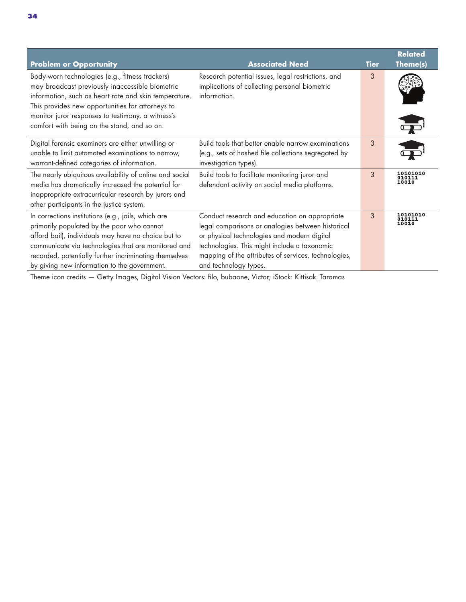| <b>Problem or Opportunity</b>                                                                                                                                                                                                                                                                                             | <b>Associated Need</b>                                                                                                                                                                                                                                                             | Tier | <b>Related</b><br>Theme(s)         |
|---------------------------------------------------------------------------------------------------------------------------------------------------------------------------------------------------------------------------------------------------------------------------------------------------------------------------|------------------------------------------------------------------------------------------------------------------------------------------------------------------------------------------------------------------------------------------------------------------------------------|------|------------------------------------|
| Body-worn technologies (e.g., fitness trackers)<br>may broadcast previously inaccessible biometric<br>information, such as heart rate and skin temperature.<br>This provides new opportunities for attorneys to<br>monitor juror responses to testimony, a witness's<br>comfort with being on the stand, and so on.       | Research potential issues, legal restrictions, and<br>implications of collecting personal biometric<br>information.                                                                                                                                                                | 3    |                                    |
| Digital forensic examiners are either unwilling or<br>unable to limit automated examinations to narrow,<br>warrant-defined categories of information.                                                                                                                                                                     | Build tools that better enable narrow examinations<br>(e.g., sets of hashed file collections segregated by<br>investigation types).                                                                                                                                                | 3    | <b>Service Service</b>             |
| The nearly ubiquitous availability of online and social<br>media has dramatically increased the potential for<br>inappropriate extracurricular research by jurors and<br>other participants in the justice system.                                                                                                        | Build tools to facilitate monitoring juror and<br>defendant activity on social media platforms.                                                                                                                                                                                    | 3    | 10101010<br>010111<br>10010        |
| In corrections institutions (e.g., jails, which are<br>primarily populated by the poor who cannot<br>afford bail), individuals may have no choice but to<br>communicate via technologies that are monitored and<br>recorded, potentially further incriminating themselves<br>by giving new information to the government. | Conduct research and education on appropriate<br>legal comparisons or analogies between historical<br>or physical technologies and modern digital<br>technologies. This might include a taxonomic<br>mapping of the attributes of services, technologies,<br>and technology types. | 3    | <b>10101010</b><br>010111<br>10010 |

Theme icon credits — Getty Images, Digital Vision Vectors: filo, bubaone, Victor; iStock: Kittisak\_Taramas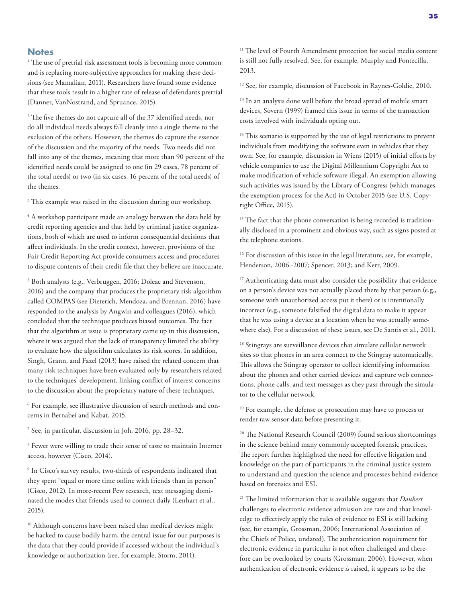### **Notes**

<sup>1</sup> The use of pretrial risk assessment tools is becoming more common and is replacing more-subjective approaches for making these decisions (see Mamalian, 2011). Researchers have found some evidence that these tools result in a higher rate of release of defendants pretrial (Danner, VanNostrand, and Spruance, 2015).

<sup>2</sup> The five themes do not capture all of the 37 identified needs, nor do all individual needs always fall cleanly into a single theme to the exclusion of the others. However, the themes do capture the essence of the discussion and the majority of the needs. Two needs did not fall into any of the themes, meaning that more than 90 percent of the identified needs could be assigned to one (in 29 cases, 78 percent of the total needs) or two (in six cases, 16 percent of the total needs) of the themes.

<sup>3</sup> This example was raised in the discussion during our workshop.

4 A workshop participant made an analogy between the data held by credit reporting agencies and that held by criminal justice organizations, both of which are used to inform consequential decisions that affect individuals. In the credit context, however, provisions of the Fair Credit Reporting Act provide consumers access and procedures to dispute contents of their credit file that they believe are inaccurate.

5 Both analysts (e.g., Verbruggen, 2016; Doleac and Stevenson, 2016) and the company that produces the proprietary risk algorithm called COMPAS (see Dieterich, Mendoza, and Brennan, 2016) have responded to the analysis by Angwin and colleagues (2016), which concluded that the technique produces biased outcomes. The fact that the algorithm at issue is proprietary came up in this discussion, where it was argued that the lack of transparency limited the ability to evaluate how the algorithm calculates its risk scores. In addition, Singh, Grann, and Fazel (2013) have raised the related concern that many risk techniques have been evaluated only by researchers related to the techniques' development, linking conflict of interest concerns to the discussion about the proprietary nature of these techniques.

6 For example, see illustrative discussion of search methods and concerns in Bernabei and Kabat, 2015.

7 See, in particular, discussion in Joh, 2016, pp. 28–32.

<sup>8</sup> Fewer were willing to trade their sense of taste to maintain Internet access, however (Cisco, 2014).

9 In Cisco's survey results, two-thirds of respondents indicated that they spent "equal or more time online with friends than in person" (Cisco, 2012). In more-recent Pew research, text messaging dominated the modes that friends used to connect daily (Lenhart et al., 2015).

<sup>10</sup> Although concerns have been raised that medical devices might be hacked to cause bodily harm, the central issue for our purposes is the data that they could provide if accessed without the individual's knowledge or authorization (see, for example, Storm, 2011).

<sup>11</sup> The level of Fourth Amendment protection for social media content is still not fully resolved. See, for example, Murphy and Fontecilla, 2013.

<sup>12</sup> See, for example, discussion of Facebook in Raynes-Goldie, 2010.

<sup>13</sup> In an analysis done well before the broad spread of mobile smart devices, Sovern (1999) framed this issue in terms of the transaction costs involved with individuals opting out.

<sup>14</sup> This scenario is supported by the use of legal restrictions to prevent individuals from modifying the software even in vehicles that they own. See, for example, discussion in Wiens (2015) of initial efforts by vehicle companies to use the Digital Millennium Copyright Act to make modification of vehicle software illegal. An exemption allowing such activities was issued by the Library of Congress (which manages the exemption process for the Act) in October 2015 (see U.S. Copyright Office, 2015).

<sup>15</sup> The fact that the phone conversation is being recorded is traditionally disclosed in a prominent and obvious way, such as signs posted at the telephone stations.

<sup>16</sup> For discussion of this issue in the legal literature, see, for example, Henderson, 2006–2007; Spencer, 2013; and Kerr, 2009.

<sup>17</sup> Authenticating data must also consider the possibility that evidence on a person's device was not actually placed there by that person (e.g., someone with unauthorized access put it there) or is intentionally incorrect (e.g., someone falsified the digital data to make it appear that he was using a device at a location when he was actually somewhere else). For a discussion of these issues, see De Santis et al., 2011.

<sup>18</sup> Stingrays are surveillance devices that simulate cellular network sites so that phones in an area connect to the Stingray automatically. This allows the Stingray operator to collect identifying information about the phones and other carried devices and capture web connections, phone calls, and text messages as they pass through the simulator to the cellular network.

<sup>19</sup> For example, the defense or prosecution may have to process or render raw sensor data before presenting it.

20 The National Research Council (2009) found serious shortcomings in the science behind many commonly accepted forensic practices. The report further highlighted the need for effective litigation and knowledge on the part of participants in the criminal justice system to understand and question the science and processes behind evidence based on forensics and ESI.

21 The limited information that is available suggests that *Daubert* challenges to electronic evidence admission are rare and that knowledge to effectively apply the rules of evidence to ESI is still lacking (see, for example, Grossman, 2006; International Association of the Chiefs of Police, undated). The authentication requirement for electronic evidence in particular is not often challenged and therefore can be overlooked by courts (Grossman, 2006). However, when authentication of electronic evidence *is* raised, it appears to be the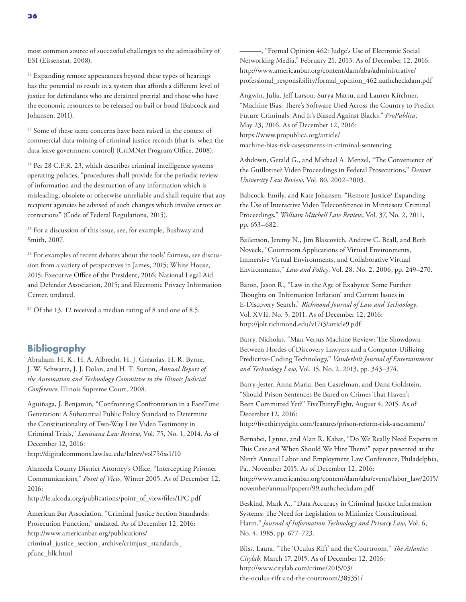<sup>22</sup> Expanding remote appearances beyond these types of hearings has the potential to result in a system that affords a different level of justice for defendants who are detained pretrial and those who have the economic resources to be released on bail or bond (Babcock and Johansen, 2011).

<sup>23</sup> Some of these same concerns have been raised in the context of commercial data-mining of criminal justice records (that is, when the data leave government control) (CriMNet Program Office, 2008).

<sup>24</sup> Per 28 C.F.R. 23, which describes criminal intelligence systems operating policies, "procedures shall provide for the periodic review of information and the destruction of any information which is misleading, obsolete or otherwise unreliable and shall require that any recipient agencies be advised of such changes which involve errors or corrections" (Code of Federal Regulations, 2015).

<sup>25</sup> For a discussion of this issue, see, for example, Bushway and Smith, 2007.

<sup>26</sup> For examples of recent debates about the tools' fairness, see discussion from a variety of perspectives in James, 2015; White House, 2015; Executive Office of the President, 2016; National Legal Aid and Defender Association, 2015; and Electronic Privacy Information Center, undated.

 $27$  Of the 13, 12 received a median rating of 8 and one of 8.5.

### **Bibliography**

Abraham, H. K., H. A. Albrecht, H. J. Greanias, H. R. Byrne, J. W. Schwartz, J. J. Dolan, and H. T. Sutton, *Annual Report of the Automation and Technology Committee to the Illinois Judicial Conference*, Illinois Supreme Court, 2008.

Aguiñaga, J. Benjamin, "Confronting Confrontation in a FaceTime Generation: A Substantial Public Policy Standard to Determine the Constitutionality of Two-Way Live Video Testimony in Criminal Trials," *Louisiana Law Review*, Vol. 75, No. 1, 2014. As of December 12, 2016:

<http://digitalcommons.law.lsu.edu/lalrev/vol75/iss1/10>

Alameda County District Attorney's Office, "Intercepting Prisoner Communications," *Point of View*, Winter 2005. As of December 12, 2016:

[http://le.alcoda.org/publications/point\\_of\\_view/files/IPC.pdf](http://le.alcoda.org/publications/point_of_view/files/IPC.pdf)

American Bar Association, "Criminal Justice Section Standards: Prosecution Function," undated. As of December 12, 2016: http://www.americanbar.org/publications/ [criminal\\_justice\\_section\\_archive/crimjust\\_standards\\_](http://www.americanbar.org/publications/criminal_justice_section_archive/crimjust_standards_pfunc_blk.html) pfunc\_blk.html

———, "Formal Opinion 462: Judge's Use of Electronic Social Networking Media," February 21, 2013. As of December 12, 2016: http://www.americanbar.org/content/dam/aba/administrative/ [professional\\_responsibility/formal\\_opinion\\_462.authcheckdam.pdf](http://www.americanbar.org/content/dam/aba/administrative/professional_responsibility/formal_opinion_462.authcheckdam.pdf)

Angwin, Julia, Jeff Larson, Surya Mattu, and Lauren Kirchner, "Machine Bias: There's Software Used Across the Country to Predict Future Criminals. And It's Biased Against Blacks," *ProPublica*, May 23, 2016. As of December 12, 2016: https://www.propublica.org/article/ [machine-bias-risk-assessments-in-criminal-sentencing](https://www.propublica.org/article/machine-bias-risk-assessments-in-criminal-sentencing)

Ashdown, Gerald G., and Michael A. Menzel, "The Convenience of the Guillotine? Video Proceedings in Federal Prosecutions," *Denver University Law Review*, Vol. 80, 2002–2003.

Babcock, Emily, and Kate Johansen, "Remote Justice? Expanding the Use of Interactive Video Teleconference in Minnesota Criminal Proceedings," *William Mitchell Law Review*, Vol. 37, No. 2, 2011, pp. 653–682.

Bailenson, Jeremy N., Jim Blascovich, Andrew C. Beall, and Beth Noveck, "Courtroom Applications of Virtual Environments, Immersive Virtual Environments, and Collaborative Virtual Environments," *Law and Policy*, Vol. 28, No. 2, 2006, pp. 249–270.

Baron, Jason R., "Law in the Age of Exabytes: Some Further Thoughts on 'Information Inflation' and Current Issues in E-Discovery Search," *Richmond Journal of Law and Technology*, Vol. XVII, No. 3, 2011. As of December 12, 2016: <http://jolt.richmond.edu/v17i3/article9.pdf>

Barry, Nicholas, "Man Versus Machine Review: The Showdown Between Hordes of Discovery Lawyers and a Computer-Utilizing Predictive-Coding Technology," *Vanderbilt Journal of Entertainment and Technology Law*, Vol. 15, No. 2, 2013, pp. 343–374.

Barry-Jester, Anna Maria, Ben Casselman, and Dana Goldstein, "Should Prison Sentences Be Based on Crimes That Haven't Been Committed Yet?" FiveThirtyEight, August 4, 2015. As of December 12, 2016:

<http://fivethirtyeight.com/features/prison-reform-risk-assessment/>

Bernabei, Lynne, and Alan R. Kabat, "Do We Really Need Experts in This Case and When Should We Hire Them?" paper presented at the Ninth Annual Labor and Employment Law Conference, Philadelphia, Pa., November 2015. As of December 12, 2016: [http://www.americanbar.org/content/dam/aba/events/labor\\_law/2015/](http://www.americanbar.org/content/dam/aba/events/labor_law/2015/november/annual/papers/99.authcheckdam.pdf) november/annual/papers/99.authcheckdam.pdf

Beskind, Mark A., "Data Accuracy in Criminal Justice Information Systems: The Need for Legislation to Minimize Constitutional Harm," *Journal of Information Technology and Privacy Law*, Vol. 6, No. 4, 1985, pp. 677–723.

Bliss, Laura, "The 'Oculus Rift' and the Courtroom," *The Atlantic: Citylab*, March 17, 2015. As of December 12, 2016: http://www.citylab.com/crime/2015/03/ [the-oculus-rift-and-the-courtroom/385351/](http://www.citylab.com/crime/2015/03/the-oculus-rift-and-the-courtroom/385351/)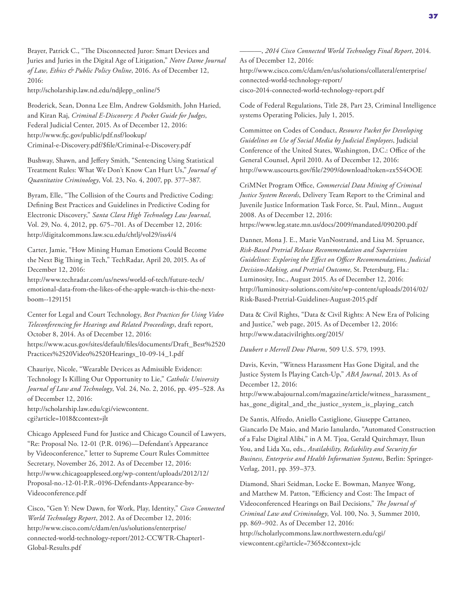Brayer, Patrick C., "The Disconnected Juror: Smart Devices and Juries and Juries in the Digital Age of Litigation," *Notre Dame Journal of Law, Ethics & Public Policy Online*, 2016. As of December 12, 2016:

[http://scholarship.law.nd.edu/ndjlepp\\_online/5](http://scholarship.law.nd.edu/ndjlepp_online/5)

Broderick, Sean, Donna Lee Elm, Andrew Goldsmith, John Haried, and Kiran Raj, *Criminal E-Discovery: A Pocket Guide for Judges*, Federal Judicial Center, 2015. As of December 12, 2016: http://www.fjc.gov/public/pdf.nsf/lookup/ [Criminal-e-Discovery.pdf/\\$file/Criminal-e-Discovery.pdf](http://www.fjc.gov/public/pdf.nsf/lookup/Criminal-e-Discovery.pdf/$file/Criminal-e-Discovery.pdf)

Bushway, Shawn, and Jeffery Smith, "Sentencing Using Statistical Treatment Rules: What We Don't Know Can Hurt Us," *Journal of Quantitative Criminology*, Vol. 23, No. 4, 2007, pp. 377–387.

Byram, Elle, "The Collision of the Courts and Predictive Coding: Defining Best Practices and Guidelines in Predictive Coding for Electronic Discovery," *Santa Clara High Technology Law Journal*, Vol. 29, No. 4, 2012, pp. 675–701. As of December 12, 2016: <http://digitalcommons.law.scu.edu/chtlj/vol29/iss4/4>

Carter, Jamie, "How Mining Human Emotions Could Become the Next Big Thing in Tech," TechRadar, April 20, 2015. As of December 12, 2016:

http://www.techradar.com/us/news/world-of-tech/future-tech/ [emotional-data-from-the-likes-of-the-apple-watch-is-this-the-next](http://www.techradar.com/us/news/world-of-tech/future-tech/emotional-data-from-the-likes-of-the-apple-watch-is-this-the-next-boom--1291151)boom--1291151

Center for Legal and Court Technology, *Best Practices for Using Video Teleconferencing for Hearings and Related Proceedings*, draft report, October 8, 2014. As of December 12, 2016: [https://www.acus.gov/sites/default/files/documents/Draft\\_Best%2520](https://www.acus.gov/sites/default/files/documents/Draft_Best%2520Practices%2520Video%2520Hearings_10-09-14_1.pdf) Practices%2520Video%2520Hearings\_10-09-14\_1.pdf

Chauriye, Nicole, "Wearable Devices as Admissible Evidence: Technology Is Killing Our Opportunity to Lie," *Catholic University Journal of Law and Technology*, Vol. 24, No. 2, 2016, pp. 495–528. As of December 12, 2016: [http://scholarship.law.edu/cgi/viewcontent.](http://scholarship.law.edu/cgi/viewcontent.cgi?article=1018&context=jlt) cgi?article=1018&context=jlt

Chicago Appleseed Fund for Justice and Chicago Council of Lawyers, "Re: Proposal No. 12-01 (P.R. 0196)—Defendant's Appearance by Videoconference," letter to Supreme Court Rules Committee Secretary, November 26, 2012. As of December 12, 2016: [http://www.chicagoappleseed.org/wp-content/uploads/2012/12/](http://www.chicagoappleseed.org/wp-content/uploads/2012/12/Proposal-no.-12-01-P.R.-0196-Defendants-Appearance-by-Videoconference.pdf)

Proposal-no.-12-01-P.R.-0196-Defendants-Appearance-by-Videoconference.pdf

Cisco, "Gen Y: New Dawn, for Work, Play, Identity," *Cisco Connected World Technology Report*, 2012. As of December 12, 2016: http://www.cisco.com/c/dam/en/us/solutions/enterprise/ [connected-world-technology-report/2012-CCWTR-Chapter1-](http://www.cisco.com/c/dam/en/us/solutions/enterprise/connected-world-technology-report/2012-CCWTR-Chapter1-Global-Results.pdf) Global-Results.pdf

———, *2014 Cisco Connected World Technology Final Report*, 2014. As of December 12, 2016: [http://www.cisco.com/c/dam/en/us/solutions/collateral/enterprise/](http://www.cisco.com/c/dam/en/us/solutions/collateral/enterprise/connected-world-technology-report/cisco-2014-connected-world-technology-report.pdf) connected-world-technology-report/ cisco-2014-connected-world-technology-report.pdf

Code of Federal Regulations, Title 28, Part 23, Criminal Intelligence systems Operating Policies, July 1, 2015.

Committee on Codes of Conduct, *Resource Packet for Developing Guidelines on Use of Social Media by Judicial Employees*, Judicial Conference of the United States, Washington, D.C.: Office of the General Counsel, April 2010. As of December 12, 2016: <http://www.uscourts.gov/file/2909/download?token=zx5S4OOE>

CriMNet Program Office, *Commercial Data Mining of Criminal Justice System Records*, Delivery Team Report to the Criminal and Juvenile Justice Information Task Force, St. Paul, Minn., August 2008. As of December 12, 2016: <https://www.leg.state.mn.us/docs/2009/mandated/090200.pdf>

Danner, Mona J. E., Marie VanNostrand, and Lisa M. Spruance, *Risk-Based Pretrial Release Recommendation and Supervision Guidelines: Exploring the Effect on Officer Recommendations, Judicial Decision-Making, and Pretrial Outcome*, St. Petersburg, Fla.: Luminosity, Inc., August 2015. As of December 12, 2016: [http://luminosity-solutions.com/site/wp-content/uploads/2014/02/](http://luminosity-solutions.com/site/wp-content/uploads/2014/02/Risk-Based-Pretrial-Guidelines-August-2015.pdf) Risk-Based-Pretrial-Guidelines-August-2015.pdf

Data & Civil Rights, "Data & Civil Rights: A New Era of Policing and Justice," web page, 2015. As of December 12, 2016: <http://www.datacivilrights.org/2015/>

*Daubert v Merrell Dow Pharm*, 509 U.S. 579, 1993.

Davis, Kevin, "Witness Harassment Has Gone Digital, and the Justice System Is Playing Catch-Up," *ABA Journal*, 2013. As of December 12, 2016:

[http://www.abajournal.com/magazine/article/witness\\_harassment\\_](http://www.abajournal.com/magazine/article/witness_harassment_has_gone_digital_and_the_justice_system_is_playing_catch) has\_gone\_digital\_and\_the\_justice\_system\_is\_playing\_catch

De Santis, Alfredo, Aniello Castiglione, Giuseppe Cattaneo, Giancarlo De Maio, and Mario Ianulardo, "Automated Construction of a False Digital Alibi," in A M. Tjoa, Gerald Quirchmayr, Ilsun You, and Lida Xu, eds., *Availability, Reliability and Security for Business, Enterprise and Health Information Systems*, Berlin: Springer-Verlag, 2011, pp. 359–373.

Diamond, Shari Seidman, Locke E. Bowman, Manyee Wong, and Matthew M. Patton, "Efficiency and Cost: The Impact of Videoconferenced Hearings on Bail Decisions," *The Journal of Criminal Law and Criminology*, Vol. 100, No. 3, Summer 2010, pp. 869–902. As of December 12, 2016: [http://scholarlycommons.law.northwestern.edu/cgi/](http://scholarlycommons.law.northwestern.edu/cgi/viewcontent.cgi?article=7365&context=jclc) viewcontent.cgi?article=7365&context=jclc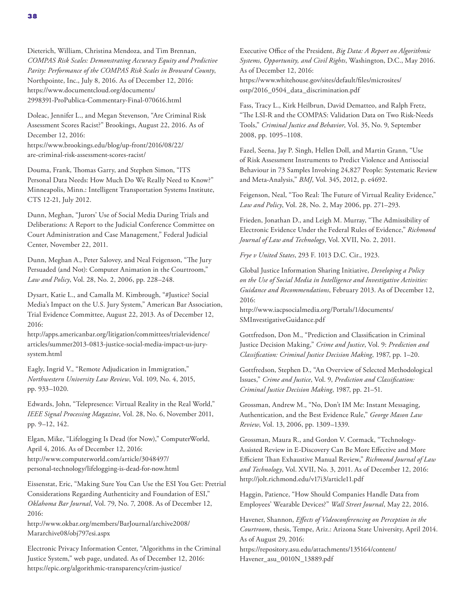Dieterich, William, Christina Mendoza, and Tim Brennan, *COMPAS Risk Scales: Demonstrating Accuracy Equity and Predictive Parity: Performance of the COMPAS Risk Scales in Broward County*, Northpointe, Inc., July 8, 2016. As of December 12, 2016: https://www.documentcloud.org/documents/ [2998391-ProPublica-Commentary-Final-070616.html](https://www.documentcloud.org/documents/2998391-ProPublica-Commentary-Final-070616.html)

Doleac, Jennifer L., and Megan Stevenson, "Are Criminal Risk Assessment Scores Racist?" Brookings, August 22, 2016. As of December 12, 2016: [https://www.brookings.edu/blog/up-front/2016/08/22/](https://www.brookings.edu/blog/up-front/2016/08/22/are-criminal-risk-assessment-scores-racist/)

are-criminal-risk-assessment-scores-racist/

Douma, Frank, Thomas Garry, and Stephen Simon, "ITS Personal Data Needs: How Much Do We Really Need to Know?" Minneapolis, Minn.: Intelligent Transportation Systems Institute, CTS 12-21, July 2012.

Dunn, Meghan, "Jurors' Use of Social Media During Trials and Deliberations: A Report to the Judicial Conference Committee on Court Administration and Case Management," Federal Judicial Center, November 22, 2011.

Dunn, Meghan A., Peter Salovey, and Neal Feigenson, "The Jury Persuaded (and Not): Computer Animation in the Courtroom," *Law and Policy*, Vol. 28, No. 2, 2006, pp. 228–248.

Dysart, Katie L., and Camalla M. Kimbrough, "#Justice? Social Media's Impact on the U.S. Jury System," American Bar Association, Trial Evidence Committee, August 22, 2013. As of December 12, 2016:

[http://apps.americanbar.org/litigation/committees/trialevidence/](http://apps.americanbar.org/litigation/committees/trialevidence/articles/summer2013-0813-justice-social-media-impact-us-jury-system.html) articles/summer2013-0813-justice-social-media-impact-us-jurysystem.html

Eagly, Ingrid V., "Remote Adjudication in Immigration," *Northwestern University Law Review*, Vol. 109, No. 4, 2015, pp. 933–1020.

Edwards, John, "Telepresence: Virtual Reality in the Real World," *IEEE Signal Processing Magazine*, Vol. 28, No. 6, November 2011, pp. 9–12, 142.

Elgan, Mike, "Lifelogging Is Dead (for Now)," ComputerWorld, April 4, 2016. As of December 12, 2016: http://www.computerworld.com/article/3048497/ [personal-technology/lifelogging-is-dead-for-now.html](http://www.computerworld.com/article/3048497/personal-technology/lifelogging-is-dead-for-now.html)

Eissenstat, Eric, "Making Sure You Can Use the ESI You Get: Pretrial Considerations Regarding Authenticity and Foundation of ESI," *Oklahoma Bar Journal*, Vol. 79, No. 7, 2008. As of December 12, 2016:

[http://www.okbar.org/members/BarJournal/archive2008/](http://www.okbar.org/members/BarJournal/archive2008/Mararchive08/obj797esi.aspx) Mararchive08/obj797esi.aspx

Electronic Privacy Information Center, "Algorithms in the Criminal Justice System," web page, undated. As of December 12, 2016: <https://epic.org/algorithmic-transparency/crim-justice/>

Executive Office of the President, *Big Data: A Report on Algorithmic Systems, Opportunity, and Civil Rights*, Washington, D.C., May 2016. As of December 12, 2016: [https://www.whitehouse.gov/sites/default/files/microsites/](https://www.whitehouse.gov/sites/default/files/microsites/ostp/2016_0504_data_discrimination.pdf) ostp/2016\_0504\_data\_discrimination.pdf

Fass, Tracy L., Kirk Heilbrun, David Dematteo, and Ralph Fretz, "The LSI-R and the COMPAS: Validation Data on Two Risk-Needs Tools," *Criminal Justice and Behavior*, Vol. 35, No. 9, September 2008, pp. 1095–1108.

Fazel, Seena, Jay P. Singh, Hellen Doll, and Martin Grann, "Use of Risk Assessment Instruments to Predict Violence and Antisocial Behaviour in 73 Samples Involving 24,827 People: Systematic Review and Meta-Analysis," *BMJ*, Vol. 345, 2012, p. e4692.

Feigenson, Neal, "Too Real: The Future of Virtual Reality Evidence," *Law and Policy*, Vol. 28, No. 2, May 2006, pp. 271–293.

Frieden, Jonathan D., and Leigh M. Murray, "The Admissibility of Electronic Evidence Under the Federal Rules of Evidence," *Richmond Journal of Law and Technology*, Vol. XVII, No. 2, 2011.

*Frye v United States*, 293 F. 1013 D.C. Cir., 1923.

Global Justice Information Sharing Initiative, *Developing a Policy on the Use of Social Media in Intelligence and Investigative Activities: Guidance and Recommendations*, February 2013. As of December 12, 2016:

[http://www.iacpsocialmedia.org/Portals/1/documents/](http://www.iacpsocialmedia.org/Portals/1/documents/SMInvestigativeGuidance.pdf) SMInvestigativeGuidance.pdf

Gottfredson, Don M., "Prediction and Classification in Criminal Justice Decision Making," *Crime and Justice*, Vol. 9: *Prediction and Classification: Criminal Justice Decision Making*, 1987, pp. 1–20.

Gottfredson, Stephen D., "An Overview of Selected Methodological Issues," *Crime and Justice*, Vol. 9, *Prediction and Classification: Criminal Justice Decision Making*, 1987, pp. 21–51.

Grossman, Andrew M., "No, Don't IM Me: Instant Messaging, Authentication, and the Best Evidence Rule," *George Mason Law Review*, Vol. 13, 2006, pp. 1309–1339.

Grossman, Maura R., and Gordon V. Cormack, "Technology-Assisted Review in E-Discovery Can Be More Effective and More Efficient Than Exhaustive Manual Review," *Richmond Journal of Law and Technology*, Vol. XVII, No. 3, 2011. As of December 12, 2016: <http://jolt.richmond.edu/v17i3/article11.pdf>

Haggin, Patience, "How Should Companies Handle Data from Employees' Wearable Devices?" *Wall Street Journal*, May 22, 2016.

Havener, Shannon, *Effects of Videoconferencing on Perception in the Courtroom*, thesis, Tempe, Ariz.: Arizona State University, April 2014. As of August 29, 2016: [https://repository.asu.edu/attachments/135164/content/](https://repository.asu.edu/attachments/135164/content/Havener_asu_0010N_13889.pdf) Havener\_asu\_0010N\_13889.pdf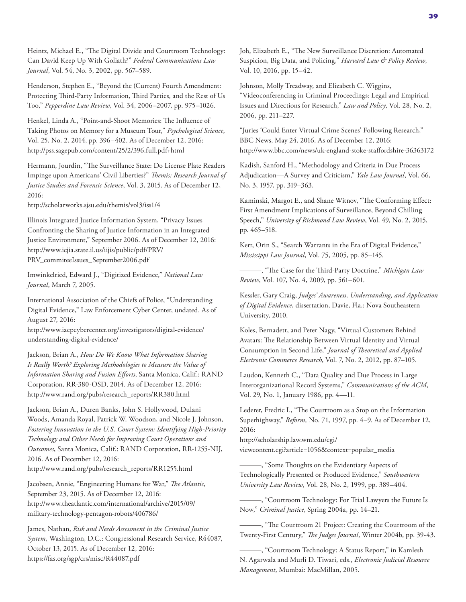Heintz, Michael E., "The Digital Divide and Courtroom Technology: Can David Keep Up With Goliath?" *Federal Communications Law Journal*, Vol. 54, No. 3, 2002, pp. 567–589.

Henderson, Stephen E., "Beyond the (Current) Fourth Amendment: Protecting Third-Party Information, Third Parties, and the Rest of Us Too," *Pepperdine Law Review*, Vol. 34, 2006–2007, pp. 975–1026.

Henkel, Linda A., "Point-and-Shoot Memories: The Influence of Taking Photos on Memory for a Museum Tour," *Psychological Science*, Vol. 25, No. 2, 2014, pp. 396–402. As of December 12, 2016: <http://pss.sagepub.com/content/25/2/396.full.pdf+html>

Hermann, Jourdin, "The Surveillance State: Do License Plate Readers Impinge upon Americans' Civil Liberties?" *Themis: Research Journal of Justice Studies and Forensic Science*, Vol. 3, 2015. As of December 12, 2016:

<http://scholarworks.sjsu.edu/themis/vol3/iss1/4>

Illinois Integrated Justice Information System, "Privacy Issues Confronting the Sharing of Justice Information in an Integrated Justice Environment," September 2006. As of December 12, 2016: [http://www.icjia.state.il.us/iijis/public/pdf/PRV/](http://www.icjia.state.il.us/iijis/public/pdf/PRV/PRV_commiteeIssues_September2006.pdf) PRV\_commiteeIssues\_September2006.pdf

Imwinkelried, Edward J., "Digitized Evidence," *National Law Journal*, March 7, 2005.

International Association of the Chiefs of Police, "Understanding Digital Evidence," Law Enforcement Cyber Center, undated. As of August 27, 2016:

[http://www.iacpcybercenter.org/investigators/digital-evidence/](http://www.iacpcybercenter.org/investigators/digital-evidence/understanding-digital-evidence/) understanding-digital-evidence/

Jackson, Brian A., *How Do We Know What Information Sharing Is Really Worth? Exploring Methodologies to Measure the Value of Information Sharing and Fusion Efforts*, Santa Monica, Calif.: RAND Corporation, RR-380-OSD, 2014. As of December 12, 2016: [http://www.rand.org/pubs/research\\_reports/RR380.html](http://www.rand.org/pubs/research_reports/RR380.html)

Jackson, Brian A., Duren Banks, John S. Hollywood, Dulani Woods, Amanda Royal, Patrick W. Woodson, and Nicole J. Johnson, *Fostering Innovation in the U.S. Court System: Identifying High-Priority Technology and Other Needs for Improving Court Operations and Outcomes*, Santa Monica, Calif.: RAND Corporation, RR-1255-NIJ, 2016. As of December 12, 2016: [http://www.rand.org/pubs/research\\_reports/RR1255.html](http://www.rand.org/pubs/research_reports/RR1255.html)

Jacobsen, Annie, "Engineering Humans for War," *The Atlantic*, September 23, 2015. As of December 12, 2016: [http://www.theatlantic.com/international/archive/2015/09/](http://www.theatlantic.com/international/archive/2015/09/military-technology-pentagon-robots/406786/) military-technology-pentagon-robots/406786/

James, Nathan, *Risk and Needs Assessment in the Criminal Justice System*, Washington, D.C.: Congressional Research Service, R44087, October 13, 2015. As of December 12, 2016: <https://fas.org/sgp/crs/misc/R44087.pdf>

Joh, Elizabeth E., "The New Surveillance Discretion: Automated Suspicion, Big Data, and Policing," *Harvard Law & Policy Review*, Vol. 10, 2016, pp. 15–42.

Johnson, Molly Treadway, and Elizabeth C. Wiggins, "Videoconferencing in Criminal Proceedings: Legal and Empirical Issues and Directions for Research," *Law and Policy*, Vol. 28, No. 2, 2006, pp. 211–227.

"Juries 'Could Enter Virtual Crime Scenes' Following Research," BBC News, May 24, 2016. As of December 12, 2016: <http://www.bbc.com/news/uk-england-stoke-staffordshire-36363172>

Kadish, Sanford H., "Methodology and Criteria in Due Process Adjudication—A Survey and Criticism," *Yale Law Journal*, Vol. 66, No. 3, 1957, pp. 319–363.

Kaminski, Margot E., and Shane Witnov, "The Conforming Effect: First Amendment Implications of Surveillance, Beyond Chilling Speech," *University of Richmond Law Review*, Vol. 49, No. 2, 2015, pp. 465–518.

Kerr, Orin S., "Search Warrants in the Era of Digital Evidence," *Mississippi Law Journal*, Vol. 75, 2005, pp. 85–145.

———, "The Case for the Third-Party Doctrine," *Michigan Law Review*, Vol. 107, No. 4, 2009, pp. 561–601.

Kessler, Gary Craig, *Judges' Awareness, Understanding, and Application of Digital Evidence*, dissertation, Davie, Fla.: Nova Southeastern University, 2010.

Koles, Bernadett, and Peter Nagy, "Virtual Customers Behind Avatars: The Relationship Between Virtual Identity and Virtual Consumption in Second Life," *Journal of Theoretical and Applied Electronic Commerce Research*, Vol. 7, No. 2, 2012, pp. 87–105.

Laudon, Kenneth C., "Data Quality and Due Process in Large Interorganizational Record Systems," *Communications of the ACM*, Vol. 29, No. 1, January 1986, pp. 4—11.

Lederer, Fredric I., "The Courtroom as a Stop on the Information Superhighway," *Reform,* No. 71, 1997, pp. 4–9. As of December 12, 2016:

http://scholarship.law.wm.edu/cgi/

[viewcontent.cgi?article=1056&context=popular\\_media](http://scholarship.law.wm.edu/cgi/viewcontent.cgi?article=1056&context=popular_media)

———, "Some Thoughts on the Evidentiary Aspects of Technologically Presented or Produced Evidence," *Southwestern University Law Review*, Vol. 28, No. 2, 1999, pp. 389–404.

———, "Courtroom Technology: For Trial Lawyers the Future Is Now," *Criminal Justice*, Spring 2004a, pp. 14–21.

———, "The Courtroom 21 Project: Creating the Courtroom of the Twenty-First Century," *The Judges Journal*, Winter 2004b, pp. 39-43.

-, "Courtroom Technology: A Status Report," in Kamlesh N. Agarwala and Murli D. Tiwari, eds., *Electronic Judicial Resource Management*, Mumbai: MacMillan, 2005.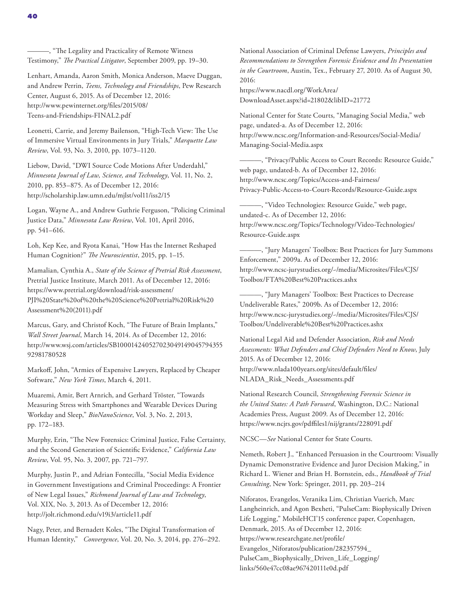Lenhart, Amanda, Aaron Smith, Monica Anderson, Maeve Duggan, and Andrew Perrin, *Teens, Technology and Friendships*, Pew Research Center, August 6, 2015. As of December 12, 2016: [http://www.pewinternet.org/files/2015/08/](http://www.pewinternet.org/files/2015/08/Teens-and-Friendships-FINAL2.pdf) Teens-and-Friendships-FINAL2.pdf

Leonetti, Carrie, and Jeremy Bailenson, "High-Tech View: The Use of Immersive Virtual Environments in Jury Trials," *Marquette Law Review*, Vol. 93, No. 3, 2010, pp. 1073–1120.

Liebow, David, "DWI Source Code Motions After Underdahl," *Minnesota Journal of Law, Science, and Technology*, Vol. 11, No. 2, 2010, pp. 853–875. As of December 12, 2016: <http://scholarship.law.umn.edu/mjlst/vol11/iss2/15>

Logan, Wayne A., and Andrew Guthrie Ferguson, "Policing Criminal Justice Data," *Minnesota Law Review*, Vol. 101, April 2016, pp. 541–616.

Loh, Kep Kee, and Ryota Kanai, "How Has the Internet Reshaped Human Cognition?" *The Neuroscientist*, 2015, pp. 1–15.

Mamalian, Cynthia A., *State of the Science of Pretrial Risk Assessment*, Pretrial Justice Institute, March 2011. As of December 12, 2016: https://www.pretrial.org/download/risk-assessment/ [PJI%20State%20of%20the%20Science%20Pretrial%20Risk%20](https://www.pretrial.org/download/risk-assessment/PJI%20State%20of%20the%20Science%20Pretrial%20Risk%20Assessment%20(2011).pdf) Assessment%20(2011).pdf

Marcus, Gary, and Christof Koch, "The Future of Brain Implants," *Wall Street Journal*, March 14, 2014. As of December 12, 2016: [http://www.wsj.com/articles/SB100014240527023049149045794355](http://www.wsj.com/articles/SB10001424052702304914904579435592981780528) 92981780528

Markoff, John, "Armies of Expensive Lawyers, Replaced by Cheaper Software," *New York Times*, March 4, 2011.

Muaremi, Amir, Bert Arnrich, and Gerhard Tröster, "Towards Measuring Stress with Smartphones and Wearable Devices During Workday and Sleep," *BioNanoScience*, Vol. 3, No. 2, 2013, pp. 172–183.

Murphy, Erin, "The New Forensics: Criminal Justice, False Certainty, and the Second Generation of Scientific Evidence," *California Law Review*, Vol. 95, No. 3, 2007, pp. 721–797.

Murphy, Justin P., and Adrian Fontecilla, "Social Media Evidence in Government Investigations and Criminal Proceedings: A Frontier of New Legal Issues," *Richmond Journal of Law and Technology*, Vol. XIX, No. 3, 2013. As of December 12, 2016: <http://jolt.richmond.edu/v19i3/article11.pdf>

Nagy, Peter, and Bernadett Koles, "The Digital Transformation of Human Identity," *Convergence*, Vol. 20, No. 3, 2014, pp. 276–292. National Association of Criminal Defense Lawyers, *Principles and Recommendations to Strengthen Forensic Evidence and Its Presentation in the Courtroom*, Austin, Tex., February 27, 2010*.* As of August 30, 2016:

https://www.nacdl.org/WorkArea/ [DownloadAsset.aspx?id=21802&libID=21772](https://www.nacdl.org/WorkArea/DownloadAsset.aspx?id=21802&libID=21772)

National Center for State Courts, "Managing Social Media," web page, undated-a. As of December 12, 2016: [http://www.ncsc.org/Information-and-Resources/Social-Media/](http://www.ncsc.org/Information-and-Resources/Social-Media/Managing-Social-Media.aspx) Managing-Social-Media.aspx

———, "Privacy/Public Access to Court Records: Resource Guide," web page, undated-b. As of December 12, 2016: http://www.ncsc.org/Topics/Access-and-Fairness/ [Privacy-Public-Access-to-Court-Records/Resource-Guide.aspx](http://www.ncsc.org/Topics/Access-and-Fairness/Privacy-Public-Access-to-Court-Records/Resource-Guide.aspx)

———, "Video Technologies: Resource Guide," web page, undated-c. As of December 12, 2016: [http://www.ncsc.org/Topics/Technology/Video-Technologies/](http://www.ncsc.org/Topics/Technology/Video-Technologies/Resource-Guide.aspx) Resource-Guide.aspx

———, "Jury Managers' Toolbox: Best Practices for Jury Summons Enforcement," 2009a. As of December 12, 2016: [http://www.ncsc-jurystudies.org/~/media/Microsites/Files/CJS/](http://www.ncsc-jurystudies.org/~/media/Microsites/Files/CJS/Toolbox/FTA%20Best%20Practices.ashx) Toolbox/FTA%20Best%20Practices.ashx

———, "Jury Managers' Toolbox: Best Practices to Decrease Undeliverable Rates," 2009b. As of December 12, 2016: [http://www.ncsc-jurystudies.org/~/media/Microsites/Files/CJS/](http://www.ncsc-jurystudies.org/~/media/Microsites/Files/CJS/Toolbox/Undeliverable%20Best%20Practices.ashx) Toolbox/Undeliverable%20Best%20Practices.ashx

National Legal Aid and Defender Association, *Risk and Needs Assessments: What Defenders and Chief Defenders Need to Know*, July 2015. As of December 12, 2016: [http://www.nlada100years.org/sites/default/files/](http://www.nlada100years.org/sites/default/files/NLADA_Risk_Needs_Assessments.pdf) NLADA\_Risk\_Needs\_Assessments.pdf

National Research Council, *Strengthening Forensic Science in the United States: A Path Forward*, Washington, D.C.: National Academies Press, August 2009. As of December 12, 2016: <https://www.ncjrs.gov/pdffiles1/nij/grants/228091.pdf>

NCSC—*See* National Center for State Courts.

Nemeth, Robert J., "Enhanced Persuasion in the Courtroom: Visually Dynamic Demonstrative Evidence and Juror Decision Making," in Richard L. Wiener and Brian H. Bornstein, eds., *Handbook of Trial Consulting*, New York: Springer, 2011, pp. 203–214

Niforatos, Evangelos, Veranika Lim, Christian Vuerich, Marc Langheinrich, and Agon Bexheti, "PulseCam: Biophysically Driven Life Logging," MobileHCI'15 conference paper, Copenhagen, Denmark, 2015. As of December 12, 2016: https://www.researchgate.net/profile/ Evangelos\_Niforatos/publication/282357594\_ [PulseCam\\_Biophysically\\_Driven\\_Life\\_Logging/](https://www.researchgate.net/profile/Evangelos_Niforatos/publication/282357594_PulseCam_Biophysically_Driven_Life_Logging/links/560e47cc08ae967420111e0d.pdf) links/560e47cc08ae967420111e0d.pdf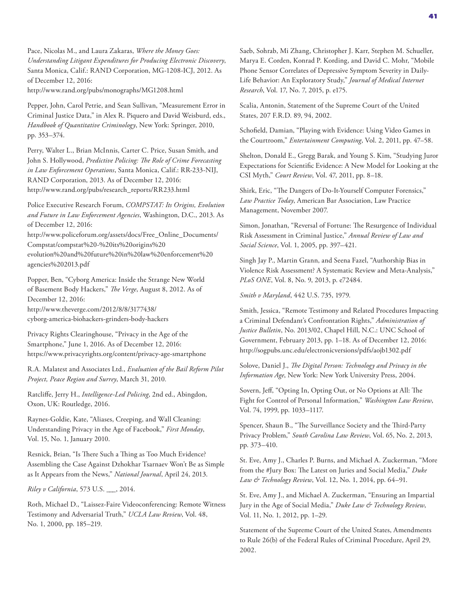Pace, Nicolas M., and Laura Zakaras, *Where the Money Goes: Understanding Litigant Expenditures for Producing Electronic Discovery*, Santa Monica, Calif.: RAND Corporation, MG-1208-ICJ, 2012. As of December 12, 2016: <http://www.rand.org/pubs/monographs/MG1208.html>

Pepper, John, Carol Petrie, and Sean Sullivan, "Measurement Error in Criminal Justice Data," in Alex R. Piquero and David Weisburd, eds., *Handbook of Quantitative Criminology*, New York: Springer, 2010, pp. 353–374.

Perry, Walter L., Brian McInnis, Carter C. Price, Susan Smith, and John S. Hollywood, *Predictive Policing: The Role of Crime Forecasting in Law Enforcement Operations*, Santa Monica, Calif.: RR-233-NIJ, RAND Corporation, 2013. As of December 12, 2016: [http://www.rand.org/pubs/research\\_reports/RR233.html](http://www.rand.org/pubs/research_reports/RR233.html)

Police Executive Research Forum, *COMPSTAT: Its Origins, Evolution and Future in Law Enforcement Agencies*, Washington, D.C., 2013. As of December 12, 2016:

[http://www.policeforum.org/assets/docs/Free\\_Online\\_Documents/](http://www.policeforum.org/assets/docs/Free_Online_Documents/Compstat/compstat%20-%20its%20origins%20evolution%20and%20future%20in%20law%20enforcement%20agencies%202013.pdf) Compstat/compstat%20-%20its%20origins%20 evolution%20and%20future%20in%20law%20enforcement%20 agencies%202013.pdf

Popper, Ben, "Cyborg America: Inside the Strange New World of Basement Body Hackers," *The Verge*, August 8, 2012. As of December 12, 2016: http://www.theverge.com/2012/8/8/3177438/

[cyborg-america-biohackers-grinders-body-hackers](http://www.theverge.com/2012/8/8/3177438/cyborg-america-biohackers-grinders-body-hackers)

Privacy Rights Clearinghouse, "Privacy in the Age of the Smartphone," June 1, 2016. As of December 12, 2016: <https://www.privacyrights.org/content/privacy-age-smartphone>

R.A. Malatest and Associates Ltd., *Evaluation of the Bail Reform Pilot Project, Peace Region and Surrey*, March 31, 2010*.*

Ratcliffe, Jerry H., *Intelligence-Led Policing*, 2nd ed., Abingdon, Oxon, UK: Routledge, 2016.

Raynes-Goldie, Kate, "Aliases, Creeping, and Wall Cleaning: Understanding Privacy in the Age of Facebook," *First Monday*, Vol. 15, No. 1, January 2010.

Resnick, Brian, "Is There Such a Thing as Too Much Evidence? Assembling the Case Against Dzhokhar Tsarnaev Won't Be as Simple as It Appears from the News," *National Journal*, April 24, 2013.

*Riley v California*, 573 U.S. \_\_\_, 2014.

Roth, Michael D., "Laissez-Faire Videoconferencing: Remote Witness Testimony and Adversarial Truth," *UCLA Law Review*, Vol. 48, No. 1, 2000, pp. 185–219.

Saeb, Sohrab, Mi Zhang, Christopher J. Karr, Stephen M. Schueller, Marya E. Corden, Konrad P. Kording, and David C. Mohr, "Mobile Phone Sensor Correlates of Depressive Symptom Severity in Daily-Life Behavior: An Exploratory Study," *Journal of Medical Internet Research*, Vol. 17, No. 7, 2015, p. e175.

Scalia, Antonin, Statement of the Supreme Court of the United States, 207 F.R.D. 89, 94, 2002.

Schofield, Damian, "Playing with Evidence: Using Video Games in the Courtroom," *Entertainment Computing*, Vol. 2, 2011, pp. 47–58.

Shelton, Donald E., Gregg Barak, and Young S. Kim, "Studying Juror Expectations for Scientific Evidence: A New Model for Looking at the CSI Myth," *Court Review*, Vol. 47, 2011, pp. 8–18.

Shirk, Eric, "The Dangers of Do-It-Yourself Computer Forensics," *Law Practice Today*, American Bar Association, Law Practice Management, November 2007.

Simon, Jonathan, "Reversal of Fortune: The Resurgence of Individual Risk Assessment in Criminal Justice," *Annual Review of Law and Social Science*, Vol. 1, 2005, pp. 397–421.

Singh Jay P., Martin Grann, and Seena Fazel, "Authorship Bias in Violence Risk Assessment? A Systematic Review and Meta-Analysis," *PLoS ONE*, Vol. 8, No. 9, 2013, p. e72484.

*Smith v Maryland*, 442 U.S. 735, 1979.

Smith, Jessica, "Remote Testimony and Related Procedures Impacting a Criminal Defendant's Confrontation Rights," *Administration of Justice Bulletin*, No. 2013/02, Chapel Hill, N.C.: UNC School of Government, February 2013, pp. 1–18. As of December 12, 2016: <http://sogpubs.unc.edu/electronicversions/pdfs/aojb1302.pdf>

Solove, Daniel J., *The Digital Person: Technology and Privacy in the Information Age*, New York: New York University Press, 2004.

Sovern, Jeff, "Opting In, Opting Out, or No Options at All: The Fight for Control of Personal Information," *Washington Law Review*, Vol. 74, 1999, pp. 1033–1117.

Spencer, Shaun B., "The Surveillance Society and the Third-Party Privacy Problem," *South Carolina Law Review*, Vol. 65, No. 2, 2013, pp. 373–410.

St. Eve, Amy J., Charles P. Burns, and Michael A. Zuckerman, "More from the #Jury Box: The Latest on Juries and Social Media," *Duke Law & Technology Review*, Vol. 12, No. 1, 2014, pp. 64–91.

St. Eve, Amy J., and Michael A. Zuckerman, "Ensuring an Impartial Jury in the Age of Social Media," *Duke Law & Technology Review*, Vol. 11, No. 1, 2012, pp. 1–29.

Statement of the Supreme Court of the United States, Amendments to Rule 26(b) of the Federal Rules of Criminal Procedure, April 29, 2002.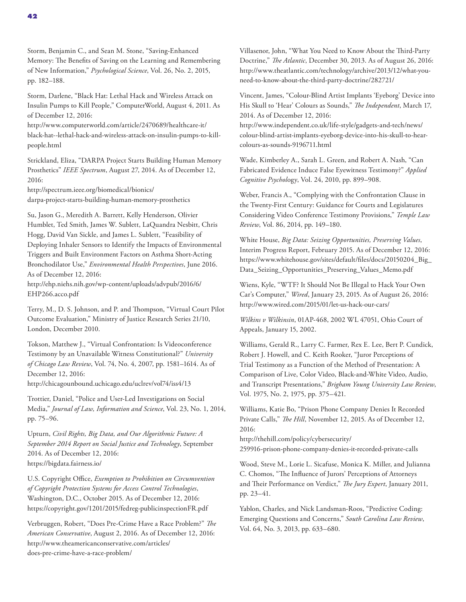Storm, Benjamin C., and Sean M. Stone, "Saving-Enhanced Memory: The Benefits of Saving on the Learning and Remembering of New Information," *Psychological Science*, Vol. 26, No. 2, 2015, pp. 182–188.

Storm, Darlene, "Black Hat: Lethal Hack and Wireless Attack on Insulin Pumps to Kill People," ComputerWorld, August 4, 2011. As of December 12, 2016:

http://www.computerworld.com/article/2470689/healthcare-it/ [black-hat--lethal-hack-and-wireless-attack-on-insulin-pumps-to-kill](http://www.computerworld.com/article/2470689/healthcare-it/black-hat--lethal-hack-and-wireless-attack-on-insulin-pumps-to-kill-people.html)people.html

Strickland, Eliza, "DARPA Project Starts Building Human Memory Prosthetics" *IEEE Spectrum*, August 27, 2014. As of December 12, 2016:

http://spectrum.ieee.org/biomedical/bionics/ [darpa-project-starts-building-human-memory-prosthetics](http://spectrum.ieee.org/biomedical/bionics/darpa-project-starts-building-human-memory-prosthetics)

Su, Jason G., Meredith A. Barrett, Kelly Henderson, Olivier Humblet, Ted Smith, James W. Sublett, LaQuandra Nesbitt, Chris Hogg, David Van Sickle, and James L. Sublett, "Feasibility of Deploying Inhaler Sensors to Identify the Impacts of Environmental Triggers and Built Environment Factors on Asthma Short-Acting Bronchodilator Use," *Environmental Health Perspectives*, June 2016. As of December 12, 2016:

[http://ehp.niehs.nih.gov/wp-content/uploads/advpub/2016/6/](http://ehp.niehs.nih.gov/wp-content/uploads/advpub/2016/6/EHP266.acco.pdf) EHP266.acco.pdf

Terry, M., D. S. Johnson, and P. and Thompson, "Virtual Court Pilot Outcome Evaluation," Ministry of Justice Research Series 21/10, London, December 2010.

Tokson, Matthew J., "Virtual Confrontation: Is Videoconference Testimony by an Unavailable Witness Constitutional?" *University of Chicago Law Review*, Vol. 74, No. 4, 2007, pp. 1581–1614. As of December 12, 2016:

<http://chicagounbound.uchicago.edu/uclrev/vol74/iss4/13>

Trottier, Daniel, "Police and User-Led Investigations on Social Media," *Journal of Law, Information and Science*, Vol. 23, No. 1, 2014, pp. 75–96.

Upturn, *Civil Rights, Big Data, and Our Algorithmic Future: A September 2014 Report on Social Justice and Technology*, September 2014. As of December 12, 2016: <https://bigdata.fairness.io/>

U.S. Copyright Office, *Exemption to Prohibition on Circumvention of Copyright Protection Systems for Access Control Technologies*, Washington, D.C., October 2015. As of December 12, 2016: <https://copyright.gov/1201/2015/fedreg-publicinspectionFR.pdf>

Verbruggen, Robert, "Does Pre-Crime Have a Race Problem?" *The American Conservative*, August 2, 2016. As of December 12, 2016: [http://www.theamericanconservative.com/articles/](http://www.theamericanconservative.com/articles/does-pre-crime-have-a-race-problem/) does-pre-crime-have-a-race-problem/

Villasenor, John, "What You Need to Know About the Third-Party Doctrine," *The Atlantic*, December 30, 2013. As of August 26, 2016: [http://www.theatlantic.com/technology/archive/2013/12/what-you](http://www.theatlantic.com/technology/archive/2013/12/what-you-need-to-know-about-the-third-party-doctrine/282721/)need-to-know-about-the-third-party-doctrine/282721/

Vincent, James, "Colour-Blind Artist Implants 'Eyeborg' Device into His Skull to 'Hear' Colours as Sounds," *The Independent*, March 17, 2014. As of December 12, 2016:

http://www.independent.co.uk/life-style/gadgets-and-tech/news/ [colour-blind-artist-implants-eyeborg-device-into-his-skull-to-hear](http://www.independent.co.uk/life-style/gadgets-and-tech/news/colour-blind-artist-implants-eyeborg-device-into-his-skull-to-hear-colours-as-sounds-9196711.html)colours-as-sounds-9196711.html

Wade, Kimberley A., Sarah L. Green, and Robert A. Nash, "Can Fabricated Evidence Induce False Eyewitness Testimony?" *Applied Cognitive Psychol*ogy, Vol. 24, 2010, pp. 899–908.

Weber, Francis A., "Complying with the Confrontation Clause in the Twenty-First Century: Guidance for Courts and Legislatures Considering Video Conference Testimony Provisions," *Temple Law Review*, Vol. 86, 2014, pp. 149–180.

White House, *Big Data: Seizing Opportunities, Preserving Values*, Interim Progress Report, February 2015. As of December 12, 2016: [https://www.whitehouse.gov/sites/default/files/docs/20150204\\_Big\\_](https://www.whitehouse.gov/sites/default/files/docs/20150204_Big_Data_Seizing_Opportunities_Preserving_Values_Memo.pdf) Data\_Seizing\_Opportunities\_Preserving\_Values\_Memo.pdf

Wiens, Kyle, "WTF? It Should Not Be Illegal to Hack Your Own Car's Computer," *Wired*, January 23, 2015. As of August 26, 2016: <http://www.wired.com/2015/01/let-us-hack-our-cars/>

*Wilkins v Wilkinsin*, 01AP-468, 2002 WL 47051, Ohio Court of Appeals, January 15, 2002.

Williams, Gerald R., Larry C. Farmer, Rex E. Lee, Bert P. Cundick, Robert J. Howell, and C. Keith Rooker, "Juror Perceptions of Trial Testimony as a Function of the Method of Presentation: A Comparison of Live, Color Video, Black-and-White Video, Audio, and Transcript Presentations," *Brigham Young University Law Review*, Vol. 1975, No. 2, 1975, pp. 375–421.

Williams, Katie Bo, "Prison Phone Company Denies It Recorded Private Calls," *The Hill*, November 12, 2015. As of December 12, 2016:

http://thehill.com/policy/cybersecurity/ [259916-prison-phone-company-denies-it-recorded-private-calls](http://thehill.com/policy/cybersecurity/259916-prison-phone-company-denies-it-recorded-private-calls)

Wood, Steve M., Lorie L. Sicafuse, Monica K. Miller, and Julianna C. Chomos, "The Influence of Jurors' Perceptions of Attorneys and Their Performance on Verdict," *The Jury Expert*, January 2011, pp. 23–41.

Yablon, Charles, and Nick Landsman-Roos, "Predictive Coding: Emerging Questions and Concerns," *South Carolina Law Review*, Vol. 64, No. 3, 2013, pp. 633–680.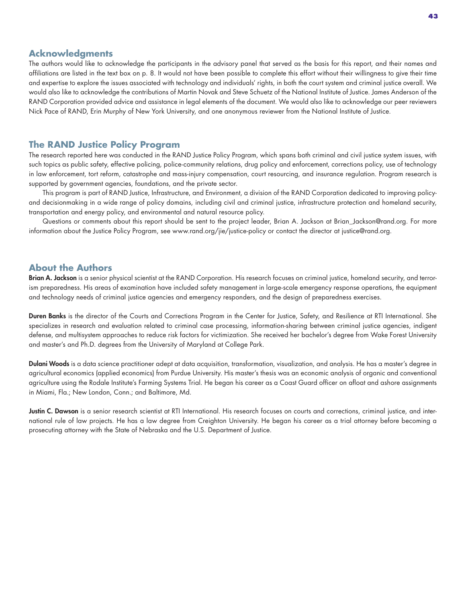### **Acknowledgments**

The authors would like to acknowledge the participants in the advisory panel that served as the basis for this report, and their names and affiliations are listed in the text box on p. 8. It would not have been possible to complete this effort without their willingness to give their time and expertise to explore the issues associated with technology and individuals' rights, in both the court system and criminal justice overall. We would also like to acknowledge the contributions of Martin Novak and Steve Schuetz of the National Institute of Justice. James Anderson of the RAND Corporation provided advice and assistance in legal elements of the document. We would also like to acknowledge our peer reviewers Nick Pace of RAND, Erin Murphy of New York University, and one anonymous reviewer from the National Institute of Justice.

### **The RAND Justice Policy Program**

The research reported here was conducted in the RAND Justice Policy Program, which spans both criminal and civil justice system issues, with such topics as public safety, effective policing, police-community relations, drug policy and enforcement, corrections policy, use of technology in law enforcement, tort reform, catastrophe and mass-injury compensation, court resourcing, and insurance regulation. Program research is supported by government agencies, foundations, and the private sector.

This program is part of RAND Justice, Infrastructure, and Environment, a division of the RAND Corporation dedicated to improving policyand decisionmaking in a wide range of policy domains, including civil and criminal justice, infrastructure protection and homeland security, transportation and energy policy, and environmental and natural resource policy.

Questions or comments about this report should be sent to the project leader, Brian A. Jackson at [Brian\\_Jackson@rand.org.](mailto:Brian_Jackson@rand.org) For more information about the Justice Policy Program, see [www.rand.org/jie/justice-policy](http://www.rand.org/jie/justice-policy) or contact the director at [justice@rand.org.](mailto:justice@rand.org)

### **About the Authors**

Brian A. Jackson is a senior physical scientist at the RAND Corporation. His research focuses on criminal justice, homeland security, and terrorism preparedness. His areas of examination have included safety management in large-scale emergency response operations, the equipment and technology needs of criminal justice agencies and emergency responders, and the design of preparedness exercises.

Duren Banks is the director of the Courts and Corrections Program in the Center for Justice, Safety, and Resilience at RTI International. She specializes in research and evaluation related to criminal case processing, information-sharing between criminal justice agencies, indigent defense, and multisystem approaches to reduce risk factors for victimization. She received her bachelor's degree from Wake Forest University and master's and Ph.D. degrees from the University of Maryland at College Park.

Dulani Woods is a data science practitioner adept at data acquisition, transformation, visualization, and analysis. He has a master's degree in agricultural economics (applied economics) from Purdue University. His master's thesis was an economic analysis of organic and conventional agriculture using the Rodale Institute's Farming Systems Trial. He began his career as a Coast Guard officer on afloat and ashore assignments in Miami, Fla.; New London, Conn.; and Baltimore, Md.

Justin C. Dawson is a senior research scientist at RTI International. His research focuses on courts and corrections, criminal justice, and international rule of law projects. He has a law degree from Creighton University. He began his career as a trial attorney before becoming a prosecuting attorney with the State of Nebraska and the U.S. Department of Justice.